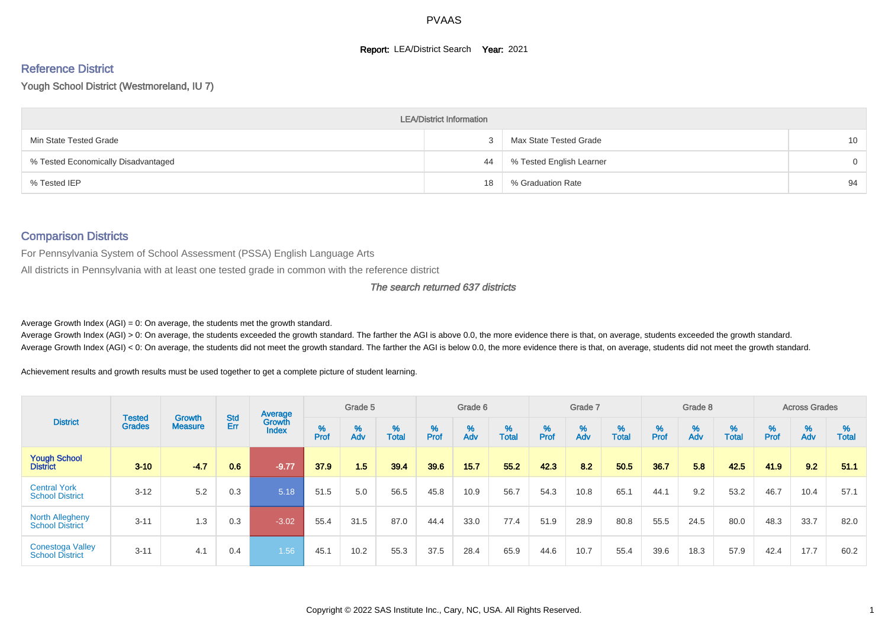#### **Report: LEA/District Search Year: 2021**

# Reference District

Yough School District (Westmoreland, IU 7)

|                                     | <b>LEA/District Information</b> |                          |                 |
|-------------------------------------|---------------------------------|--------------------------|-----------------|
| Min State Tested Grade              |                                 | Max State Tested Grade   | 10 <sup>°</sup> |
| % Tested Economically Disadvantaged | 44                              | % Tested English Learner | 0               |
| % Tested IEP                        | 18                              | % Graduation Rate        | 94              |

# Comparison Districts

For Pennsylvania System of School Assessment (PSSA) English Language Arts

All districts in Pennsylvania with at least one tested grade in common with the reference district

#### The search returned 637 districts

Average Growth Index  $(AGI) = 0$ : On average, the students met the growth standard.

Average Growth Index (AGI) > 0: On average, the students exceeded the growth standard. The farther the AGI is above 0.0, the more evidence there is that, on average, students exceeded the growth standard. Average Growth Index (AGI) < 0: On average, the students did not meet the growth standard. The farther the AGI is below 0.0, the more evidence there is that, on average, students did not meet the growth standard.

Achievement results and growth results must be used together to get a complete picture of student learning.

|                                                   |                                |                                 |            | Average                |                    | Grade 5  |                   |        | Grade 6  |                   |           | Grade 7  |            |           | Grade 8  |                   |           | <b>Across Grades</b> |                   |
|---------------------------------------------------|--------------------------------|---------------------------------|------------|------------------------|--------------------|----------|-------------------|--------|----------|-------------------|-----------|----------|------------|-----------|----------|-------------------|-----------|----------------------|-------------------|
| <b>District</b>                                   | <b>Tested</b><br><b>Grades</b> | <b>Growth</b><br><b>Measure</b> | Std<br>Err | Growth<br><b>Index</b> | $% P_{\text{ref}}$ | %<br>Adv | %<br><b>Total</b> | % Pref | %<br>Adv | %<br><b>Total</b> | %<br>Prof | %<br>Adv | %<br>Total | %<br>Prof | %<br>Adv | %<br><b>Total</b> | %<br>Prof | %<br>Adv             | %<br><b>Total</b> |
| <b>Yough School</b><br><b>District</b>            | $3 - 10$                       | $-4.7$                          | 0.6        | $-9.77$                | 37.9               | 1.5      | 39.4              | 39.6   | 15.7     | 55.2              | 42.3      | 8.2      | 50.5       | 36.7      | 5.8      | 42.5              | 41.9      | 9.2                  | 51.1              |
| <b>Central York</b><br><b>School District</b>     | $3 - 12$                       | 5.2                             | 0.3        | 5.18                   | 51.5               | 5.0      | 56.5              | 45.8   | 10.9     | 56.7              | 54.3      | 10.8     | 65.1       | 44.1      | 9.2      | 53.2              | 46.7      | 10.4                 | 57.1              |
| <b>North Allegheny</b><br><b>School District</b>  | $3 - 11$                       | 1.3                             | 0.3        | $-3.02$                | 55.4               | 31.5     | 87.0              | 44.4   | 33.0     | 77.4              | 51.9      | 28.9     | 80.8       | 55.5      | 24.5     | 80.0              | 48.3      | 33.7                 | 82.0              |
| <b>Conestoga Valley</b><br><b>School District</b> | $3 - 11$                       | 4.1                             | 0.4        | 1.56                   | 45.1               | 10.2     | 55.3              | 37.5   | 28.4     | 65.9              | 44.6      | 10.7     | 55.4       | 39.6      | 18.3     | 57.9              | 42.4      | 17.7                 | 60.2              |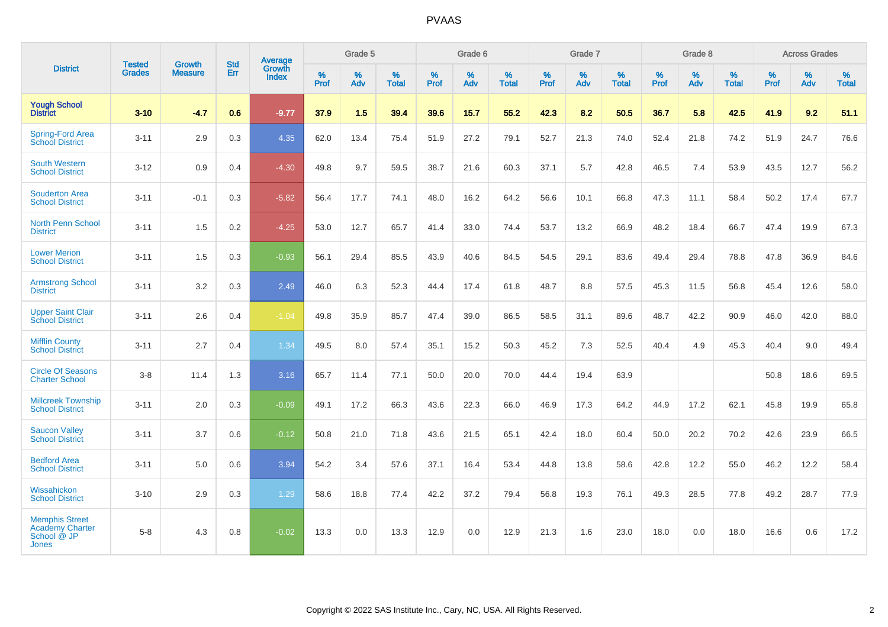|                                                                         |                                |                                 | <b>Std</b> | <b>Average</b>         |           | Grade 5  |                   |           | Grade 6  |                   |           | Grade 7  |                   |           | Grade 8  |            |           | <b>Across Grades</b> |                   |
|-------------------------------------------------------------------------|--------------------------------|---------------------------------|------------|------------------------|-----------|----------|-------------------|-----------|----------|-------------------|-----------|----------|-------------------|-----------|----------|------------|-----------|----------------------|-------------------|
| <b>District</b>                                                         | <b>Tested</b><br><b>Grades</b> | <b>Growth</b><br><b>Measure</b> | Err        | Growth<br><b>Index</b> | %<br>Prof | %<br>Adv | %<br><b>Total</b> | %<br>Prof | %<br>Adv | %<br><b>Total</b> | %<br>Prof | %<br>Adv | %<br><b>Total</b> | %<br>Prof | %<br>Adv | %<br>Total | %<br>Prof | %<br>Adv             | %<br><b>Total</b> |
| <b>Yough School</b><br><b>District</b>                                  | $3 - 10$                       | $-4.7$                          | 0.6        | $-9.77$                | 37.9      | 1.5      | 39.4              | 39.6      | 15.7     | 55.2              | 42.3      | 8.2      | 50.5              | 36.7      | 5.8      | 42.5       | 41.9      | 9.2                  | 51.1              |
| Spring-Ford Area<br><b>School District</b>                              | $3 - 11$                       | 2.9                             | 0.3        | 4.35                   | 62.0      | 13.4     | 75.4              | 51.9      | 27.2     | 79.1              | 52.7      | 21.3     | 74.0              | 52.4      | 21.8     | 74.2       | 51.9      | 24.7                 | 76.6              |
| <b>South Western</b><br><b>School District</b>                          | $3 - 12$                       | 0.9                             | 0.4        | $-4.30$                | 49.8      | 9.7      | 59.5              | 38.7      | 21.6     | 60.3              | 37.1      | 5.7      | 42.8              | 46.5      | 7.4      | 53.9       | 43.5      | 12.7                 | 56.2              |
| <b>Souderton Area</b><br><b>School District</b>                         | $3 - 11$                       | $-0.1$                          | 0.3        | $-5.82$                | 56.4      | 17.7     | 74.1              | 48.0      | 16.2     | 64.2              | 56.6      | 10.1     | 66.8              | 47.3      | 11.1     | 58.4       | 50.2      | 17.4                 | 67.7              |
| North Penn School<br><b>District</b>                                    | $3 - 11$                       | 1.5                             | 0.2        | $-4.25$                | 53.0      | 12.7     | 65.7              | 41.4      | 33.0     | 74.4              | 53.7      | 13.2     | 66.9              | 48.2      | 18.4     | 66.7       | 47.4      | 19.9                 | 67.3              |
| <b>Lower Merion</b><br><b>School District</b>                           | $3 - 11$                       | 1.5                             | 0.3        | $-0.93$                | 56.1      | 29.4     | 85.5              | 43.9      | 40.6     | 84.5              | 54.5      | 29.1     | 83.6              | 49.4      | 29.4     | 78.8       | 47.8      | 36.9                 | 84.6              |
| <b>Armstrong School</b><br><b>District</b>                              | $3 - 11$                       | 3.2                             | 0.3        | 2.49                   | 46.0      | 6.3      | 52.3              | 44.4      | 17.4     | 61.8              | 48.7      | 8.8      | 57.5              | 45.3      | 11.5     | 56.8       | 45.4      | 12.6                 | 58.0              |
| <b>Upper Saint Clair</b><br><b>School District</b>                      | $3 - 11$                       | 2.6                             | 0.4        | $-1.04$                | 49.8      | 35.9     | 85.7              | 47.4      | 39.0     | 86.5              | 58.5      | 31.1     | 89.6              | 48.7      | 42.2     | 90.9       | 46.0      | 42.0                 | 88.0              |
| <b>Mifflin County</b><br><b>School District</b>                         | $3 - 11$                       | 2.7                             | 0.4        | 1.34                   | 49.5      | 8.0      | 57.4              | 35.1      | 15.2     | 50.3              | 45.2      | 7.3      | 52.5              | 40.4      | 4.9      | 45.3       | 40.4      | 9.0                  | 49.4              |
| <b>Circle Of Seasons</b><br><b>Charter School</b>                       | $3 - 8$                        | 11.4                            | 1.3        | 3.16                   | 65.7      | 11.4     | 77.1              | 50.0      | 20.0     | 70.0              | 44.4      | 19.4     | 63.9              |           |          |            | 50.8      | 18.6                 | 69.5              |
| <b>Millcreek Township</b><br><b>School District</b>                     | $3 - 11$                       | 2.0                             | 0.3        | $-0.09$                | 49.1      | 17.2     | 66.3              | 43.6      | 22.3     | 66.0              | 46.9      | 17.3     | 64.2              | 44.9      | 17.2     | 62.1       | 45.8      | 19.9                 | 65.8              |
| <b>Saucon Valley</b><br><b>School District</b>                          | $3 - 11$                       | 3.7                             | 0.6        | $-0.12$                | 50.8      | 21.0     | 71.8              | 43.6      | 21.5     | 65.1              | 42.4      | 18.0     | 60.4              | 50.0      | 20.2     | 70.2       | 42.6      | 23.9                 | 66.5              |
| <b>Bedford Area</b><br><b>School District</b>                           | $3 - 11$                       | 5.0                             | 0.6        | 3.94                   | 54.2      | 3.4      | 57.6              | 37.1      | 16.4     | 53.4              | 44.8      | 13.8     | 58.6              | 42.8      | 12.2     | 55.0       | 46.2      | 12.2                 | 58.4              |
| Wissahickon<br><b>School District</b>                                   | $3 - 10$                       | 2.9                             | 0.3        | 1.29                   | 58.6      | 18.8     | 77.4              | 42.2      | 37.2     | 79.4              | 56.8      | 19.3     | 76.1              | 49.3      | 28.5     | 77.8       | 49.2      | 28.7                 | 77.9              |
| <b>Memphis Street</b><br><b>Academy Charter</b><br>School @ JP<br>Jones | $5 - 8$                        | 4.3                             | 0.8        | $-0.02$                | 13.3      | 0.0      | 13.3              | 12.9      | 0.0      | 12.9              | 21.3      | 1.6      | 23.0              | 18.0      | 0.0      | 18.0       | 16.6      | 0.6                  | 17.2              |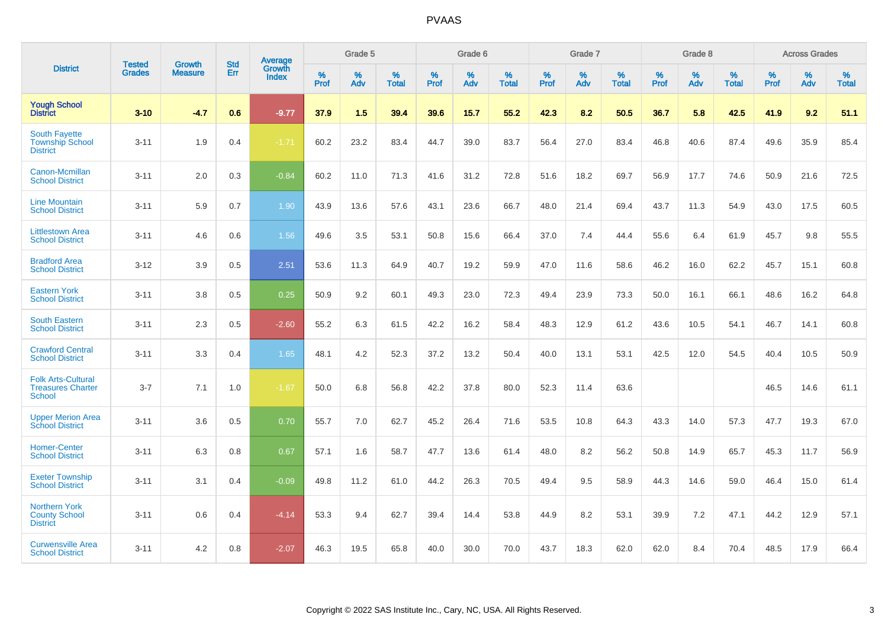|                                                                        | <b>Tested</b> | <b>Growth</b>  | <b>Std</b> | Average                       |           | Grade 5  |                   |           | Grade 6  |                   |           | Grade 7  |                   |           | Grade 8  |                   |           | <b>Across Grades</b> |                   |
|------------------------------------------------------------------------|---------------|----------------|------------|-------------------------------|-----------|----------|-------------------|-----------|----------|-------------------|-----------|----------|-------------------|-----------|----------|-------------------|-----------|----------------------|-------------------|
| <b>District</b>                                                        | <b>Grades</b> | <b>Measure</b> | Err        | <b>Growth</b><br><b>Index</b> | %<br>Prof | %<br>Adv | %<br><b>Total</b> | %<br>Prof | %<br>Adv | %<br><b>Total</b> | %<br>Prof | %<br>Adv | %<br><b>Total</b> | %<br>Prof | %<br>Adv | %<br><b>Total</b> | %<br>Prof | %<br>Adv             | %<br><b>Total</b> |
| <b>Yough School</b><br><b>District</b>                                 | $3 - 10$      | $-4.7$         | 0.6        | $-9.77$                       | 37.9      | 1.5      | 39.4              | 39.6      | 15.7     | 55.2              | 42.3      | 8.2      | 50.5              | 36.7      | 5.8      | 42.5              | 41.9      | 9.2                  | 51.1              |
| <b>South Fayette</b><br><b>Township School</b><br><b>District</b>      | $3 - 11$      | 1.9            | 0.4        | $-1.71$                       | 60.2      | 23.2     | 83.4              | 44.7      | 39.0     | 83.7              | 56.4      | 27.0     | 83.4              | 46.8      | 40.6     | 87.4              | 49.6      | 35.9                 | 85.4              |
| Canon-Mcmillan<br><b>School District</b>                               | $3 - 11$      | 2.0            | 0.3        | $-0.84$                       | 60.2      | 11.0     | 71.3              | 41.6      | 31.2     | 72.8              | 51.6      | 18.2     | 69.7              | 56.9      | 17.7     | 74.6              | 50.9      | 21.6                 | 72.5              |
| <b>Line Mountain</b><br><b>School District</b>                         | $3 - 11$      | 5.9            | 0.7        | 1.90                          | 43.9      | 13.6     | 57.6              | 43.1      | 23.6     | 66.7              | 48.0      | 21.4     | 69.4              | 43.7      | 11.3     | 54.9              | 43.0      | 17.5                 | 60.5              |
| <b>Littlestown Area</b><br><b>School District</b>                      | $3 - 11$      | 4.6            | 0.6        | 1.56                          | 49.6      | 3.5      | 53.1              | 50.8      | 15.6     | 66.4              | 37.0      | 7.4      | 44.4              | 55.6      | 6.4      | 61.9              | 45.7      | 9.8                  | 55.5              |
| <b>Bradford Area</b><br><b>School District</b>                         | $3 - 12$      | 3.9            | 0.5        | 2.51                          | 53.6      | 11.3     | 64.9              | 40.7      | 19.2     | 59.9              | 47.0      | 11.6     | 58.6              | 46.2      | 16.0     | 62.2              | 45.7      | 15.1                 | 60.8              |
| <b>Eastern York</b><br><b>School District</b>                          | $3 - 11$      | 3.8            | 0.5        | 0.25                          | 50.9      | 9.2      | 60.1              | 49.3      | 23.0     | 72.3              | 49.4      | 23.9     | 73.3              | 50.0      | 16.1     | 66.1              | 48.6      | 16.2                 | 64.8              |
| <b>South Eastern</b><br><b>School District</b>                         | $3 - 11$      | 2.3            | 0.5        | $-2.60$                       | 55.2      | 6.3      | 61.5              | 42.2      | 16.2     | 58.4              | 48.3      | 12.9     | 61.2              | 43.6      | 10.5     | 54.1              | 46.7      | 14.1                 | 60.8              |
| <b>Crawford Central</b><br><b>School District</b>                      | $3 - 11$      | 3.3            | 0.4        | 1.65                          | 48.1      | 4.2      | 52.3              | 37.2      | 13.2     | 50.4              | 40.0      | 13.1     | 53.1              | 42.5      | 12.0     | 54.5              | 40.4      | 10.5                 | 50.9              |
| <b>Folk Arts-Cultural</b><br><b>Treasures Charter</b><br><b>School</b> | $3 - 7$       | 7.1            | 1.0        | $-1.67$                       | 50.0      | 6.8      | 56.8              | 42.2      | 37.8     | 80.0              | 52.3      | 11.4     | 63.6              |           |          |                   | 46.5      | 14.6                 | 61.1              |
| <b>Upper Merion Area</b><br><b>School District</b>                     | $3 - 11$      | 3.6            | 0.5        | 0.70                          | 55.7      | 7.0      | 62.7              | 45.2      | 26.4     | 71.6              | 53.5      | 10.8     | 64.3              | 43.3      | 14.0     | 57.3              | 47.7      | 19.3                 | 67.0              |
| <b>Homer-Center</b><br><b>School District</b>                          | $3 - 11$      | 6.3            | 0.8        | 0.67                          | 57.1      | 1.6      | 58.7              | 47.7      | 13.6     | 61.4              | 48.0      | 8.2      | 56.2              | 50.8      | 14.9     | 65.7              | 45.3      | 11.7                 | 56.9              |
| <b>Exeter Township</b><br><b>School District</b>                       | $3 - 11$      | 3.1            | 0.4        | $-0.09$                       | 49.8      | 11.2     | 61.0              | 44.2      | 26.3     | 70.5              | 49.4      | 9.5      | 58.9              | 44.3      | 14.6     | 59.0              | 46.4      | 15.0                 | 61.4              |
| <b>Northern York</b><br><b>County School</b><br><b>District</b>        | $3 - 11$      | 0.6            | 0.4        | $-4.14$                       | 53.3      | 9.4      | 62.7              | 39.4      | 14.4     | 53.8              | 44.9      | 8.2      | 53.1              | 39.9      | 7.2      | 47.1              | 44.2      | 12.9                 | 57.1              |
| <b>Curwensville Area</b><br><b>School District</b>                     | $3 - 11$      | 4.2            | 0.8        | $-2.07$                       | 46.3      | 19.5     | 65.8              | 40.0      | 30.0     | 70.0              | 43.7      | 18.3     | 62.0              | 62.0      | 8.4      | 70.4              | 48.5      | 17.9                 | 66.4              |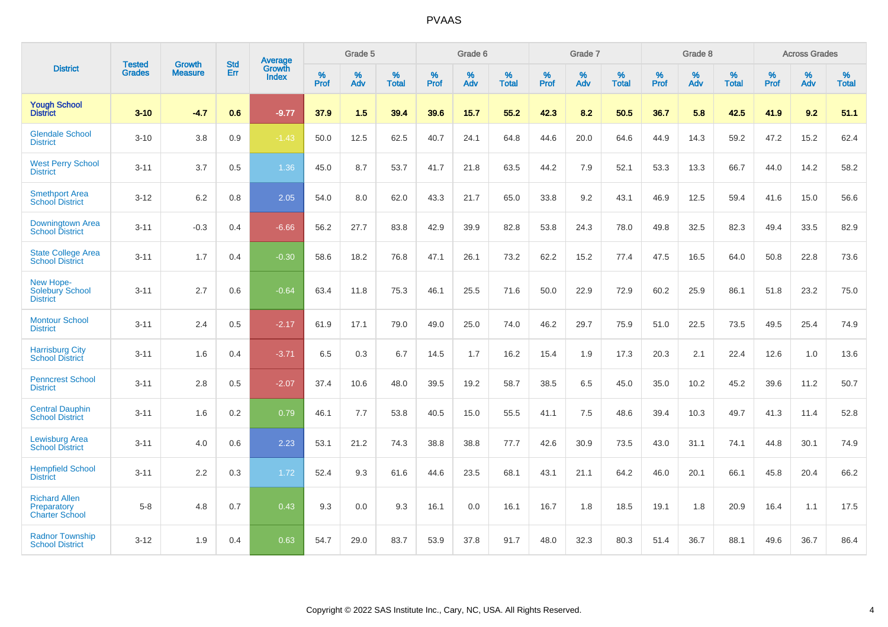| <b>District</b>                                              | <b>Tested</b> | <b>Growth</b>  | <b>Std</b> | <b>Average</b>         |           | Grade 5  |                   |           | Grade 6  |                   |           | Grade 7  |                   |           | Grade 8  |                   |           | <b>Across Grades</b> |                   |
|--------------------------------------------------------------|---------------|----------------|------------|------------------------|-----------|----------|-------------------|-----------|----------|-------------------|-----------|----------|-------------------|-----------|----------|-------------------|-----------|----------------------|-------------------|
|                                                              | <b>Grades</b> | <b>Measure</b> | Err        | Growth<br><b>Index</b> | %<br>Prof | %<br>Adv | %<br><b>Total</b> | %<br>Prof | %<br>Adv | %<br><b>Total</b> | %<br>Prof | %<br>Adv | %<br><b>Total</b> | %<br>Prof | %<br>Adv | %<br><b>Total</b> | %<br>Prof | %<br>Adv             | %<br><b>Total</b> |
| <b>Yough School</b><br><b>District</b>                       | $3 - 10$      | $-4.7$         | 0.6        | $-9.77$                | 37.9      | 1.5      | 39.4              | 39.6      | 15.7     | 55.2              | 42.3      | 8.2      | 50.5              | 36.7      | 5.8      | 42.5              | 41.9      | 9.2                  | 51.1              |
| <b>Glendale School</b><br><b>District</b>                    | $3 - 10$      | 3.8            | 0.9        | $-1.43$                | 50.0      | 12.5     | 62.5              | 40.7      | 24.1     | 64.8              | 44.6      | 20.0     | 64.6              | 44.9      | 14.3     | 59.2              | 47.2      | 15.2                 | 62.4              |
| <b>West Perry School</b><br><b>District</b>                  | $3 - 11$      | 3.7            | 0.5        | 1.36                   | 45.0      | 8.7      | 53.7              | 41.7      | 21.8     | 63.5              | 44.2      | 7.9      | 52.1              | 53.3      | 13.3     | 66.7              | 44.0      | 14.2                 | 58.2              |
| <b>Smethport Area</b><br><b>School District</b>              | $3 - 12$      | 6.2            | 0.8        | 2.05                   | 54.0      | 8.0      | 62.0              | 43.3      | 21.7     | 65.0              | 33.8      | 9.2      | 43.1              | 46.9      | 12.5     | 59.4              | 41.6      | 15.0                 | 56.6              |
| Downingtown Area<br><b>School District</b>                   | $3 - 11$      | $-0.3$         | 0.4        | $-6.66$                | 56.2      | 27.7     | 83.8              | 42.9      | 39.9     | 82.8              | 53.8      | 24.3     | 78.0              | 49.8      | 32.5     | 82.3              | 49.4      | 33.5                 | 82.9              |
| <b>State College Area</b><br><b>School District</b>          | $3 - 11$      | 1.7            | 0.4        | $-0.30$                | 58.6      | 18.2     | 76.8              | 47.1      | 26.1     | 73.2              | 62.2      | 15.2     | 77.4              | 47.5      | 16.5     | 64.0              | 50.8      | 22.8                 | 73.6              |
| New Hope-<br>Solebury School<br><b>District</b>              | $3 - 11$      | 2.7            | 0.6        | $-0.64$                | 63.4      | 11.8     | 75.3              | 46.1      | 25.5     | 71.6              | 50.0      | 22.9     | 72.9              | 60.2      | 25.9     | 86.1              | 51.8      | 23.2                 | 75.0              |
| <b>Montour School</b><br><b>District</b>                     | $3 - 11$      | 2.4            | 0.5        | $-2.17$                | 61.9      | 17.1     | 79.0              | 49.0      | 25.0     | 74.0              | 46.2      | 29.7     | 75.9              | 51.0      | 22.5     | 73.5              | 49.5      | 25.4                 | 74.9              |
| <b>Harrisburg City</b><br><b>School District</b>             | $3 - 11$      | 1.6            | 0.4        | $-3.71$                | 6.5       | 0.3      | 6.7               | 14.5      | 1.7      | 16.2              | 15.4      | 1.9      | 17.3              | 20.3      | 2.1      | 22.4              | 12.6      | 1.0                  | 13.6              |
| <b>Penncrest School</b><br><b>District</b>                   | $3 - 11$      | 2.8            | 0.5        | $-2.07$                | 37.4      | 10.6     | 48.0              | 39.5      | 19.2     | 58.7              | 38.5      | 6.5      | 45.0              | 35.0      | 10.2     | 45.2              | 39.6      | 11.2                 | 50.7              |
| <b>Central Dauphin</b><br><b>School District</b>             | $3 - 11$      | 1.6            | 0.2        | 0.79                   | 46.1      | 7.7      | 53.8              | 40.5      | 15.0     | 55.5              | 41.1      | 7.5      | 48.6              | 39.4      | 10.3     | 49.7              | 41.3      | 11.4                 | 52.8              |
| <b>Lewisburg Area</b><br><b>School District</b>              | $3 - 11$      | 4.0            | 0.6        | 2.23                   | 53.1      | 21.2     | 74.3              | 38.8      | 38.8     | 77.7              | 42.6      | 30.9     | 73.5              | 43.0      | 31.1     | 74.1              | 44.8      | 30.1                 | 74.9              |
| <b>Hempfield School</b><br><b>District</b>                   | $3 - 11$      | 2.2            | 0.3        | 1.72                   | 52.4      | 9.3      | 61.6              | 44.6      | 23.5     | 68.1              | 43.1      | 21.1     | 64.2              | 46.0      | 20.1     | 66.1              | 45.8      | 20.4                 | 66.2              |
| <b>Richard Allen</b><br>Preparatory<br><b>Charter School</b> | $5 - 8$       | 4.8            | 0.7        | 0.43                   | 9.3       | 0.0      | 9.3               | 16.1      | 0.0      | 16.1              | 16.7      | 1.8      | 18.5              | 19.1      | 1.8      | 20.9              | 16.4      | 1.1                  | 17.5              |
| <b>Radnor Township</b><br><b>School District</b>             | $3 - 12$      | 1.9            | 0.4        | 0.63                   | 54.7      | 29.0     | 83.7              | 53.9      | 37.8     | 91.7              | 48.0      | 32.3     | 80.3              | 51.4      | 36.7     | 88.1              | 49.6      | 36.7                 | 86.4              |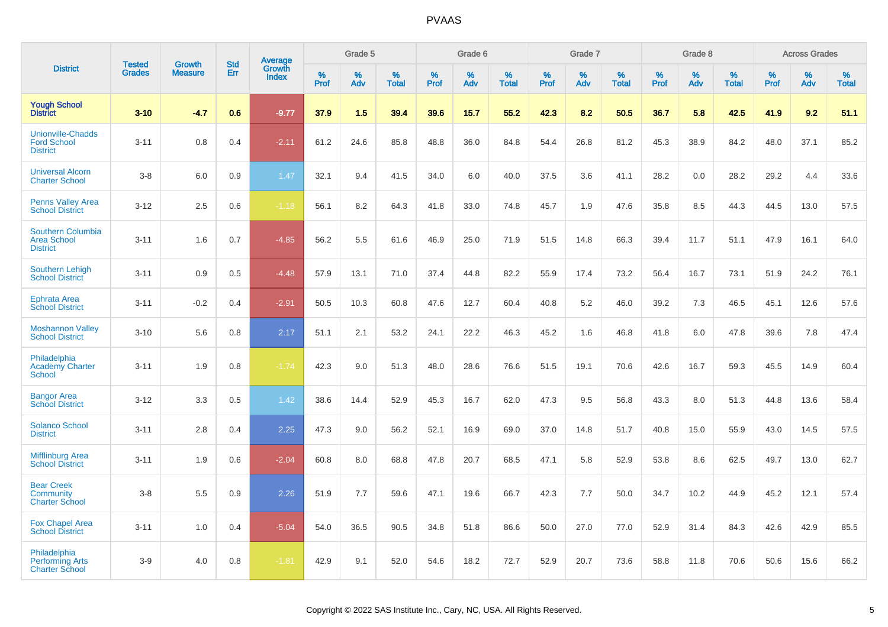|                                                                   |                                | <b>Growth</b>  | <b>Std</b> | Average                |                  | Grade 5  |                   |           | Grade 6  |                   |           | Grade 7  |                   |           | Grade 8  |                   |           | <b>Across Grades</b> |                   |
|-------------------------------------------------------------------|--------------------------------|----------------|------------|------------------------|------------------|----------|-------------------|-----------|----------|-------------------|-----------|----------|-------------------|-----------|----------|-------------------|-----------|----------------------|-------------------|
| <b>District</b>                                                   | <b>Tested</b><br><b>Grades</b> | <b>Measure</b> | Err        | Growth<br><b>Index</b> | %<br><b>Prof</b> | %<br>Adv | %<br><b>Total</b> | %<br>Prof | %<br>Adv | %<br><b>Total</b> | %<br>Prof | %<br>Adv | %<br><b>Total</b> | %<br>Prof | %<br>Adv | %<br><b>Total</b> | %<br>Prof | %<br>Adv             | %<br><b>Total</b> |
| <b>Yough School</b><br><b>District</b>                            | $3 - 10$                       | $-4.7$         | 0.6        | $-9.77$                | 37.9             | 1.5      | 39.4              | 39.6      | 15.7     | 55.2              | 42.3      | 8.2      | 50.5              | 36.7      | 5.8      | 42.5              | 41.9      | 9.2                  | 51.1              |
| <b>Unionville-Chadds</b><br><b>Ford School</b><br><b>District</b> | $3 - 11$                       | 0.8            | 0.4        | $-2.11$                | 61.2             | 24.6     | 85.8              | 48.8      | 36.0     | 84.8              | 54.4      | 26.8     | 81.2              | 45.3      | 38.9     | 84.2              | 48.0      | 37.1                 | 85.2              |
| <b>Universal Alcorn</b><br><b>Charter School</b>                  | $3-8$                          | 6.0            | 0.9        | 1.47                   | 32.1             | 9.4      | 41.5              | 34.0      | 6.0      | 40.0              | 37.5      | 3.6      | 41.1              | 28.2      | 0.0      | 28.2              | 29.2      | 4.4                  | 33.6              |
| <b>Penns Valley Area</b><br><b>School District</b>                | $3 - 12$                       | 2.5            | 0.6        | $-1.18$                | 56.1             | 8.2      | 64.3              | 41.8      | 33.0     | 74.8              | 45.7      | 1.9      | 47.6              | 35.8      | 8.5      | 44.3              | 44.5      | 13.0                 | 57.5              |
| Southern Columbia<br><b>Area School</b><br><b>District</b>        | $3 - 11$                       | 1.6            | 0.7        | $-4.85$                | 56.2             | 5.5      | 61.6              | 46.9      | 25.0     | 71.9              | 51.5      | 14.8     | 66.3              | 39.4      | 11.7     | 51.1              | 47.9      | 16.1                 | 64.0              |
| <b>Southern Lehigh</b><br><b>School District</b>                  | $3 - 11$                       | 0.9            | 0.5        | $-4.48$                | 57.9             | 13.1     | 71.0              | 37.4      | 44.8     | 82.2              | 55.9      | 17.4     | 73.2              | 56.4      | 16.7     | 73.1              | 51.9      | 24.2                 | 76.1              |
| <b>Ephrata Area</b><br><b>School District</b>                     | $3 - 11$                       | $-0.2$         | 0.4        | $-2.91$                | 50.5             | 10.3     | 60.8              | 47.6      | 12.7     | 60.4              | 40.8      | 5.2      | 46.0              | 39.2      | 7.3      | 46.5              | 45.1      | 12.6                 | 57.6              |
| <b>Moshannon Valley</b><br><b>School District</b>                 | $3 - 10$                       | 5.6            | 0.8        | 2.17                   | 51.1             | 2.1      | 53.2              | 24.1      | 22.2     | 46.3              | 45.2      | 1.6      | 46.8              | 41.8      | 6.0      | 47.8              | 39.6      | 7.8                  | 47.4              |
| Philadelphia<br><b>Academy Charter</b><br><b>School</b>           | $3 - 11$                       | 1.9            | 0.8        | $-1.74$                | 42.3             | 9.0      | 51.3              | 48.0      | 28.6     | 76.6              | 51.5      | 19.1     | 70.6              | 42.6      | 16.7     | 59.3              | 45.5      | 14.9                 | 60.4              |
| <b>Bangor Area</b><br><b>School District</b>                      | $3 - 12$                       | 3.3            | 0.5        | 1.42                   | 38.6             | 14.4     | 52.9              | 45.3      | 16.7     | 62.0              | 47.3      | 9.5      | 56.8              | 43.3      | 8.0      | 51.3              | 44.8      | 13.6                 | 58.4              |
| <b>Solanco School</b><br><b>District</b>                          | $3 - 11$                       | 2.8            | 0.4        | 2.25                   | 47.3             | 9.0      | 56.2              | 52.1      | 16.9     | 69.0              | 37.0      | 14.8     | 51.7              | 40.8      | 15.0     | 55.9              | 43.0      | 14.5                 | 57.5              |
| Mifflinburg Area<br><b>School District</b>                        | $3 - 11$                       | 1.9            | 0.6        | $-2.04$                | 60.8             | 8.0      | 68.8              | 47.8      | 20.7     | 68.5              | 47.1      | 5.8      | 52.9              | 53.8      | 8.6      | 62.5              | 49.7      | 13.0                 | 62.7              |
| <b>Bear Creek</b><br><b>Community</b><br><b>Charter School</b>    | $3-8$                          | 5.5            | 0.9        | 2.26                   | 51.9             | 7.7      | 59.6              | 47.1      | 19.6     | 66.7              | 42.3      | 7.7      | 50.0              | 34.7      | 10.2     | 44.9              | 45.2      | 12.1                 | 57.4              |
| <b>Fox Chapel Area</b><br><b>School District</b>                  | $3 - 11$                       | 1.0            | 0.4        | $-5.04$                | 54.0             | 36.5     | 90.5              | 34.8      | 51.8     | 86.6              | 50.0      | 27.0     | 77.0              | 52.9      | 31.4     | 84.3              | 42.6      | 42.9                 | 85.5              |
| Philadelphia<br><b>Performing Arts</b><br><b>Charter School</b>   | $3-9$                          | 4.0            | 0.8        | $-1.81$                | 42.9             | 9.1      | 52.0              | 54.6      | 18.2     | 72.7              | 52.9      | 20.7     | 73.6              | 58.8      | 11.8     | 70.6              | 50.6      | 15.6                 | 66.2              |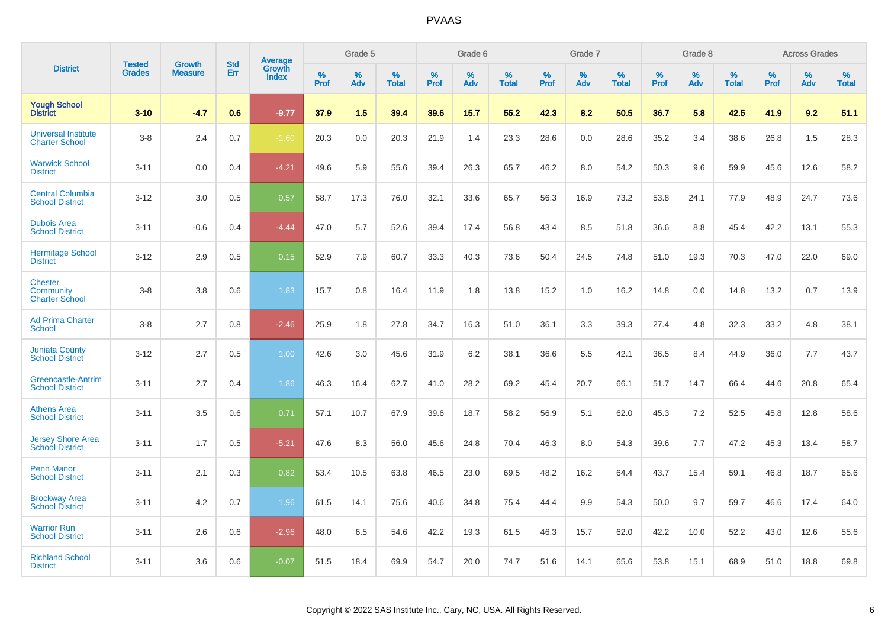| <b>District</b>                                      |                                |                          | <b>Std</b> | Average                |              | Grade 5  |                      |                     | Grade 6     |                      |              | Grade 7     |                   |              | Grade 8     |                   |                     | <b>Across Grades</b> |                   |
|------------------------------------------------------|--------------------------------|--------------------------|------------|------------------------|--------------|----------|----------------------|---------------------|-------------|----------------------|--------------|-------------|-------------------|--------------|-------------|-------------------|---------------------|----------------------|-------------------|
|                                                      | <b>Tested</b><br><b>Grades</b> | Growth<br><b>Measure</b> | Err        | Growth<br><b>Index</b> | $\%$<br>Prof | %<br>Adv | $\%$<br><b>Total</b> | $\%$<br><b>Prof</b> | $\%$<br>Adv | $\%$<br><b>Total</b> | $\%$<br>Prof | $\%$<br>Adv | %<br><b>Total</b> | $\%$<br>Prof | $\%$<br>Adv | %<br><b>Total</b> | $\%$<br><b>Prof</b> | $\%$<br>Adv          | %<br><b>Total</b> |
| <b>Yough School</b><br><b>District</b>               | $3 - 10$                       | $-4.7$                   | 0.6        | $-9.77$                | 37.9         | 1.5      | 39.4                 | 39.6                | 15.7        | 55.2                 | 42.3         | 8.2         | 50.5              | 36.7         | 5.8         | 42.5              | 41.9                | 9.2                  | 51.1              |
| <b>Universal Institute</b><br><b>Charter School</b>  | $3 - 8$                        | 2.4                      | 0.7        | $-1.60$                | 20.3         | 0.0      | 20.3                 | 21.9                | 1.4         | 23.3                 | 28.6         | 0.0         | 28.6              | 35.2         | 3.4         | 38.6              | 26.8                | 1.5                  | 28.3              |
| <b>Warwick School</b><br><b>District</b>             | $3 - 11$                       | 0.0                      | 0.4        | $-4.21$                | 49.6         | 5.9      | 55.6                 | 39.4                | 26.3        | 65.7                 | 46.2         | 8.0         | 54.2              | 50.3         | 9.6         | 59.9              | 45.6                | 12.6                 | 58.2              |
| <b>Central Columbia</b><br><b>School District</b>    | $3 - 12$                       | 3.0                      | 0.5        | 0.57                   | 58.7         | 17.3     | 76.0                 | 32.1                | 33.6        | 65.7                 | 56.3         | 16.9        | 73.2              | 53.8         | 24.1        | 77.9              | 48.9                | 24.7                 | 73.6              |
| <b>Dubois Area</b><br><b>School District</b>         | $3 - 11$                       | $-0.6$                   | 0.4        | $-4.44$                | 47.0         | 5.7      | 52.6                 | 39.4                | 17.4        | 56.8                 | 43.4         | 8.5         | 51.8              | 36.6         | 8.8         | 45.4              | 42.2                | 13.1                 | 55.3              |
| <b>Hermitage School</b><br><b>District</b>           | $3 - 12$                       | 2.9                      | 0.5        | 0.15                   | 52.9         | 7.9      | 60.7                 | 33.3                | 40.3        | 73.6                 | 50.4         | 24.5        | 74.8              | 51.0         | 19.3        | 70.3              | 47.0                | 22.0                 | 69.0              |
| <b>Chester</b><br>Community<br><b>Charter School</b> | $3 - 8$                        | 3.8                      | 0.6        | 1.83                   | 15.7         | 0.8      | 16.4                 | 11.9                | 1.8         | 13.8                 | 15.2         | 1.0         | 16.2              | 14.8         | 0.0         | 14.8              | 13.2                | 0.7                  | 13.9              |
| <b>Ad Prima Charter</b><br><b>School</b>             | $3 - 8$                        | 2.7                      | 0.8        | $-2.46$                | 25.9         | 1.8      | 27.8                 | 34.7                | 16.3        | 51.0                 | 36.1         | 3.3         | 39.3              | 27.4         | 4.8         | 32.3              | 33.2                | 4.8                  | 38.1              |
| <b>Juniata County</b><br><b>School District</b>      | $3 - 12$                       | 2.7                      | 0.5        | 1.00                   | 42.6         | 3.0      | 45.6                 | 31.9                | 6.2         | 38.1                 | 36.6         | 5.5         | 42.1              | 36.5         | 8.4         | 44.9              | 36.0                | 7.7                  | 43.7              |
| Greencastle-Antrim<br><b>School District</b>         | $3 - 11$                       | 2.7                      | 0.4        | 1.86                   | 46.3         | 16.4     | 62.7                 | 41.0                | 28.2        | 69.2                 | 45.4         | 20.7        | 66.1              | 51.7         | 14.7        | 66.4              | 44.6                | 20.8                 | 65.4              |
| <b>Athens Area</b><br><b>School District</b>         | $3 - 11$                       | 3.5                      | 0.6        | 0.71                   | 57.1         | 10.7     | 67.9                 | 39.6                | 18.7        | 58.2                 | 56.9         | 5.1         | 62.0              | 45.3         | 7.2         | 52.5              | 45.8                | 12.8                 | 58.6              |
| <b>Jersey Shore Area</b><br><b>School District</b>   | $3 - 11$                       | 1.7                      | 0.5        | $-5.21$                | 47.6         | 8.3      | 56.0                 | 45.6                | 24.8        | 70.4                 | 46.3         | 8.0         | 54.3              | 39.6         | 7.7         | 47.2              | 45.3                | 13.4                 | 58.7              |
| <b>Penn Manor</b><br><b>School District</b>          | $3 - 11$                       | 2.1                      | 0.3        | 0.82                   | 53.4         | 10.5     | 63.8                 | 46.5                | 23.0        | 69.5                 | 48.2         | 16.2        | 64.4              | 43.7         | 15.4        | 59.1              | 46.8                | 18.7                 | 65.6              |
| <b>Brockway Area</b><br><b>School District</b>       | $3 - 11$                       | 4.2                      | 0.7        | 1.96                   | 61.5         | 14.1     | 75.6                 | 40.6                | 34.8        | 75.4                 | 44.4         | 9.9         | 54.3              | 50.0         | 9.7         | 59.7              | 46.6                | 17.4                 | 64.0              |
| <b>Warrior Run</b><br><b>School District</b>         | $3 - 11$                       | 2.6                      | 0.6        | $-2.96$                | 48.0         | 6.5      | 54.6                 | 42.2                | 19.3        | 61.5                 | 46.3         | 15.7        | 62.0              | 42.2         | 10.0        | 52.2              | 43.0                | 12.6                 | 55.6              |
| <b>Richland School</b><br><b>District</b>            | $3 - 11$                       | 3.6                      | 0.6        | $-0.07$                | 51.5         | 18.4     | 69.9                 | 54.7                | 20.0        | 74.7                 | 51.6         | 14.1        | 65.6              | 53.8         | 15.1        | 68.9              | 51.0                | 18.8                 | 69.8              |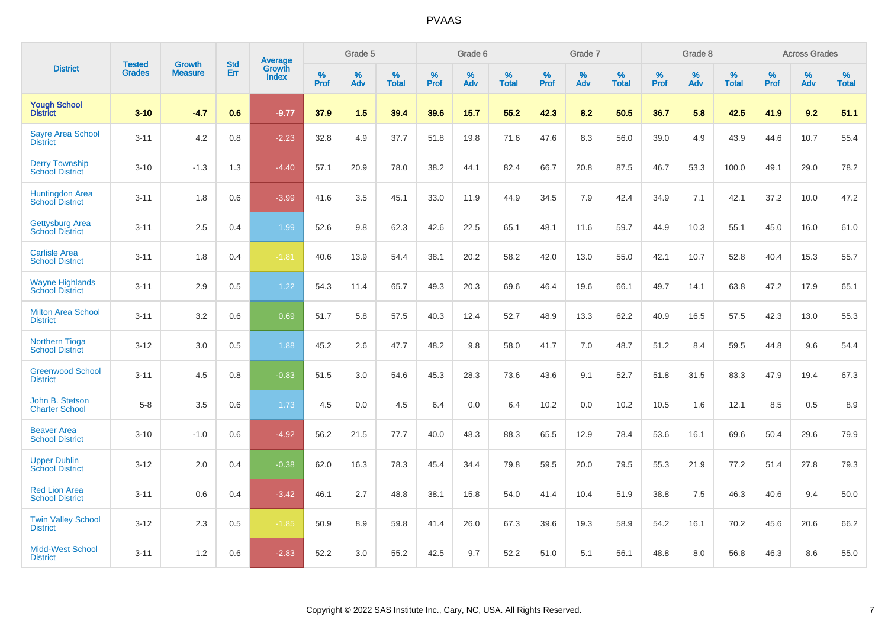|                                                  |                                |                                 | <b>Std</b> | <b>Average</b>         |           | Grade 5  |                   |           | Grade 6  |                   |           | Grade 7  |                   |           | Grade 8  |                   |           | <b>Across Grades</b> |                   |
|--------------------------------------------------|--------------------------------|---------------------------------|------------|------------------------|-----------|----------|-------------------|-----------|----------|-------------------|-----------|----------|-------------------|-----------|----------|-------------------|-----------|----------------------|-------------------|
| <b>District</b>                                  | <b>Tested</b><br><b>Grades</b> | <b>Growth</b><br><b>Measure</b> | Err        | Growth<br><b>Index</b> | %<br>Prof | %<br>Adv | %<br><b>Total</b> | %<br>Prof | %<br>Adv | %<br><b>Total</b> | %<br>Prof | %<br>Adv | %<br><b>Total</b> | %<br>Prof | %<br>Adv | %<br><b>Total</b> | %<br>Prof | %<br>Adv             | %<br><b>Total</b> |
| <b>Yough School</b><br><b>District</b>           | $3 - 10$                       | $-4.7$                          | 0.6        | $-9.77$                | 37.9      | 1.5      | 39.4              | 39.6      | 15.7     | 55.2              | 42.3      | 8.2      | 50.5              | 36.7      | 5.8      | 42.5              | 41.9      | 9.2                  | 51.1              |
| <b>Sayre Area School</b><br><b>District</b>      | $3 - 11$                       | 4.2                             | 0.8        | $-2.23$                | 32.8      | 4.9      | 37.7              | 51.8      | 19.8     | 71.6              | 47.6      | 8.3      | 56.0              | 39.0      | 4.9      | 43.9              | 44.6      | 10.7                 | 55.4              |
| <b>Derry Township</b><br><b>School District</b>  | $3 - 10$                       | $-1.3$                          | 1.3        | $-4.40$                | 57.1      | 20.9     | 78.0              | 38.2      | 44.1     | 82.4              | 66.7      | 20.8     | 87.5              | 46.7      | 53.3     | 100.0             | 49.1      | 29.0                 | 78.2              |
| Huntingdon Area<br>School District               | $3 - 11$                       | 1.8                             | 0.6        | $-3.99$                | 41.6      | 3.5      | 45.1              | 33.0      | 11.9     | 44.9              | 34.5      | 7.9      | 42.4              | 34.9      | 7.1      | 42.1              | 37.2      | 10.0                 | 47.2              |
| <b>Gettysburg Area</b><br><b>School District</b> | $3 - 11$                       | 2.5                             | 0.4        | 1.99                   | 52.6      | 9.8      | 62.3              | 42.6      | 22.5     | 65.1              | 48.1      | 11.6     | 59.7              | 44.9      | 10.3     | 55.1              | 45.0      | 16.0                 | 61.0              |
| <b>Carlisle Area</b><br><b>School District</b>   | $3 - 11$                       | 1.8                             | 0.4        | $-1.81$                | 40.6      | 13.9     | 54.4              | 38.1      | 20.2     | 58.2              | 42.0      | 13.0     | 55.0              | 42.1      | 10.7     | 52.8              | 40.4      | 15.3                 | 55.7              |
| <b>Wayne Highlands</b><br><b>School District</b> | $3 - 11$                       | 2.9                             | 0.5        | 1.22                   | 54.3      | 11.4     | 65.7              | 49.3      | 20.3     | 69.6              | 46.4      | 19.6     | 66.1              | 49.7      | 14.1     | 63.8              | 47.2      | 17.9                 | 65.1              |
| <b>Milton Area School</b><br><b>District</b>     | $3 - 11$                       | 3.2                             | 0.6        | 0.69                   | 51.7      | 5.8      | 57.5              | 40.3      | 12.4     | 52.7              | 48.9      | 13.3     | 62.2              | 40.9      | 16.5     | 57.5              | 42.3      | 13.0                 | 55.3              |
| <b>Northern Tioga</b><br><b>School District</b>  | $3 - 12$                       | 3.0                             | 0.5        | 1.88                   | 45.2      | 2.6      | 47.7              | 48.2      | 9.8      | 58.0              | 41.7      | 7.0      | 48.7              | 51.2      | 8.4      | 59.5              | 44.8      | 9.6                  | 54.4              |
| <b>Greenwood School</b><br><b>District</b>       | $3 - 11$                       | 4.5                             | 0.8        | $-0.83$                | 51.5      | 3.0      | 54.6              | 45.3      | 28.3     | 73.6              | 43.6      | 9.1      | 52.7              | 51.8      | 31.5     | 83.3              | 47.9      | 19.4                 | 67.3              |
| John B. Stetson<br><b>Charter School</b>         | $5 - 8$                        | 3.5                             | 0.6        | 1.73                   | 4.5       | 0.0      | 4.5               | 6.4       | 0.0      | 6.4               | 10.2      | 0.0      | 10.2              | 10.5      | 1.6      | 12.1              | 8.5       | 0.5                  | 8.9               |
| <b>Beaver Area</b><br><b>School District</b>     | $3 - 10$                       | $-1.0$                          | 0.6        | $-4.92$                | 56.2      | 21.5     | 77.7              | 40.0      | 48.3     | 88.3              | 65.5      | 12.9     | 78.4              | 53.6      | 16.1     | 69.6              | 50.4      | 29.6                 | 79.9              |
| <b>Upper Dublin</b><br><b>School District</b>    | $3 - 12$                       | 2.0                             | 0.4        | $-0.38$                | 62.0      | 16.3     | 78.3              | 45.4      | 34.4     | 79.8              | 59.5      | 20.0     | 79.5              | 55.3      | 21.9     | 77.2              | 51.4      | 27.8                 | 79.3              |
| <b>Red Lion Area</b><br><b>School District</b>   | $3 - 11$                       | 0.6                             | 0.4        | $-3.42$                | 46.1      | 2.7      | 48.8              | 38.1      | 15.8     | 54.0              | 41.4      | 10.4     | 51.9              | 38.8      | 7.5      | 46.3              | 40.6      | 9.4                  | 50.0              |
| <b>Twin Valley School</b><br><b>District</b>     | $3 - 12$                       | 2.3                             | 0.5        | $-1.85$                | 50.9      | 8.9      | 59.8              | 41.4      | 26.0     | 67.3              | 39.6      | 19.3     | 58.9              | 54.2      | 16.1     | 70.2              | 45.6      | 20.6                 | 66.2              |
| <b>Midd-West School</b><br><b>District</b>       | $3 - 11$                       | 1.2                             | 0.6        | $-2.83$                | 52.2      | 3.0      | 55.2              | 42.5      | 9.7      | 52.2              | 51.0      | 5.1      | 56.1              | 48.8      | 8.0      | 56.8              | 46.3      | 8.6                  | 55.0              |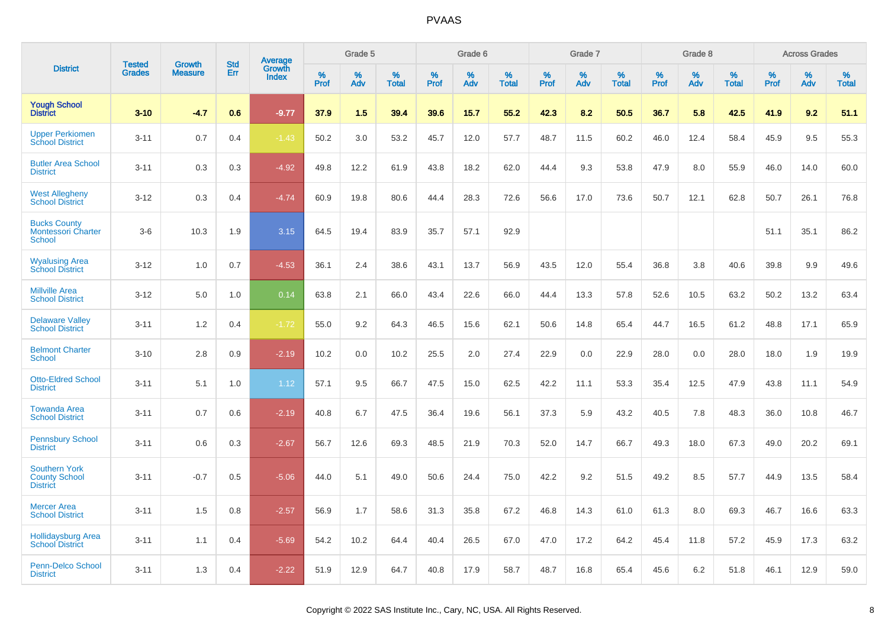|                                                                 | <b>Tested</b> | <b>Growth</b>  | <b>Std</b> | <b>Average</b>         |              | Grade 5  |                   |              | Grade 6  |                   |              | Grade 7  |                   |              | Grade 8  |                   |           | <b>Across Grades</b> |                   |
|-----------------------------------------------------------------|---------------|----------------|------------|------------------------|--------------|----------|-------------------|--------------|----------|-------------------|--------------|----------|-------------------|--------------|----------|-------------------|-----------|----------------------|-------------------|
| <b>District</b>                                                 | <b>Grades</b> | <b>Measure</b> | Err        | Growth<br><b>Index</b> | $\%$<br>Prof | %<br>Adv | %<br><b>Total</b> | $\%$<br>Prof | %<br>Adv | %<br><b>Total</b> | $\%$<br>Prof | %<br>Adv | %<br><b>Total</b> | $\%$<br>Prof | %<br>Adv | %<br><b>Total</b> | %<br>Prof | %<br>Adv             | %<br><b>Total</b> |
| <b>Yough School</b><br><b>District</b>                          | $3 - 10$      | $-4.7$         | 0.6        | $-9.77$                | 37.9         | 1.5      | 39.4              | 39.6         | 15.7     | 55.2              | 42.3         | 8.2      | 50.5              | 36.7         | 5.8      | 42.5              | 41.9      | 9.2                  | 51.1              |
| <b>Upper Perkiomen</b><br><b>School District</b>                | $3 - 11$      | 0.7            | 0.4        | $-1.43$                | 50.2         | 3.0      | 53.2              | 45.7         | 12.0     | 57.7              | 48.7         | 11.5     | 60.2              | 46.0         | 12.4     | 58.4              | 45.9      | 9.5                  | 55.3              |
| <b>Butler Area School</b><br><b>District</b>                    | $3 - 11$      | 0.3            | 0.3        | $-4.92$                | 49.8         | 12.2     | 61.9              | 43.8         | 18.2     | 62.0              | 44.4         | 9.3      | 53.8              | 47.9         | 8.0      | 55.9              | 46.0      | 14.0                 | 60.0              |
| <b>West Allegheny</b><br><b>School District</b>                 | $3 - 12$      | 0.3            | 0.4        | $-4.74$                | 60.9         | 19.8     | 80.6              | 44.4         | 28.3     | 72.6              | 56.6         | 17.0     | 73.6              | 50.7         | 12.1     | 62.8              | 50.7      | 26.1                 | 76.8              |
| <b>Bucks County</b><br><b>Montessori Charter</b><br>School      | $3-6$         | 10.3           | 1.9        | 3.15                   | 64.5         | 19.4     | 83.9              | 35.7         | 57.1     | 92.9              |              |          |                   |              |          |                   | 51.1      | 35.1                 | 86.2              |
| <b>Wyalusing Area</b><br><b>School District</b>                 | $3 - 12$      | 1.0            | 0.7        | $-4.53$                | 36.1         | 2.4      | 38.6              | 43.1         | 13.7     | 56.9              | 43.5         | 12.0     | 55.4              | 36.8         | 3.8      | 40.6              | 39.8      | 9.9                  | 49.6              |
| <b>Millville Area</b><br><b>School District</b>                 | $3 - 12$      | 5.0            | 1.0        | 0.14                   | 63.8         | 2.1      | 66.0              | 43.4         | 22.6     | 66.0              | 44.4         | 13.3     | 57.8              | 52.6         | 10.5     | 63.2              | 50.2      | 13.2                 | 63.4              |
| <b>Delaware Valley</b><br><b>School District</b>                | $3 - 11$      | 1.2            | 0.4        | $-1.72$                | 55.0         | 9.2      | 64.3              | 46.5         | 15.6     | 62.1              | 50.6         | 14.8     | 65.4              | 44.7         | 16.5     | 61.2              | 48.8      | 17.1                 | 65.9              |
| <b>Belmont Charter</b><br><b>School</b>                         | $3 - 10$      | 2.8            | 0.9        | $-2.19$                | 10.2         | 0.0      | 10.2              | 25.5         | 2.0      | 27.4              | 22.9         | 0.0      | 22.9              | 28.0         | 0.0      | 28.0              | 18.0      | 1.9                  | 19.9              |
| <b>Otto-Eldred School</b><br><b>District</b>                    | $3 - 11$      | 5.1            | $1.0\,$    | 1.12                   | 57.1         | 9.5      | 66.7              | 47.5         | 15.0     | 62.5              | 42.2         | 11.1     | 53.3              | 35.4         | 12.5     | 47.9              | 43.8      | 11.1                 | 54.9              |
| <b>Towanda Area</b><br><b>School District</b>                   | $3 - 11$      | 0.7            | 0.6        | $-2.19$                | 40.8         | 6.7      | 47.5              | 36.4         | 19.6     | 56.1              | 37.3         | 5.9      | 43.2              | 40.5         | 7.8      | 48.3              | 36.0      | 10.8                 | 46.7              |
| <b>Pennsbury School</b><br><b>District</b>                      | $3 - 11$      | 0.6            | 0.3        | $-2.67$                | 56.7         | 12.6     | 69.3              | 48.5         | 21.9     | 70.3              | 52.0         | 14.7     | 66.7              | 49.3         | 18.0     | 67.3              | 49.0      | 20.2                 | 69.1              |
| <b>Southern York</b><br><b>County School</b><br><b>District</b> | $3 - 11$      | $-0.7$         | 0.5        | $-5.06$                | 44.0         | 5.1      | 49.0              | 50.6         | 24.4     | 75.0              | 42.2         | 9.2      | 51.5              | 49.2         | 8.5      | 57.7              | 44.9      | 13.5                 | 58.4              |
| <b>Mercer Area</b><br><b>School District</b>                    | $3 - 11$      | 1.5            | 0.8        | $-2.57$                | 56.9         | 1.7      | 58.6              | 31.3         | 35.8     | 67.2              | 46.8         | 14.3     | 61.0              | 61.3         | 8.0      | 69.3              | 46.7      | 16.6                 | 63.3              |
| <b>Hollidaysburg Area</b><br><b>School District</b>             | $3 - 11$      | 1.1            | 0.4        | $-5.69$                | 54.2         | 10.2     | 64.4              | 40.4         | 26.5     | 67.0              | 47.0         | 17.2     | 64.2              | 45.4         | 11.8     | 57.2              | 45.9      | 17.3                 | 63.2              |
| Penn-Delco School<br><b>District</b>                            | $3 - 11$      | 1.3            | 0.4        | $-2.22$                | 51.9         | 12.9     | 64.7              | 40.8         | 17.9     | 58.7              | 48.7         | 16.8     | 65.4              | 45.6         | 6.2      | 51.8              | 46.1      | 12.9                 | 59.0              |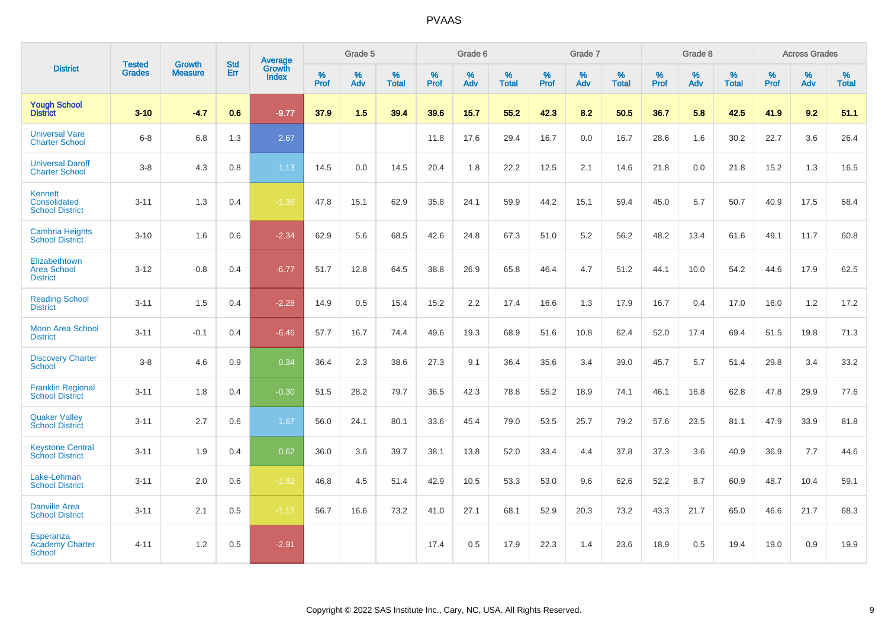|                                                          |                                |                                 | <b>Std</b> | Average                |           | Grade 5  |                   |           | Grade 6  |                   |           | Grade 7  |                   |           | Grade 8  |                   |           | <b>Across Grades</b> |                   |
|----------------------------------------------------------|--------------------------------|---------------------------------|------------|------------------------|-----------|----------|-------------------|-----------|----------|-------------------|-----------|----------|-------------------|-----------|----------|-------------------|-----------|----------------------|-------------------|
| <b>District</b>                                          | <b>Tested</b><br><b>Grades</b> | <b>Growth</b><br><b>Measure</b> | Err        | Growth<br><b>Index</b> | %<br>Prof | %<br>Adv | %<br><b>Total</b> | %<br>Prof | %<br>Adv | %<br><b>Total</b> | %<br>Prof | %<br>Adv | %<br><b>Total</b> | %<br>Prof | %<br>Adv | %<br><b>Total</b> | %<br>Prof | %<br>Adv             | %<br><b>Total</b> |
| <b>Yough School</b><br><b>District</b>                   | $3 - 10$                       | $-4.7$                          | 0.6        | $-9.77$                | 37.9      | 1.5      | 39.4              | 39.6      | 15.7     | 55.2              | 42.3      | 8.2      | 50.5              | 36.7      | 5.8      | 42.5              | 41.9      | 9.2                  | 51.1              |
| <b>Universal Vare</b><br><b>Charter School</b>           | $6 - 8$                        | 6.8                             | 1.3        | 2.67                   |           |          |                   | 11.8      | 17.6     | 29.4              | 16.7      | 0.0      | 16.7              | 28.6      | 1.6      | 30.2              | 22.7      | 3.6                  | 26.4              |
| <b>Universal Daroff</b><br><b>Charter School</b>         | $3-8$                          | 4.3                             | 0.8        | 1.13                   | 14.5      | 0.0      | 14.5              | 20.4      | 1.8      | 22.2              | 12.5      | 2.1      | 14.6              | 21.8      | 0.0      | 21.8              | 15.2      | 1.3                  | 16.5              |
| <b>Kennett</b><br>Consolidated<br><b>School District</b> | $3 - 11$                       | 1.3                             | 0.4        | $-1.36$                | 47.8      | 15.1     | 62.9              | 35.8      | 24.1     | 59.9              | 44.2      | 15.1     | 59.4              | 45.0      | 5.7      | 50.7              | 40.9      | 17.5                 | 58.4              |
| <b>Cambria Heights</b><br><b>School District</b>         | $3 - 10$                       | 1.6                             | 0.6        | $-2.34$                | 62.9      | 5.6      | 68.5              | 42.6      | 24.8     | 67.3              | 51.0      | 5.2      | 56.2              | 48.2      | 13.4     | 61.6              | 49.1      | 11.7                 | 60.8              |
| Elizabethtown<br><b>Area School</b><br><b>District</b>   | $3 - 12$                       | $-0.8$                          | 0.4        | $-6.77$                | 51.7      | 12.8     | 64.5              | 38.8      | 26.9     | 65.8              | 46.4      | 4.7      | 51.2              | 44.1      | 10.0     | 54.2              | 44.6      | 17.9                 | 62.5              |
| <b>Reading School</b><br><b>District</b>                 | $3 - 11$                       | 1.5                             | 0.4        | $-2.28$                | 14.9      | 0.5      | 15.4              | 15.2      | 2.2      | 17.4              | 16.6      | 1.3      | 17.9              | 16.7      | 0.4      | 17.0              | 16.0      | 1.2                  | 17.2              |
| <b>Moon Area School</b><br><b>District</b>               | $3 - 11$                       | $-0.1$                          | 0.4        | $-6.46$                | 57.7      | 16.7     | 74.4              | 49.6      | 19.3     | 68.9              | 51.6      | 10.8     | 62.4              | 52.0      | 17.4     | 69.4              | 51.5      | 19.8                 | 71.3              |
| <b>Discovery Charter</b><br><b>School</b>                | $3 - 8$                        | 4.6                             | 0.9        | 0.34                   | 36.4      | 2.3      | 38.6              | 27.3      | 9.1      | 36.4              | 35.6      | 3.4      | 39.0              | 45.7      | 5.7      | 51.4              | 29.8      | 3.4                  | 33.2              |
| <b>Franklin Regional</b><br><b>School District</b>       | $3 - 11$                       | 1.8                             | 0.4        | $-0.30$                | 51.5      | 28.2     | 79.7              | 36.5      | 42.3     | 78.8              | 55.2      | 18.9     | 74.1              | 46.1      | 16.8     | 62.8              | 47.8      | 29.9                 | 77.6              |
| <b>Quaker Valley</b><br><b>School District</b>           | $3 - 11$                       | 2.7                             | 0.6        | 1.67                   | 56.0      | 24.1     | 80.1              | 33.6      | 45.4     | 79.0              | 53.5      | 25.7     | 79.2              | 57.6      | 23.5     | 81.1              | 47.9      | 33.9                 | 81.8              |
| <b>Keystone Central</b><br><b>School District</b>        | $3 - 11$                       | 1.9                             | 0.4        | 0.62                   | 36.0      | 3.6      | 39.7              | 38.1      | 13.8     | 52.0              | 33.4      | 4.4      | 37.8              | 37.3      | 3.6      | 40.9              | 36.9      | 7.7                  | 44.6              |
| Lake-Lehman<br><b>School District</b>                    | $3 - 11$                       | 2.0                             | 0.6        | $-1.92$                | 46.8      | 4.5      | 51.4              | 42.9      | 10.5     | 53.3              | 53.0      | 9.6      | 62.6              | 52.2      | 8.7      | 60.9              | 48.7      | 10.4                 | 59.1              |
| <b>Danville Area</b><br><b>School District</b>           | $3 - 11$                       | 2.1                             | 0.5        | $-1.17$                | 56.7      | 16.6     | 73.2              | 41.0      | 27.1     | 68.1              | 52.9      | 20.3     | 73.2              | 43.3      | 21.7     | 65.0              | 46.6      | 21.7                 | 68.3              |
| Esperanza<br><b>Academy Charter</b><br><b>School</b>     | $4 - 11$                       | 1.2                             | 0.5        | $-2.91$                |           |          |                   | 17.4      | 0.5      | 17.9              | 22.3      | 1.4      | 23.6              | 18.9      | 0.5      | 19.4              | 19.0      | 0.9                  | 19.9              |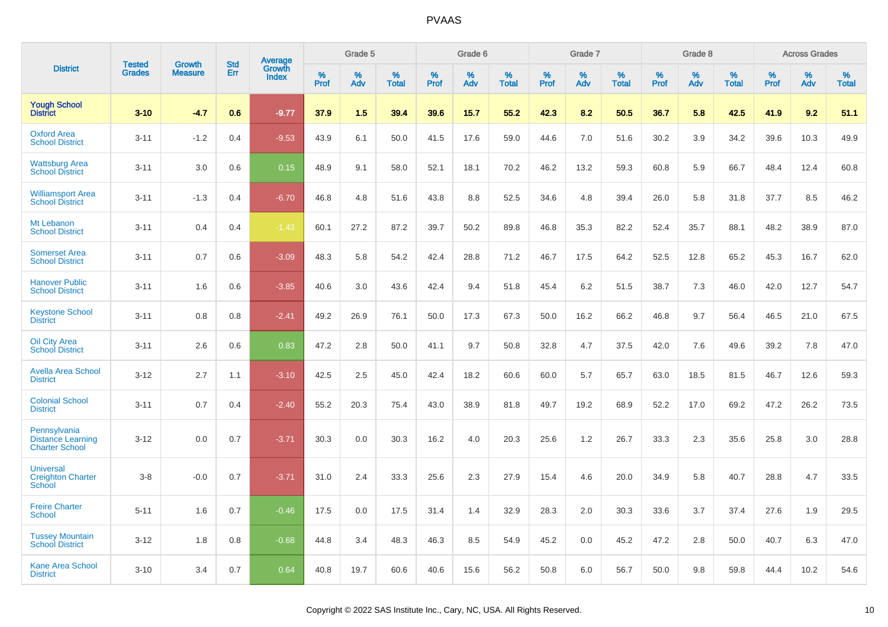|                                                                   | <b>Tested</b> |                                 | <b>Std</b> |                                          |                     | Grade 5  |                   |              | Grade 6  |                   |              | Grade 7  |                   |              | Grade 8  |                   |           | <b>Across Grades</b> |                   |
|-------------------------------------------------------------------|---------------|---------------------------------|------------|------------------------------------------|---------------------|----------|-------------------|--------------|----------|-------------------|--------------|----------|-------------------|--------------|----------|-------------------|-----------|----------------------|-------------------|
| <b>District</b>                                                   | <b>Grades</b> | <b>Growth</b><br><b>Measure</b> | Err        | <b>Average</b><br>Growth<br><b>Index</b> | $\%$<br><b>Prof</b> | %<br>Adv | %<br><b>Total</b> | $\%$<br>Prof | %<br>Adv | %<br><b>Total</b> | $\%$<br>Prof | %<br>Adv | %<br><b>Total</b> | $\%$<br>Prof | %<br>Adv | %<br><b>Total</b> | %<br>Prof | %<br>Adv             | %<br><b>Total</b> |
| <b>Yough School</b><br><b>District</b>                            | $3 - 10$      | $-4.7$                          | 0.6        | $-9.77$                                  | 37.9                | 1.5      | 39.4              | 39.6         | 15.7     | 55.2              | 42.3         | 8.2      | 50.5              | 36.7         | 5.8      | 42.5              | 41.9      | 9.2                  | 51.1              |
| <b>Oxford Area</b><br><b>School District</b>                      | $3 - 11$      | $-1.2$                          | 0.4        | $-9.53$                                  | 43.9                | 6.1      | 50.0              | 41.5         | 17.6     | 59.0              | 44.6         | 7.0      | 51.6              | 30.2         | 3.9      | 34.2              | 39.6      | 10.3                 | 49.9              |
| <b>Wattsburg Area</b><br><b>School District</b>                   | $3 - 11$      | 3.0                             | 0.6        | 0.15                                     | 48.9                | 9.1      | 58.0              | 52.1         | 18.1     | 70.2              | 46.2         | 13.2     | 59.3              | 60.8         | 5.9      | 66.7              | 48.4      | 12.4                 | 60.8              |
| <b>Williamsport Area</b><br><b>School District</b>                | $3 - 11$      | $-1.3$                          | 0.4        | $-6.70$                                  | 46.8                | 4.8      | 51.6              | 43.8         | 8.8      | 52.5              | 34.6         | 4.8      | 39.4              | 26.0         | 5.8      | 31.8              | 37.7      | 8.5                  | 46.2              |
| Mt Lebanon<br><b>School District</b>                              | $3 - 11$      | 0.4                             | 0.4        | $-1.43$                                  | 60.1                | 27.2     | 87.2              | 39.7         | 50.2     | 89.8              | 46.8         | 35.3     | 82.2              | 52.4         | 35.7     | 88.1              | 48.2      | 38.9                 | 87.0              |
| <b>Somerset Area</b><br><b>School District</b>                    | $3 - 11$      | 0.7                             | 0.6        | $-3.09$                                  | 48.3                | 5.8      | 54.2              | 42.4         | 28.8     | 71.2              | 46.7         | 17.5     | 64.2              | 52.5         | 12.8     | 65.2              | 45.3      | 16.7                 | 62.0              |
| <b>Hanover Public</b><br><b>School District</b>                   | $3 - 11$      | 1.6                             | 0.6        | $-3.85$                                  | 40.6                | 3.0      | 43.6              | 42.4         | 9.4      | 51.8              | 45.4         | 6.2      | 51.5              | 38.7         | 7.3      | 46.0              | 42.0      | 12.7                 | 54.7              |
| <b>Keystone School</b><br><b>District</b>                         | $3 - 11$      | 0.8                             | 0.8        | $-2.41$                                  | 49.2                | 26.9     | 76.1              | 50.0         | 17.3     | 67.3              | 50.0         | 16.2     | 66.2              | 46.8         | 9.7      | 56.4              | 46.5      | 21.0                 | 67.5              |
| <b>Oil City Area</b><br><b>School District</b>                    | $3 - 11$      | 2.6                             | 0.6        | 0.83                                     | 47.2                | 2.8      | 50.0              | 41.1         | 9.7      | 50.8              | 32.8         | 4.7      | 37.5              | 42.0         | 7.6      | 49.6              | 39.2      | 7.8                  | 47.0              |
| <b>Avella Area School</b><br><b>District</b>                      | $3 - 12$      | 2.7                             | 1.1        | $-3.10$                                  | 42.5                | 2.5      | 45.0              | 42.4         | 18.2     | 60.6              | 60.0         | 5.7      | 65.7              | 63.0         | 18.5     | 81.5              | 46.7      | 12.6                 | 59.3              |
| <b>Colonial School</b><br><b>District</b>                         | $3 - 11$      | 0.7                             | 0.4        | $-2.40$                                  | 55.2                | 20.3     | 75.4              | 43.0         | 38.9     | 81.8              | 49.7         | 19.2     | 68.9              | 52.2         | 17.0     | 69.2              | 47.2      | 26.2                 | 73.5              |
| Pennsylvania<br><b>Distance Learning</b><br><b>Charter School</b> | $3 - 12$      | 0.0                             | 0.7        | $-3.71$                                  | 30.3                | 0.0      | 30.3              | 16.2         | 4.0      | 20.3              | 25.6         | 1.2      | 26.7              | 33.3         | 2.3      | 35.6              | 25.8      | 3.0                  | 28.8              |
| <b>Universal</b><br><b>Creighton Charter</b><br>School            | $3-8$         | $-0.0$                          | 0.7        | $-3.71$                                  | 31.0                | 2.4      | 33.3              | 25.6         | 2.3      | 27.9              | 15.4         | 4.6      | 20.0              | 34.9         | 5.8      | 40.7              | 28.8      | 4.7                  | 33.5              |
| <b>Freire Charter</b><br><b>School</b>                            | $5 - 11$      | 1.6                             | 0.7        | $-0.46$                                  | 17.5                | 0.0      | 17.5              | 31.4         | 1.4      | 32.9              | 28.3         | 2.0      | 30.3              | 33.6         | 3.7      | 37.4              | 27.6      | 1.9                  | 29.5              |
| <b>Tussey Mountain</b><br><b>School District</b>                  | $3 - 12$      | 1.8                             | 0.8        | $-0.68$                                  | 44.8                | 3.4      | 48.3              | 46.3         | 8.5      | 54.9              | 45.2         | 0.0      | 45.2              | 47.2         | 2.8      | 50.0              | 40.7      | 6.3                  | 47.0              |
| <b>Kane Area School</b><br><b>District</b>                        | $3 - 10$      | 3.4                             | 0.7        | 0.64                                     | 40.8                | 19.7     | 60.6              | 40.6         | 15.6     | 56.2              | 50.8         | 6.0      | 56.7              | 50.0         | 9.8      | 59.8              | 44.4      | 10.2                 | 54.6              |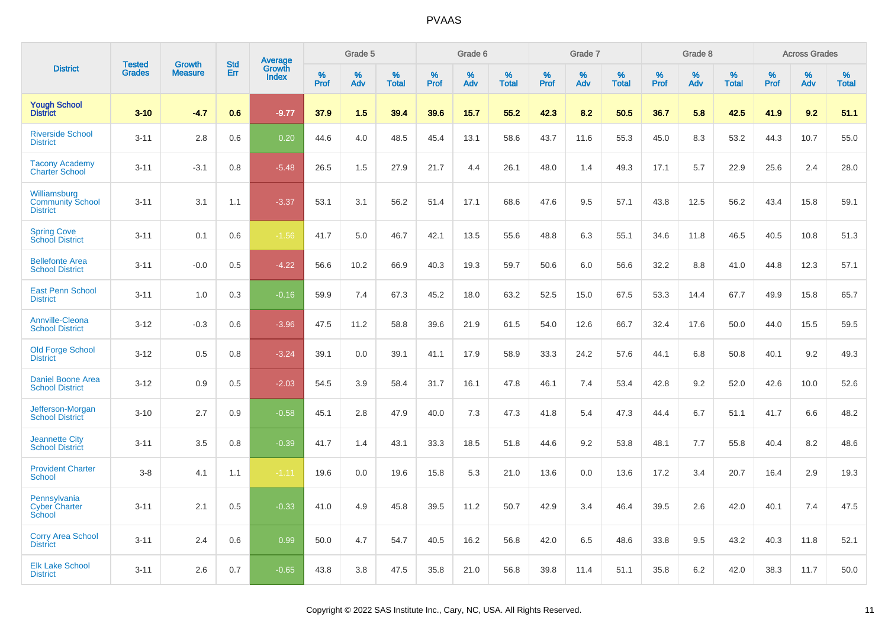|                                                            | <b>Tested</b> | <b>Growth</b>  | <b>Std</b> | Average                |              | Grade 5  |                   |              | Grade 6  |                   |              | Grade 7  |                   |              | Grade 8  |                   |              | <b>Across Grades</b> |                   |
|------------------------------------------------------------|---------------|----------------|------------|------------------------|--------------|----------|-------------------|--------------|----------|-------------------|--------------|----------|-------------------|--------------|----------|-------------------|--------------|----------------------|-------------------|
| <b>District</b>                                            | <b>Grades</b> | <b>Measure</b> | Err        | Growth<br><b>Index</b> | $\%$<br>Prof | %<br>Adv | %<br><b>Total</b> | $\%$<br>Prof | %<br>Adv | %<br><b>Total</b> | $\%$<br>Prof | %<br>Adv | %<br><b>Total</b> | $\%$<br>Prof | %<br>Adv | %<br><b>Total</b> | $\%$<br>Prof | %<br>Adv             | %<br><b>Total</b> |
| <b>Yough School</b><br><b>District</b>                     | $3 - 10$      | $-4.7$         | 0.6        | $-9.77$                | 37.9         | 1.5      | 39.4              | 39.6         | 15.7     | 55.2              | 42.3         | 8.2      | 50.5              | 36.7         | 5.8      | 42.5              | 41.9         | 9.2                  | 51.1              |
| <b>Riverside School</b><br><b>District</b>                 | $3 - 11$      | 2.8            | 0.6        | 0.20                   | 44.6         | 4.0      | 48.5              | 45.4         | 13.1     | 58.6              | 43.7         | 11.6     | 55.3              | 45.0         | 8.3      | 53.2              | 44.3         | 10.7                 | 55.0              |
| <b>Tacony Academy</b><br><b>Charter School</b>             | $3 - 11$      | $-3.1$         | 0.8        | $-5.48$                | 26.5         | 1.5      | 27.9              | 21.7         | 4.4      | 26.1              | 48.0         | 1.4      | 49.3              | 17.1         | 5.7      | 22.9              | 25.6         | 2.4                  | 28.0              |
| Williamsburg<br><b>Community School</b><br><b>District</b> | $3 - 11$      | 3.1            | 1.1        | $-3.37$                | 53.1         | 3.1      | 56.2              | 51.4         | 17.1     | 68.6              | 47.6         | 9.5      | 57.1              | 43.8         | 12.5     | 56.2              | 43.4         | 15.8                 | 59.1              |
| <b>Spring Cove</b><br>School District                      | $3 - 11$      | 0.1            | 0.6        | $-1.56$                | 41.7         | 5.0      | 46.7              | 42.1         | 13.5     | 55.6              | 48.8         | 6.3      | 55.1              | 34.6         | 11.8     | 46.5              | 40.5         | 10.8                 | 51.3              |
| <b>Bellefonte Area</b><br><b>School District</b>           | $3 - 11$      | $-0.0$         | 0.5        | $-4.22$                | 56.6         | 10.2     | 66.9              | 40.3         | 19.3     | 59.7              | 50.6         | 6.0      | 56.6              | 32.2         | 8.8      | 41.0              | 44.8         | 12.3                 | 57.1              |
| <b>East Penn School</b><br><b>District</b>                 | $3 - 11$      | 1.0            | 0.3        | $-0.16$                | 59.9         | 7.4      | 67.3              | 45.2         | 18.0     | 63.2              | 52.5         | 15.0     | 67.5              | 53.3         | 14.4     | 67.7              | 49.9         | 15.8                 | 65.7              |
| <b>Annville-Cleona</b><br><b>School District</b>           | $3 - 12$      | $-0.3$         | 0.6        | $-3.96$                | 47.5         | 11.2     | 58.8              | 39.6         | 21.9     | 61.5              | 54.0         | 12.6     | 66.7              | 32.4         | 17.6     | 50.0              | 44.0         | 15.5                 | 59.5              |
| <b>Old Forge School</b><br><b>District</b>                 | $3 - 12$      | 0.5            | 0.8        | $-3.24$                | 39.1         | 0.0      | 39.1              | 41.1         | 17.9     | 58.9              | 33.3         | 24.2     | 57.6              | 44.1         | 6.8      | 50.8              | 40.1         | 9.2                  | 49.3              |
| <b>Daniel Boone Area</b><br><b>School District</b>         | $3 - 12$      | 0.9            | 0.5        | $-2.03$                | 54.5         | 3.9      | 58.4              | 31.7         | 16.1     | 47.8              | 46.1         | 7.4      | 53.4              | 42.8         | 9.2      | 52.0              | 42.6         | 10.0                 | 52.6              |
| Jefferson-Morgan<br><b>School District</b>                 | $3 - 10$      | 2.7            | 0.9        | $-0.58$                | 45.1         | 2.8      | 47.9              | 40.0         | 7.3      | 47.3              | 41.8         | 5.4      | 47.3              | 44.4         | 6.7      | 51.1              | 41.7         | 6.6                  | 48.2              |
| <b>Jeannette City</b><br><b>School District</b>            | $3 - 11$      | 3.5            | 0.8        | $-0.39$                | 41.7         | 1.4      | 43.1              | 33.3         | 18.5     | 51.8              | 44.6         | 9.2      | 53.8              | 48.1         | 7.7      | 55.8              | 40.4         | 8.2                  | 48.6              |
| <b>Provident Charter</b><br><b>School</b>                  | $3 - 8$       | 4.1            | 1.1        | $-1.11$                | 19.6         | 0.0      | 19.6              | 15.8         | 5.3      | 21.0              | 13.6         | 0.0      | 13.6              | 17.2         | 3.4      | 20.7              | 16.4         | 2.9                  | 19.3              |
| Pennsylvania<br><b>Cyber Charter</b><br><b>School</b>      | $3 - 11$      | 2.1            | 0.5        | $-0.33$                | 41.0         | 4.9      | 45.8              | 39.5         | 11.2     | 50.7              | 42.9         | 3.4      | 46.4              | 39.5         | 2.6      | 42.0              | 40.1         | 7.4                  | 47.5              |
| <b>Corry Area School</b><br><b>District</b>                | $3 - 11$      | 2.4            | 0.6        | 0.99                   | 50.0         | 4.7      | 54.7              | 40.5         | 16.2     | 56.8              | 42.0         | 6.5      | 48.6              | 33.8         | 9.5      | 43.2              | 40.3         | 11.8                 | 52.1              |
| <b>Elk Lake School</b><br><b>District</b>                  | $3 - 11$      | 2.6            | 0.7        | $-0.65$                | 43.8         | 3.8      | 47.5              | 35.8         | 21.0     | 56.8              | 39.8         | 11.4     | 51.1              | 35.8         | 6.2      | 42.0              | 38.3         | 11.7                 | 50.0              |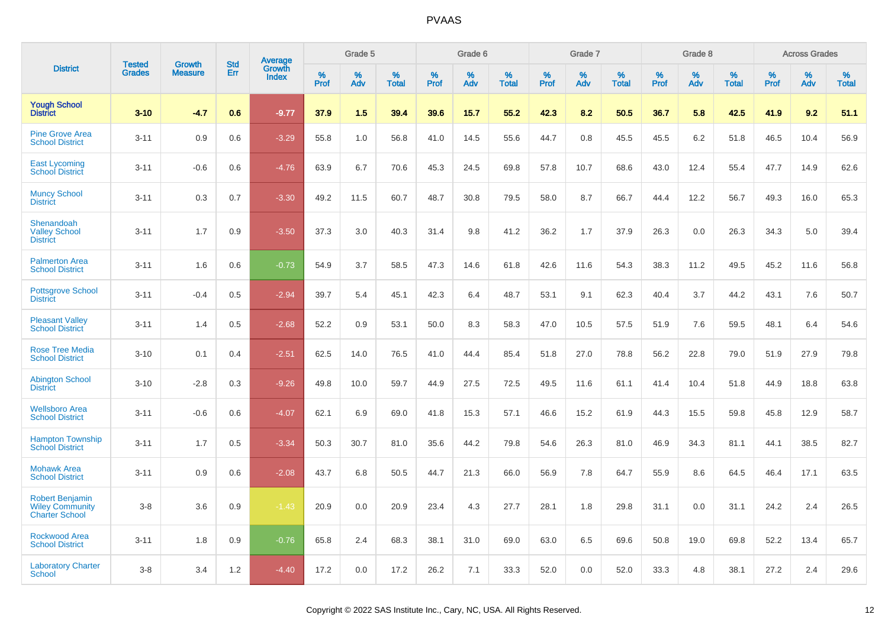|                                                                           |                                |                                 | <b>Std</b> | Average                |                     | Grade 5  |                      |              | Grade 6  |                   |              | Grade 7  |                   |              | Grade 8  |                      |              | <b>Across Grades</b> |                      |
|---------------------------------------------------------------------------|--------------------------------|---------------------------------|------------|------------------------|---------------------|----------|----------------------|--------------|----------|-------------------|--------------|----------|-------------------|--------------|----------|----------------------|--------------|----------------------|----------------------|
| <b>District</b>                                                           | <b>Tested</b><br><b>Grades</b> | <b>Growth</b><br><b>Measure</b> | Err        | Growth<br><b>Index</b> | $\%$<br><b>Prof</b> | %<br>Adv | $\%$<br><b>Total</b> | $\%$<br>Prof | %<br>Adv | %<br><b>Total</b> | $\%$<br>Prof | %<br>Adv | %<br><b>Total</b> | $\%$<br>Prof | %<br>Adv | $\%$<br><b>Total</b> | $\%$<br>Prof | %<br>Adv             | $\%$<br><b>Total</b> |
| <b>Yough School</b><br><b>District</b>                                    | $3 - 10$                       | $-4.7$                          | 0.6        | $-9.77$                | 37.9                | 1.5      | 39.4                 | 39.6         | 15.7     | 55.2              | 42.3         | 8.2      | 50.5              | 36.7         | 5.8      | 42.5                 | 41.9         | 9.2                  | 51.1                 |
| <b>Pine Grove Area</b><br><b>School District</b>                          | $3 - 11$                       | 0.9                             | 0.6        | $-3.29$                | 55.8                | 1.0      | 56.8                 | 41.0         | 14.5     | 55.6              | 44.7         | 0.8      | 45.5              | 45.5         | 6.2      | 51.8                 | 46.5         | 10.4                 | 56.9                 |
| <b>East Lycoming</b><br><b>School District</b>                            | $3 - 11$                       | $-0.6$                          | 0.6        | $-4.76$                | 63.9                | 6.7      | 70.6                 | 45.3         | 24.5     | 69.8              | 57.8         | 10.7     | 68.6              | 43.0         | 12.4     | 55.4                 | 47.7         | 14.9                 | 62.6                 |
| <b>Muncy School</b><br><b>District</b>                                    | $3 - 11$                       | 0.3                             | 0.7        | $-3.30$                | 49.2                | 11.5     | 60.7                 | 48.7         | 30.8     | 79.5              | 58.0         | 8.7      | 66.7              | 44.4         | 12.2     | 56.7                 | 49.3         | 16.0                 | 65.3                 |
| Shenandoah<br><b>Valley School</b><br><b>District</b>                     | $3 - 11$                       | 1.7                             | 0.9        | $-3.50$                | 37.3                | 3.0      | 40.3                 | 31.4         | 9.8      | 41.2              | 36.2         | 1.7      | 37.9              | 26.3         | 0.0      | 26.3                 | 34.3         | 5.0                  | 39.4                 |
| <b>Palmerton Area</b><br><b>School District</b>                           | $3 - 11$                       | 1.6                             | 0.6        | $-0.73$                | 54.9                | 3.7      | 58.5                 | 47.3         | 14.6     | 61.8              | 42.6         | 11.6     | 54.3              | 38.3         | 11.2     | 49.5                 | 45.2         | 11.6                 | 56.8                 |
| <b>Pottsgrove School</b><br><b>District</b>                               | $3 - 11$                       | $-0.4$                          | 0.5        | $-2.94$                | 39.7                | 5.4      | 45.1                 | 42.3         | 6.4      | 48.7              | 53.1         | 9.1      | 62.3              | 40.4         | 3.7      | 44.2                 | 43.1         | 7.6                  | 50.7                 |
| <b>Pleasant Valley</b><br><b>School District</b>                          | $3 - 11$                       | 1.4                             | 0.5        | $-2.68$                | 52.2                | 0.9      | 53.1                 | 50.0         | 8.3      | 58.3              | 47.0         | 10.5     | 57.5              | 51.9         | 7.6      | 59.5                 | 48.1         | 6.4                  | 54.6                 |
| <b>Rose Tree Media</b><br><b>School District</b>                          | $3 - 10$                       | 0.1                             | 0.4        | $-2.51$                | 62.5                | 14.0     | 76.5                 | 41.0         | 44.4     | 85.4              | 51.8         | 27.0     | 78.8              | 56.2         | 22.8     | 79.0                 | 51.9         | 27.9                 | 79.8                 |
| <b>Abington School</b><br><b>District</b>                                 | $3 - 10$                       | $-2.8$                          | 0.3        | $-9.26$                | 49.8                | 10.0     | 59.7                 | 44.9         | 27.5     | 72.5              | 49.5         | 11.6     | 61.1              | 41.4         | 10.4     | 51.8                 | 44.9         | 18.8                 | 63.8                 |
| <b>Wellsboro Area</b><br><b>School District</b>                           | $3 - 11$                       | $-0.6$                          | 0.6        | $-4.07$                | 62.1                | 6.9      | 69.0                 | 41.8         | 15.3     | 57.1              | 46.6         | 15.2     | 61.9              | 44.3         | 15.5     | 59.8                 | 45.8         | 12.9                 | 58.7                 |
| <b>Hampton Township</b><br><b>School District</b>                         | $3 - 11$                       | 1.7                             | 0.5        | $-3.34$                | 50.3                | 30.7     | 81.0                 | 35.6         | 44.2     | 79.8              | 54.6         | 26.3     | 81.0              | 46.9         | 34.3     | 81.1                 | 44.1         | 38.5                 | 82.7                 |
| <b>Mohawk Area</b><br><b>School District</b>                              | $3 - 11$                       | 0.9                             | 0.6        | $-2.08$                | 43.7                | 6.8      | 50.5                 | 44.7         | 21.3     | 66.0              | 56.9         | 7.8      | 64.7              | 55.9         | 8.6      | 64.5                 | 46.4         | 17.1                 | 63.5                 |
| <b>Robert Benjamin</b><br><b>Wiley Community</b><br><b>Charter School</b> | $3-8$                          | 3.6                             | 0.9        | $-1.43$                | 20.9                | 0.0      | 20.9                 | 23.4         | 4.3      | 27.7              | 28.1         | 1.8      | 29.8              | 31.1         | 0.0      | 31.1                 | 24.2         | 2.4                  | 26.5                 |
| <b>Rockwood Area</b><br><b>School District</b>                            | $3 - 11$                       | 1.8                             | 0.9        | $-0.76$                | 65.8                | 2.4      | 68.3                 | 38.1         | 31.0     | 69.0              | 63.0         | 6.5      | 69.6              | 50.8         | 19.0     | 69.8                 | 52.2         | 13.4                 | 65.7                 |
| <b>Laboratory Charter</b><br>School                                       | $3-8$                          | 3.4                             | 1.2        | $-4.40$                | 17.2                | 0.0      | 17.2                 | 26.2         | 7.1      | 33.3              | 52.0         | 0.0      | 52.0              | 33.3         | 4.8      | 38.1                 | 27.2         | 2.4                  | 29.6                 |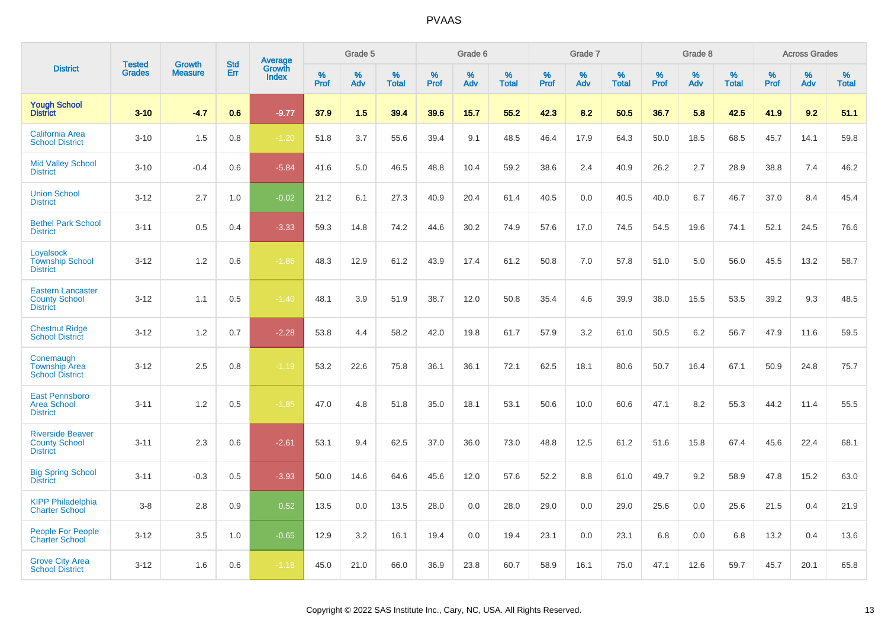|                                                                     |                                |                                 | <b>Std</b> | Average         |           | Grade 5  |                   |           | Grade 6  |                   |           | Grade 7  |                   |           | Grade 8  |                   |           | <b>Across Grades</b> |                   |
|---------------------------------------------------------------------|--------------------------------|---------------------------------|------------|-----------------|-----------|----------|-------------------|-----------|----------|-------------------|-----------|----------|-------------------|-----------|----------|-------------------|-----------|----------------------|-------------------|
| <b>District</b>                                                     | <b>Tested</b><br><b>Grades</b> | <b>Growth</b><br><b>Measure</b> | Err        | Growth<br>Index | %<br>Prof | %<br>Adv | %<br><b>Total</b> | %<br>Prof | %<br>Adv | %<br><b>Total</b> | %<br>Prof | %<br>Adv | %<br><b>Total</b> | %<br>Prof | %<br>Adv | %<br><b>Total</b> | %<br>Prof | $\%$<br>Adv          | %<br><b>Total</b> |
| <b>Yough School</b><br><b>District</b>                              | $3 - 10$                       | $-4.7$                          | 0.6        | $-9.77$         | 37.9      | 1.5      | 39.4              | 39.6      | 15.7     | 55.2              | 42.3      | 8.2      | 50.5              | 36.7      | 5.8      | 42.5              | 41.9      | 9.2                  | 51.1              |
| <b>California Area</b><br><b>School District</b>                    | $3 - 10$                       | 1.5                             | 0.8        | $-1.20$         | 51.8      | 3.7      | 55.6              | 39.4      | 9.1      | 48.5              | 46.4      | 17.9     | 64.3              | 50.0      | 18.5     | 68.5              | 45.7      | 14.1                 | 59.8              |
| <b>Mid Valley School</b><br><b>District</b>                         | $3 - 10$                       | $-0.4$                          | 0.6        | $-5.84$         | 41.6      | 5.0      | 46.5              | 48.8      | 10.4     | 59.2              | 38.6      | 2.4      | 40.9              | 26.2      | 2.7      | 28.9              | 38.8      | 7.4                  | 46.2              |
| <b>Union School</b><br><b>District</b>                              | $3 - 12$                       | 2.7                             | 1.0        | $-0.02$         | 21.2      | 6.1      | 27.3              | 40.9      | 20.4     | 61.4              | 40.5      | 0.0      | 40.5              | 40.0      | 6.7      | 46.7              | 37.0      | 8.4                  | 45.4              |
| <b>Bethel Park School</b><br><b>District</b>                        | $3 - 11$                       | 0.5                             | 0.4        | $-3.33$         | 59.3      | 14.8     | 74.2              | 44.6      | 30.2     | 74.9              | 57.6      | 17.0     | 74.5              | 54.5      | 19.6     | 74.1              | 52.1      | 24.5                 | 76.6              |
| Loyalsock<br><b>Township School</b><br><b>District</b>              | $3 - 12$                       | 1.2                             | 0.6        | $-1.86$         | 48.3      | 12.9     | 61.2              | 43.9      | 17.4     | 61.2              | 50.8      | 7.0      | 57.8              | 51.0      | 5.0      | 56.0              | 45.5      | 13.2                 | 58.7              |
| <b>Eastern Lancaster</b><br><b>County School</b><br><b>District</b> | $3 - 12$                       | 1.1                             | 0.5        | $-1.40$         | 48.1      | 3.9      | 51.9              | 38.7      | 12.0     | 50.8              | 35.4      | 4.6      | 39.9              | 38.0      | 15.5     | 53.5              | 39.2      | 9.3                  | 48.5              |
| <b>Chestnut Ridge</b><br><b>School District</b>                     | $3 - 12$                       | 1.2                             | 0.7        | $-2.28$         | 53.8      | 4.4      | 58.2              | 42.0      | 19.8     | 61.7              | 57.9      | 3.2      | 61.0              | 50.5      | 6.2      | 56.7              | 47.9      | 11.6                 | 59.5              |
| Conemaugh<br><b>Township Area</b><br><b>School District</b>         | $3 - 12$                       | 2.5                             | 0.8        | $-1.19$         | 53.2      | 22.6     | 75.8              | 36.1      | 36.1     | 72.1              | 62.5      | 18.1     | 80.6              | 50.7      | 16.4     | 67.1              | 50.9      | 24.8                 | 75.7              |
| <b>East Pennsboro</b><br><b>Area School</b><br><b>District</b>      | $3 - 11$                       | 1.2                             | 0.5        | $-1.85$         | 47.0      | 4.8      | 51.8              | 35.0      | 18.1     | 53.1              | 50.6      | 10.0     | 60.6              | 47.1      | 8.2      | 55.3              | 44.2      | 11.4                 | 55.5              |
| <b>Riverside Beaver</b><br><b>County School</b><br><b>District</b>  | $3 - 11$                       | 2.3                             | 0.6        | $-2.61$         | 53.1      | 9.4      | 62.5              | 37.0      | 36.0     | 73.0              | 48.8      | 12.5     | 61.2              | 51.6      | 15.8     | 67.4              | 45.6      | 22.4                 | 68.1              |
| <b>Big Spring School</b><br><b>District</b>                         | $3 - 11$                       | $-0.3$                          | 0.5        | $-3.93$         | 50.0      | 14.6     | 64.6              | 45.6      | 12.0     | 57.6              | 52.2      | 8.8      | 61.0              | 49.7      | 9.2      | 58.9              | 47.8      | 15.2                 | 63.0              |
| <b>KIPP Philadelphia</b><br><b>Charter School</b>                   | $3 - 8$                        | 2.8                             | 0.9        | 0.52            | 13.5      | 0.0      | 13.5              | 28.0      | 0.0      | 28.0              | 29.0      | 0.0      | 29.0              | 25.6      | 0.0      | 25.6              | 21.5      | 0.4                  | 21.9              |
| <b>People For People</b><br><b>Charter School</b>                   | $3 - 12$                       | 3.5                             | 1.0        | $-0.65$         | 12.9      | 3.2      | 16.1              | 19.4      | 0.0      | 19.4              | 23.1      | 0.0      | 23.1              | 6.8       | 0.0      | 6.8               | 13.2      | 0.4                  | 13.6              |
| <b>Grove City Area</b><br><b>School District</b>                    | $3 - 12$                       | 1.6                             | 0.6        | $-1.18$         | 45.0      | 21.0     | 66.0              | 36.9      | 23.8     | 60.7              | 58.9      | 16.1     | 75.0              | 47.1      | 12.6     | 59.7              | 45.7      | 20.1                 | 65.8              |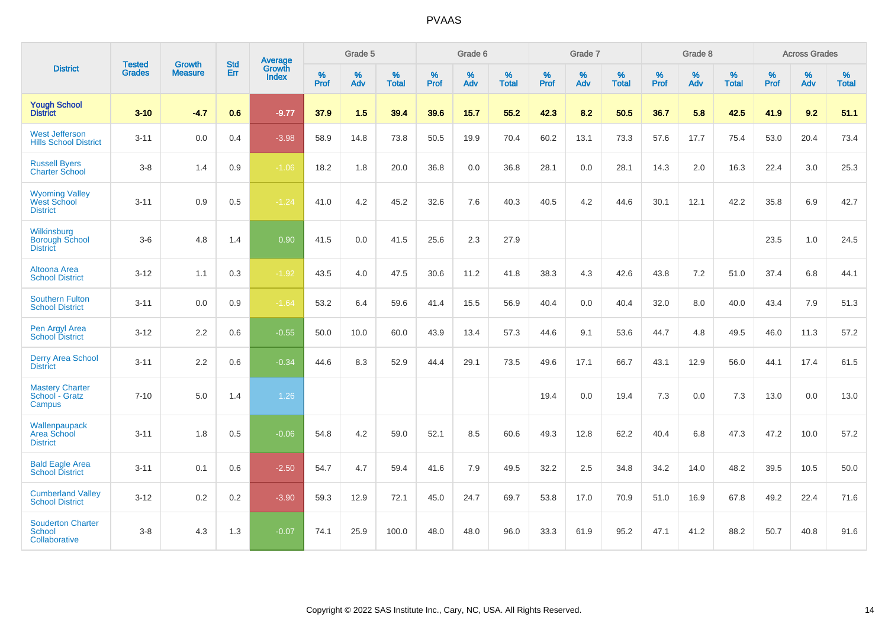|                                                                |                                |                                 | <b>Std</b> | Average                |                     | Grade 5  |                   |                     | Grade 6  |                   |              | Grade 7  |                   |              | Grade 8  |                   |                     | <b>Across Grades</b> |                   |
|----------------------------------------------------------------|--------------------------------|---------------------------------|------------|------------------------|---------------------|----------|-------------------|---------------------|----------|-------------------|--------------|----------|-------------------|--------------|----------|-------------------|---------------------|----------------------|-------------------|
| <b>District</b>                                                | <b>Tested</b><br><b>Grades</b> | <b>Growth</b><br><b>Measure</b> | Err        | Growth<br><b>Index</b> | $\%$<br><b>Prof</b> | %<br>Adv | %<br><b>Total</b> | $\%$<br><b>Prof</b> | %<br>Adv | %<br><b>Total</b> | $\%$<br>Prof | %<br>Adv | %<br><b>Total</b> | $\%$<br>Prof | %<br>Adv | %<br><b>Total</b> | $\%$<br><b>Prof</b> | %<br>Adv             | %<br><b>Total</b> |
| <b>Yough School</b><br><b>District</b>                         | $3 - 10$                       | $-4.7$                          | 0.6        | $-9.77$                | 37.9                | 1.5      | 39.4              | 39.6                | 15.7     | 55.2              | 42.3         | 8.2      | 50.5              | 36.7         | 5.8      | 42.5              | 41.9                | 9.2                  | 51.1              |
| <b>West Jefferson</b><br><b>Hills School District</b>          | $3 - 11$                       | 0.0                             | 0.4        | $-3.98$                | 58.9                | 14.8     | 73.8              | 50.5                | 19.9     | 70.4              | 60.2         | 13.1     | 73.3              | 57.6         | 17.7     | 75.4              | 53.0                | 20.4                 | 73.4              |
| <b>Russell Byers</b><br><b>Charter School</b>                  | $3 - 8$                        | 1.4                             | 0.9        | $-1.06$                | 18.2                | 1.8      | 20.0              | 36.8                | 0.0      | 36.8              | 28.1         | 0.0      | 28.1              | 14.3         | 2.0      | 16.3              | 22.4                | 3.0                  | 25.3              |
| <b>Wyoming Valley</b><br><b>West School</b><br><b>District</b> | $3 - 11$                       | 0.9                             | 0.5        | $-1.24$                | 41.0                | 4.2      | 45.2              | 32.6                | 7.6      | 40.3              | 40.5         | 4.2      | 44.6              | 30.1         | 12.1     | 42.2              | 35.8                | 6.9                  | 42.7              |
| Wilkinsburg<br><b>Borough School</b><br><b>District</b>        | $3-6$                          | 4.8                             | 1.4        | 0.90                   | 41.5                | 0.0      | 41.5              | 25.6                | 2.3      | 27.9              |              |          |                   |              |          |                   | 23.5                | 1.0                  | 24.5              |
| Altoona Area<br><b>School District</b>                         | $3 - 12$                       | 1.1                             | 0.3        | $-1.92$                | 43.5                | 4.0      | 47.5              | 30.6                | 11.2     | 41.8              | 38.3         | 4.3      | 42.6              | 43.8         | 7.2      | 51.0              | 37.4                | 6.8                  | 44.1              |
| <b>Southern Fulton</b><br><b>School District</b>               | $3 - 11$                       | 0.0                             | 0.9        | $-1.64$                | 53.2                | 6.4      | 59.6              | 41.4                | 15.5     | 56.9              | 40.4         | 0.0      | 40.4              | 32.0         | 8.0      | 40.0              | 43.4                | 7.9                  | 51.3              |
| Pen Argyl Area<br><b>School District</b>                       | $3 - 12$                       | 2.2                             | 0.6        | $-0.55$                | 50.0                | 10.0     | 60.0              | 43.9                | 13.4     | 57.3              | 44.6         | 9.1      | 53.6              | 44.7         | 4.8      | 49.5              | 46.0                | 11.3                 | 57.2              |
| <b>Derry Area School</b><br><b>District</b>                    | $3 - 11$                       | 2.2                             | 0.6        | $-0.34$                | 44.6                | 8.3      | 52.9              | 44.4                | 29.1     | 73.5              | 49.6         | 17.1     | 66.7              | 43.1         | 12.9     | 56.0              | 44.1                | 17.4                 | 61.5              |
| <b>Mastery Charter</b><br>School - Gratz<br>Campus             | $7 - 10$                       | 5.0                             | 1.4        | 1.26                   |                     |          |                   |                     |          |                   | 19.4         | 0.0      | 19.4              | 7.3          | $0.0\,$  | 7.3               | 13.0                | 0.0                  | 13.0              |
| Wallenpaupack<br>Area School<br><b>District</b>                | $3 - 11$                       | 1.8                             | 0.5        | $-0.06$                | 54.8                | 4.2      | 59.0              | 52.1                | 8.5      | 60.6              | 49.3         | 12.8     | 62.2              | 40.4         | 6.8      | 47.3              | 47.2                | 10.0                 | 57.2              |
| <b>Bald Eagle Area</b><br><b>School District</b>               | $3 - 11$                       | 0.1                             | 0.6        | $-2.50$                | 54.7                | 4.7      | 59.4              | 41.6                | 7.9      | 49.5              | 32.2         | 2.5      | 34.8              | 34.2         | 14.0     | 48.2              | 39.5                | 10.5                 | 50.0              |
| <b>Cumberland Valley</b><br><b>School District</b>             | $3 - 12$                       | $0.2\,$                         | 0.2        | $-3.90$                | 59.3                | 12.9     | 72.1              | 45.0                | 24.7     | 69.7              | 53.8         | 17.0     | 70.9              | 51.0         | 16.9     | 67.8              | 49.2                | 22.4                 | 71.6              |
| <b>Souderton Charter</b><br><b>School</b><br>Collaborative     | $3 - 8$                        | 4.3                             | 1.3        | $-0.07$                | 74.1                | 25.9     | 100.0             | 48.0                | 48.0     | 96.0              | 33.3         | 61.9     | 95.2              | 47.1         | 41.2     | 88.2              | 50.7                | 40.8                 | 91.6              |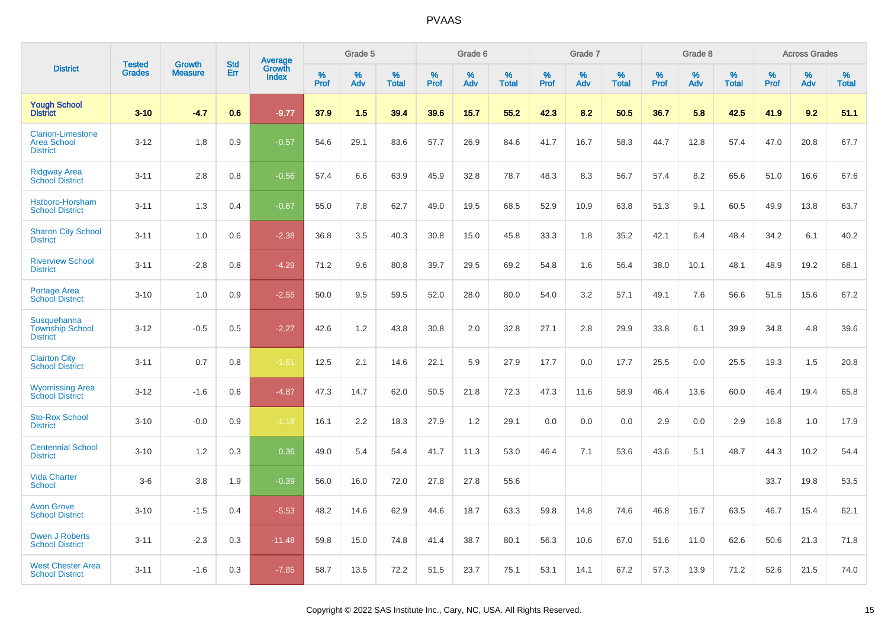|                                                                   | <b>Tested</b> | <b>Growth</b>  | <b>Std</b> | Average                |              | Grade 5  |                   |              | Grade 6  |                   |              | Grade 7  |                   |              | Grade 8  |                   |              | <b>Across Grades</b> |                   |
|-------------------------------------------------------------------|---------------|----------------|------------|------------------------|--------------|----------|-------------------|--------------|----------|-------------------|--------------|----------|-------------------|--------------|----------|-------------------|--------------|----------------------|-------------------|
| <b>District</b>                                                   | <b>Grades</b> | <b>Measure</b> | Err        | Growth<br><b>Index</b> | $\%$<br>Prof | %<br>Adv | %<br><b>Total</b> | $\%$<br>Prof | %<br>Adv | %<br><b>Total</b> | $\%$<br>Prof | %<br>Adv | %<br><b>Total</b> | $\%$<br>Prof | %<br>Adv | %<br><b>Total</b> | $\%$<br>Prof | %<br>Adv             | %<br><b>Total</b> |
| <b>Yough School</b><br>District                                   | $3 - 10$      | $-4.7$         | 0.6        | $-9.77$                | 37.9         | 1.5      | 39.4              | 39.6         | 15.7     | 55.2              | 42.3         | 8.2      | 50.5              | 36.7         | 5.8      | 42.5              | 41.9         | 9.2                  | 51.1              |
| <b>Clarion-Limestone</b><br><b>Area School</b><br><b>District</b> | $3 - 12$      | 1.8            | 0.9        | $-0.57$                | 54.6         | 29.1     | 83.6              | 57.7         | 26.9     | 84.6              | 41.7         | 16.7     | 58.3              | 44.7         | 12.8     | 57.4              | 47.0         | 20.8                 | 67.7              |
| <b>Ridgway Area</b><br><b>School District</b>                     | $3 - 11$      | 2.8            | 0.8        | $-0.56$                | 57.4         | 6.6      | 63.9              | 45.9         | 32.8     | 78.7              | 48.3         | 8.3      | 56.7              | 57.4         | 8.2      | 65.6              | 51.0         | 16.6                 | 67.6              |
| Hatboro-Horsham<br><b>School District</b>                         | $3 - 11$      | 1.3            | 0.4        | $-0.67$                | 55.0         | 7.8      | 62.7              | 49.0         | 19.5     | 68.5              | 52.9         | 10.9     | 63.8              | 51.3         | 9.1      | 60.5              | 49.9         | 13.8                 | 63.7              |
| <b>Sharon City School</b><br><b>District</b>                      | $3 - 11$      | 1.0            | 0.6        | $-2.38$                | 36.8         | 3.5      | 40.3              | 30.8         | 15.0     | 45.8              | 33.3         | 1.8      | 35.2              | 42.1         | 6.4      | 48.4              | 34.2         | 6.1                  | 40.2              |
| <b>Riverview School</b><br><b>District</b>                        | $3 - 11$      | $-2.8$         | 0.8        | $-4.29$                | 71.2         | 9.6      | 80.8              | 39.7         | 29.5     | 69.2              | 54.8         | 1.6      | 56.4              | 38.0         | 10.1     | 48.1              | 48.9         | 19.2                 | 68.1              |
| <b>Portage Area</b><br><b>School District</b>                     | $3 - 10$      | 1.0            | 0.9        | $-2.55$                | 50.0         | 9.5      | 59.5              | 52.0         | 28.0     | 80.0              | 54.0         | 3.2      | 57.1              | 49.1         | 7.6      | 56.6              | 51.5         | 15.6                 | 67.2              |
| Susquehanna<br><b>Township School</b><br><b>District</b>          | $3 - 12$      | $-0.5$         | 0.5        | $-2.27$                | 42.6         | 1.2      | 43.8              | 30.8         | 2.0      | 32.8              | 27.1         | 2.8      | 29.9              | 33.8         | 6.1      | 39.9              | 34.8         | 4.8                  | 39.6              |
| <b>Clairton City</b><br><b>School District</b>                    | $3 - 11$      | 0.7            | 0.8        | $-1.61$                | 12.5         | 2.1      | 14.6              | 22.1         | 5.9      | 27.9              | 17.7         | 0.0      | 17.7              | 25.5         | 0.0      | 25.5              | 19.3         | 1.5                  | 20.8              |
| <b>Wyomissing Area</b><br><b>School District</b>                  | $3 - 12$      | $-1.6$         | 0.6        | $-4.87$                | 47.3         | 14.7     | 62.0              | 50.5         | 21.8     | 72.3              | 47.3         | 11.6     | 58.9              | 46.4         | 13.6     | 60.0              | 46.4         | 19.4                 | 65.8              |
| <b>Sto-Rox School</b><br><b>District</b>                          | $3 - 10$      | $-0.0$         | 0.9        | $-1.18$                | 16.1         | 2.2      | 18.3              | 27.9         | 1.2      | 29.1              | 0.0          | 0.0      | 0.0               | 2.9          | 0.0      | 2.9               | 16.8         | 1.0                  | 17.9              |
| <b>Centennial School</b><br><b>District</b>                       | $3 - 10$      | 1.2            | 0.3        | 0.36                   | 49.0         | 5.4      | 54.4              | 41.7         | 11.3     | 53.0              | 46.4         | 7.1      | 53.6              | 43.6         | 5.1      | 48.7              | 44.3         | 10.2                 | 54.4              |
| <b>Vida Charter</b><br><b>School</b>                              | $3-6$         | 3.8            | 1.9        | $-0.39$                | 56.0         | 16.0     | 72.0              | 27.8         | 27.8     | 55.6              |              |          |                   |              |          |                   | 33.7         | 19.8                 | 53.5              |
| <b>Avon Grove</b><br><b>School District</b>                       | $3 - 10$      | $-1.5$         | 0.4        | $-5.53$                | 48.2         | 14.6     | 62.9              | 44.6         | 18.7     | 63.3              | 59.8         | 14.8     | 74.6              | 46.8         | 16.7     | 63.5              | 46.7         | 15.4                 | 62.1              |
| <b>Owen J Roberts</b><br><b>School District</b>                   | $3 - 11$      | $-2.3$         | 0.3        | $-11.48$               | 59.8         | 15.0     | 74.8              | 41.4         | 38.7     | 80.1              | 56.3         | 10.6     | 67.0              | 51.6         | 11.0     | 62.6              | 50.6         | 21.3                 | 71.8              |
| <b>West Chester Area</b><br><b>School District</b>                | $3 - 11$      | $-1.6$         | 0.3        | $-7.85$                | 58.7         | 13.5     | 72.2              | 51.5         | 23.7     | 75.1              | 53.1         | 14.1     | 67.2              | 57.3         | 13.9     | 71.2              | 52.6         | 21.5                 | 74.0              |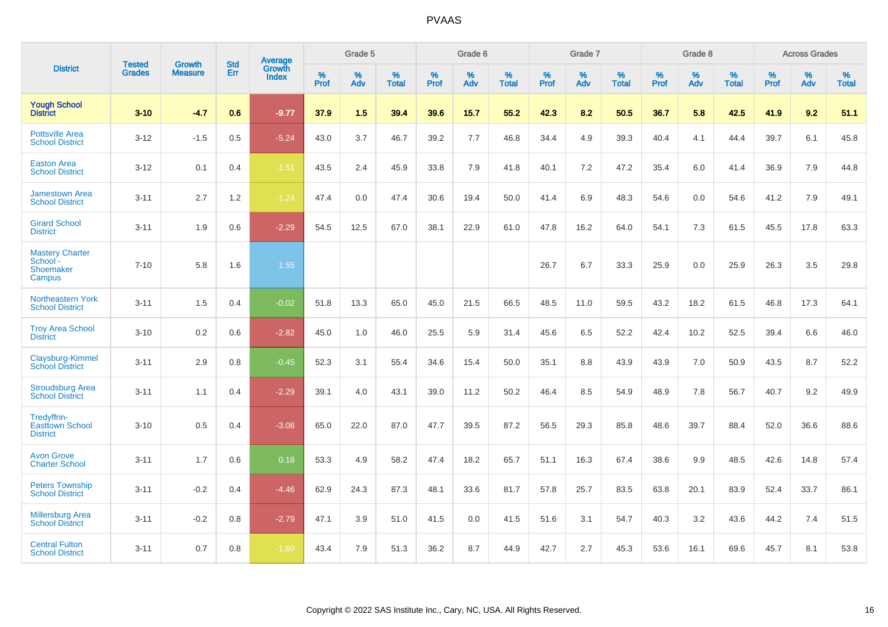|                                                           |                                |                                 | <b>Std</b> | <b>Average</b>                |           | Grade 5  |                   |           | Grade 6  |                   |           | Grade 7  |                   |           | Grade 8  |                   |           | <b>Across Grades</b> |                   |
|-----------------------------------------------------------|--------------------------------|---------------------------------|------------|-------------------------------|-----------|----------|-------------------|-----------|----------|-------------------|-----------|----------|-------------------|-----------|----------|-------------------|-----------|----------------------|-------------------|
| <b>District</b>                                           | <b>Tested</b><br><b>Grades</b> | <b>Growth</b><br><b>Measure</b> | Err        | <b>Growth</b><br><b>Index</b> | %<br>Prof | %<br>Adv | %<br><b>Total</b> | %<br>Prof | %<br>Adv | %<br><b>Total</b> | %<br>Prof | %<br>Adv | %<br><b>Total</b> | %<br>Prof | %<br>Adv | %<br><b>Total</b> | %<br>Prof | %<br>Adv             | %<br><b>Total</b> |
| <b>Yough School</b><br><b>District</b>                    | $3 - 10$                       | $-4.7$                          | 0.6        | $-9.77$                       | 37.9      | 1.5      | 39.4              | 39.6      | 15.7     | 55.2              | 42.3      | 8.2      | 50.5              | 36.7      | 5.8      | 42.5              | 41.9      | 9.2                  | 51.1              |
| <b>Pottsville Area</b><br><b>School District</b>          | $3 - 12$                       | $-1.5$                          | 0.5        | $-5.24$                       | 43.0      | 3.7      | 46.7              | 39.2      | 7.7      | 46.8              | 34.4      | 4.9      | 39.3              | 40.4      | 4.1      | 44.4              | 39.7      | 6.1                  | 45.8              |
| <b>Easton Area</b><br><b>School District</b>              | $3 - 12$                       | 0.1                             | 0.4        | $-1.51$                       | 43.5      | 2.4      | 45.9              | 33.8      | 7.9      | 41.8              | 40.1      | 7.2      | 47.2              | 35.4      | 6.0      | 41.4              | 36.9      | 7.9                  | 44.8              |
| <b>Jamestown Area</b><br><b>School District</b>           | $3 - 11$                       | 2.7                             | 1.2        | $-1.24$                       | 47.4      | 0.0      | 47.4              | 30.6      | 19.4     | 50.0              | 41.4      | 6.9      | 48.3              | 54.6      | 0.0      | 54.6              | 41.2      | 7.9                  | 49.1              |
| <b>Girard School</b><br><b>District</b>                   | $3 - 11$                       | 1.9                             | 0.6        | $-2.29$                       | 54.5      | 12.5     | 67.0              | 38.1      | 22.9     | 61.0              | 47.8      | 16.2     | 64.0              | 54.1      | 7.3      | 61.5              | 45.5      | 17.8                 | 63.3              |
| <b>Mastery Charter</b><br>School -<br>Shoemaker<br>Campus | $7 - 10$                       | 5.8                             | 1.6        | 1.55                          |           |          |                   |           |          |                   | 26.7      | 6.7      | 33.3              | 25.9      | 0.0      | 25.9              | 26.3      | 3.5                  | 29.8              |
| <b>Northeastern York</b><br><b>School District</b>        | $3 - 11$                       | 1.5                             | 0.4        | $-0.02$                       | 51.8      | 13.3     | 65.0              | 45.0      | 21.5     | 66.5              | 48.5      | 11.0     | 59.5              | 43.2      | 18.2     | 61.5              | 46.8      | 17.3                 | 64.1              |
| <b>Troy Area School</b><br><b>District</b>                | $3 - 10$                       | 0.2                             | 0.6        | $-2.82$                       | 45.0      | 1.0      | 46.0              | 25.5      | 5.9      | 31.4              | 45.6      | 6.5      | 52.2              | 42.4      | 10.2     | 52.5              | 39.4      | 6.6                  | 46.0              |
| Claysburg-Kimmel<br><b>School District</b>                | $3 - 11$                       | 2.9                             | 0.8        | $-0.45$                       | 52.3      | 3.1      | 55.4              | 34.6      | 15.4     | 50.0              | 35.1      | 8.8      | 43.9              | 43.9      | 7.0      | 50.9              | 43.5      | 8.7                  | 52.2              |
| <b>Stroudsburg Area</b><br><b>School District</b>         | $3 - 11$                       | 1.1                             | 0.4        | $-2.29$                       | 39.1      | 4.0      | 43.1              | 39.0      | 11.2     | 50.2              | 46.4      | 8.5      | 54.9              | 48.9      | 7.8      | 56.7              | 40.7      | 9.2                  | 49.9              |
| Tredyffrin-<br><b>Easttown School</b><br><b>District</b>  | $3 - 10$                       | 0.5                             | 0.4        | $-3.06$                       | 65.0      | 22.0     | 87.0              | 47.7      | 39.5     | 87.2              | 56.5      | 29.3     | 85.8              | 48.6      | 39.7     | 88.4              | 52.0      | 36.6                 | 88.6              |
| <b>Avon Grove</b><br><b>Charter School</b>                | $3 - 11$                       | 1.7                             | 0.6        | 0.18                          | 53.3      | 4.9      | 58.2              | 47.4      | 18.2     | 65.7              | 51.1      | 16.3     | 67.4              | 38.6      | 9.9      | 48.5              | 42.6      | 14.8                 | 57.4              |
| <b>Peters Township</b><br><b>School District</b>          | $3 - 11$                       | $-0.2$                          | 0.4        | $-4.46$                       | 62.9      | 24.3     | 87.3              | 48.1      | 33.6     | 81.7              | 57.8      | 25.7     | 83.5              | 63.8      | 20.1     | 83.9              | 52.4      | 33.7                 | 86.1              |
| <b>Millersburg Area</b><br><b>School District</b>         | $3 - 11$                       | $-0.2$                          | 0.8        | $-2.79$                       | 47.1      | 3.9      | 51.0              | 41.5      | 0.0      | 41.5              | 51.6      | 3.1      | 54.7              | 40.3      | 3.2      | 43.6              | 44.2      | 7.4                  | 51.5              |
| <b>Central Fulton</b><br><b>School District</b>           | $3 - 11$                       | 0.7                             | 0.8        | $-1.60$                       | 43.4      | 7.9      | 51.3              | 36.2      | 8.7      | 44.9              | 42.7      | 2.7      | 45.3              | 53.6      | 16.1     | 69.6              | 45.7      | 8.1                  | 53.8              |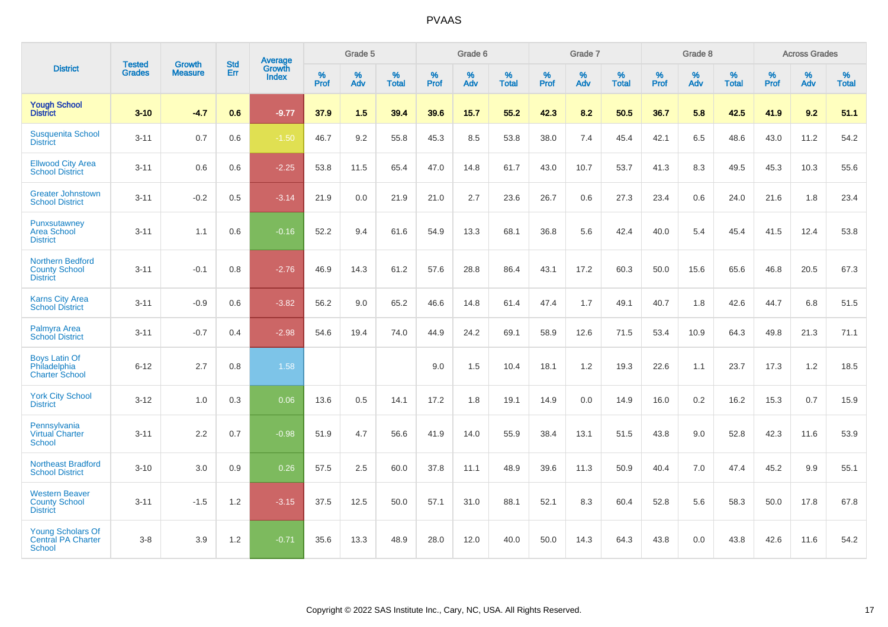|                                                                    |                                |                                 | <b>Std</b> | <b>Average</b>         |           | Grade 5  |                   |           | Grade 6  |                   |           | Grade 7  |                   |           | Grade 8  |                   |           | <b>Across Grades</b> |                   |
|--------------------------------------------------------------------|--------------------------------|---------------------------------|------------|------------------------|-----------|----------|-------------------|-----------|----------|-------------------|-----------|----------|-------------------|-----------|----------|-------------------|-----------|----------------------|-------------------|
| <b>District</b>                                                    | <b>Tested</b><br><b>Grades</b> | <b>Growth</b><br><b>Measure</b> | Err        | Growth<br><b>Index</b> | %<br>Prof | %<br>Adv | %<br><b>Total</b> | %<br>Prof | %<br>Adv | %<br><b>Total</b> | %<br>Prof | %<br>Adv | %<br><b>Total</b> | %<br>Prof | %<br>Adv | %<br><b>Total</b> | %<br>Prof | %<br>Adv             | %<br><b>Total</b> |
| <b>Yough School</b><br><b>District</b>                             | $3 - 10$                       | $-4.7$                          | 0.6        | $-9.77$                | 37.9      | 1.5      | 39.4              | 39.6      | 15.7     | 55.2              | 42.3      | 8.2      | 50.5              | 36.7      | 5.8      | 42.5              | 41.9      | 9.2                  | 51.1              |
| <b>Susquenita School</b><br><b>District</b>                        | $3 - 11$                       | 0.7                             | 0.6        | $-1.50$                | 46.7      | 9.2      | 55.8              | 45.3      | 8.5      | 53.8              | 38.0      | 7.4      | 45.4              | 42.1      | 6.5      | 48.6              | 43.0      | 11.2                 | 54.2              |
| <b>Ellwood City Area</b><br><b>School District</b>                 | $3 - 11$                       | 0.6                             | 0.6        | $-2.25$                | 53.8      | 11.5     | 65.4              | 47.0      | 14.8     | 61.7              | 43.0      | 10.7     | 53.7              | 41.3      | 8.3      | 49.5              | 45.3      | 10.3                 | 55.6              |
| <b>Greater Johnstown</b><br><b>School District</b>                 | $3 - 11$                       | $-0.2$                          | 0.5        | $-3.14$                | 21.9      | 0.0      | 21.9              | 21.0      | 2.7      | 23.6              | 26.7      | 0.6      | 27.3              | 23.4      | 0.6      | 24.0              | 21.6      | 1.8                  | 23.4              |
| Punxsutawney<br><b>Area School</b><br><b>District</b>              | $3 - 11$                       | 1.1                             | 0.6        | $-0.16$                | 52.2      | 9.4      | 61.6              | 54.9      | 13.3     | 68.1              | 36.8      | 5.6      | 42.4              | 40.0      | 5.4      | 45.4              | 41.5      | 12.4                 | 53.8              |
| <b>Northern Bedford</b><br><b>County School</b><br><b>District</b> | $3 - 11$                       | $-0.1$                          | 0.8        | $-2.76$                | 46.9      | 14.3     | 61.2              | 57.6      | 28.8     | 86.4              | 43.1      | 17.2     | 60.3              | 50.0      | 15.6     | 65.6              | 46.8      | 20.5                 | 67.3              |
| <b>Karns City Area</b><br><b>School District</b>                   | $3 - 11$                       | $-0.9$                          | 0.6        | $-3.82$                | 56.2      | 9.0      | 65.2              | 46.6      | 14.8     | 61.4              | 47.4      | 1.7      | 49.1              | 40.7      | 1.8      | 42.6              | 44.7      | 6.8                  | 51.5              |
| Palmyra Area<br><b>School District</b>                             | $3 - 11$                       | $-0.7$                          | 0.4        | $-2.98$                | 54.6      | 19.4     | 74.0              | 44.9      | 24.2     | 69.1              | 58.9      | 12.6     | 71.5              | 53.4      | 10.9     | 64.3              | 49.8      | 21.3                 | 71.1              |
| <b>Boys Latin Of</b><br>Philadelphia<br><b>Charter School</b>      | $6 - 12$                       | 2.7                             | 0.8        | 1.58                   |           |          |                   | 9.0       | 1.5      | 10.4              | 18.1      | 1.2      | 19.3              | 22.6      | 1.1      | 23.7              | 17.3      | 1.2                  | 18.5              |
| <b>York City School</b><br><b>District</b>                         | $3 - 12$                       | 1.0                             | 0.3        | 0.06                   | 13.6      | 0.5      | 14.1              | 17.2      | 1.8      | 19.1              | 14.9      | 0.0      | 14.9              | 16.0      | 0.2      | 16.2              | 15.3      | 0.7                  | 15.9              |
| Pennsylvania<br>Virtual Charter<br><b>School</b>                   | $3 - 11$                       | 2.2                             | 0.7        | $-0.98$                | 51.9      | 4.7      | 56.6              | 41.9      | 14.0     | 55.9              | 38.4      | 13.1     | 51.5              | 43.8      | 9.0      | 52.8              | 42.3      | 11.6                 | 53.9              |
| <b>Northeast Bradford</b><br><b>School District</b>                | $3 - 10$                       | 3.0                             | 0.9        | 0.26                   | 57.5      | 2.5      | 60.0              | 37.8      | 11.1     | 48.9              | 39.6      | 11.3     | 50.9              | 40.4      | 7.0      | 47.4              | 45.2      | 9.9                  | 55.1              |
| <b>Western Beaver</b><br><b>County School</b><br><b>District</b>   | $3 - 11$                       | $-1.5$                          | 1.2        | $-3.15$                | 37.5      | 12.5     | 50.0              | 57.1      | 31.0     | 88.1              | 52.1      | 8.3      | 60.4              | 52.8      | 5.6      | 58.3              | 50.0      | 17.8                 | 67.8              |
| <b>Young Scholars Of</b><br><b>Central PA Charter</b><br>School    | $3 - 8$                        | 3.9                             | 1.2        | $-0.71$                | 35.6      | 13.3     | 48.9              | 28.0      | 12.0     | 40.0              | 50.0      | 14.3     | 64.3              | 43.8      | 0.0      | 43.8              | 42.6      | 11.6                 | 54.2              |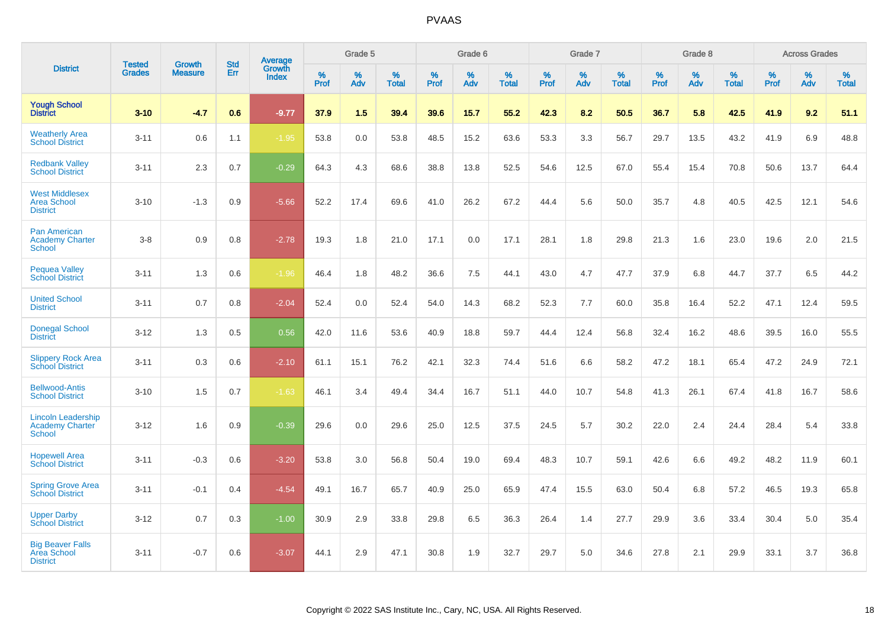|                                                                      |                                |                                 | <b>Std</b> | Average                |           | Grade 5  |                   |           | Grade 6  |                   |           | Grade 7  |                   |           | Grade 8  |                   |              | <b>Across Grades</b> |                   |
|----------------------------------------------------------------------|--------------------------------|---------------------------------|------------|------------------------|-----------|----------|-------------------|-----------|----------|-------------------|-----------|----------|-------------------|-----------|----------|-------------------|--------------|----------------------|-------------------|
| <b>District</b>                                                      | <b>Tested</b><br><b>Grades</b> | <b>Growth</b><br><b>Measure</b> | Err        | Growth<br><b>Index</b> | %<br>Prof | %<br>Adv | %<br><b>Total</b> | %<br>Prof | %<br>Adv | %<br><b>Total</b> | %<br>Prof | %<br>Adv | %<br><b>Total</b> | %<br>Prof | %<br>Adv | %<br><b>Total</b> | $\%$<br>Prof | %<br>Adv             | %<br><b>Total</b> |
| <b>Yough School</b><br><b>District</b>                               | $3 - 10$                       | $-4.7$                          | 0.6        | $-9.77$                | 37.9      | 1.5      | 39.4              | 39.6      | 15.7     | 55.2              | 42.3      | 8.2      | 50.5              | 36.7      | 5.8      | 42.5              | 41.9         | 9.2                  | 51.1              |
| <b>Weatherly Area</b><br><b>School District</b>                      | $3 - 11$                       | 0.6                             | 1.1        | $-1.95$                | 53.8      | 0.0      | 53.8              | 48.5      | 15.2     | 63.6              | 53.3      | 3.3      | 56.7              | 29.7      | 13.5     | 43.2              | 41.9         | 6.9                  | 48.8              |
| <b>Redbank Valley</b><br><b>School District</b>                      | $3 - 11$                       | 2.3                             | 0.7        | $-0.29$                | 64.3      | 4.3      | 68.6              | 38.8      | 13.8     | 52.5              | 54.6      | 12.5     | 67.0              | 55.4      | 15.4     | 70.8              | 50.6         | 13.7                 | 64.4              |
| <b>West Middlesex</b><br><b>Area School</b><br><b>District</b>       | $3 - 10$                       | $-1.3$                          | 0.9        | $-5.66$                | 52.2      | 17.4     | 69.6              | 41.0      | 26.2     | 67.2              | 44.4      | 5.6      | 50.0              | 35.7      | 4.8      | 40.5              | 42.5         | 12.1                 | 54.6              |
| <b>Pan American</b><br><b>Academy Charter</b><br><b>School</b>       | $3-8$                          | 0.9                             | 0.8        | $-2.78$                | 19.3      | 1.8      | 21.0              | 17.1      | 0.0      | 17.1              | 28.1      | 1.8      | 29.8              | 21.3      | 1.6      | 23.0              | 19.6         | 2.0                  | 21.5              |
| <b>Pequea Valley</b><br><b>School District</b>                       | $3 - 11$                       | 1.3                             | 0.6        | $-1.96$                | 46.4      | 1.8      | 48.2              | 36.6      | 7.5      | 44.1              | 43.0      | 4.7      | 47.7              | 37.9      | 6.8      | 44.7              | 37.7         | 6.5                  | 44.2              |
| <b>United School</b><br><b>District</b>                              | $3 - 11$                       | 0.7                             | 0.8        | $-2.04$                | 52.4      | 0.0      | 52.4              | 54.0      | 14.3     | 68.2              | 52.3      | 7.7      | 60.0              | 35.8      | 16.4     | 52.2              | 47.1         | 12.4                 | 59.5              |
| <b>Donegal School</b><br><b>District</b>                             | $3 - 12$                       | 1.3                             | 0.5        | 0.56                   | 42.0      | 11.6     | 53.6              | 40.9      | 18.8     | 59.7              | 44.4      | 12.4     | 56.8              | 32.4      | 16.2     | 48.6              | 39.5         | 16.0                 | 55.5              |
| <b>Slippery Rock Area</b><br><b>School District</b>                  | $3 - 11$                       | 0.3                             | 0.6        | $-2.10$                | 61.1      | 15.1     | 76.2              | 42.1      | 32.3     | 74.4              | 51.6      | 6.6      | 58.2              | 47.2      | 18.1     | 65.4              | 47.2         | 24.9                 | 72.1              |
| <b>Bellwood-Antis</b><br><b>School District</b>                      | $3 - 10$                       | 1.5                             | 0.7        | $-1.63$                | 46.1      | 3.4      | 49.4              | 34.4      | 16.7     | 51.1              | 44.0      | 10.7     | 54.8              | 41.3      | 26.1     | 67.4              | 41.8         | 16.7                 | 58.6              |
| <b>Lincoln Leadership</b><br><b>Academy Charter</b><br><b>School</b> | $3 - 12$                       | 1.6                             | 0.9        | $-0.39$                | 29.6      | 0.0      | 29.6              | 25.0      | 12.5     | 37.5              | 24.5      | 5.7      | 30.2              | 22.0      | 2.4      | 24.4              | 28.4         | 5.4                  | 33.8              |
| <b>Hopewell Area</b><br><b>School District</b>                       | $3 - 11$                       | $-0.3$                          | 0.6        | $-3.20$                | 53.8      | 3.0      | 56.8              | 50.4      | 19.0     | 69.4              | 48.3      | 10.7     | 59.1              | 42.6      | 6.6      | 49.2              | 48.2         | 11.9                 | 60.1              |
| <b>Spring Grove Area</b><br><b>School District</b>                   | $3 - 11$                       | $-0.1$                          | 0.4        | $-4.54$                | 49.1      | 16.7     | 65.7              | 40.9      | 25.0     | 65.9              | 47.4      | 15.5     | 63.0              | 50.4      | 6.8      | 57.2              | 46.5         | 19.3                 | 65.8              |
| <b>Upper Darby</b><br><b>School District</b>                         | $3 - 12$                       | 0.7                             | 0.3        | $-1.00$                | 30.9      | 2.9      | 33.8              | 29.8      | 6.5      | 36.3              | 26.4      | 1.4      | 27.7              | 29.9      | 3.6      | 33.4              | 30.4         | 5.0                  | 35.4              |
| <b>Big Beaver Falls</b><br>Area School<br><b>District</b>            | $3 - 11$                       | $-0.7$                          | 0.6        | $-3.07$                | 44.1      | 2.9      | 47.1              | 30.8      | 1.9      | 32.7              | 29.7      | 5.0      | 34.6              | 27.8      | 2.1      | 29.9              | 33.1         | 3.7                  | 36.8              |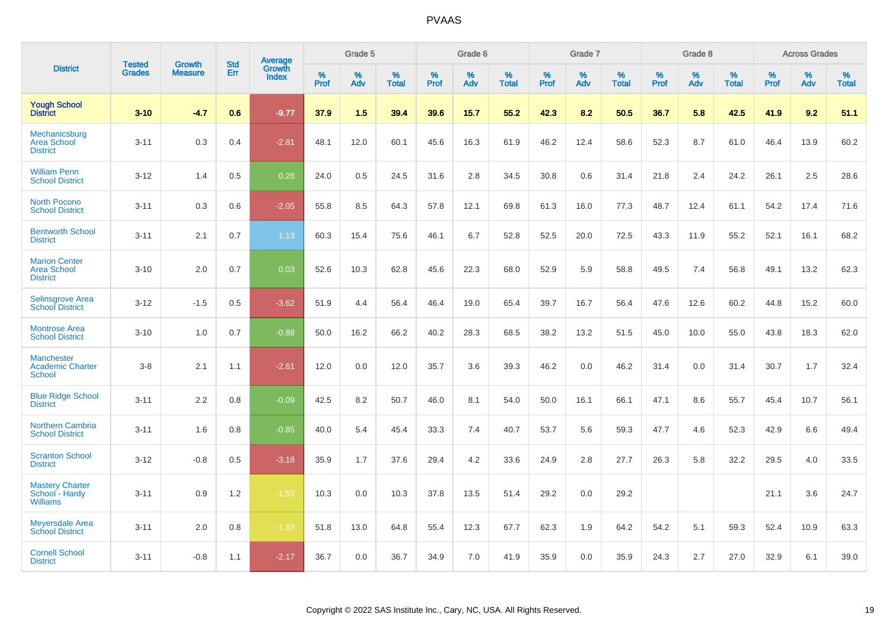|                                                               | <b>Tested</b> | <b>Growth</b>  | <b>Std</b> |                                          |                     | Grade 5  |                   |                  | Grade 6  |                   |           | Grade 7  |                   |           | Grade 8  |                   |                  | <b>Across Grades</b> |                   |
|---------------------------------------------------------------|---------------|----------------|------------|------------------------------------------|---------------------|----------|-------------------|------------------|----------|-------------------|-----------|----------|-------------------|-----------|----------|-------------------|------------------|----------------------|-------------------|
| <b>District</b>                                               | <b>Grades</b> | <b>Measure</b> | Err        | <b>Average</b><br>Growth<br><b>Index</b> | $\%$<br><b>Prof</b> | %<br>Adv | %<br><b>Total</b> | %<br><b>Prof</b> | %<br>Adv | %<br><b>Total</b> | %<br>Prof | %<br>Adv | %<br><b>Total</b> | %<br>Prof | %<br>Adv | %<br><b>Total</b> | %<br><b>Prof</b> | %<br>Adv             | %<br><b>Total</b> |
| <b>Yough School</b><br><b>District</b>                        | $3 - 10$      | $-4.7$         | 0.6        | $-9.77$                                  | 37.9                | 1.5      | 39.4              | 39.6             | 15.7     | 55.2              | 42.3      | 8.2      | 50.5              | 36.7      | 5.8      | 42.5              | 41.9             | 9.2                  | 51.1              |
| Mechanicsburg<br><b>Area School</b><br><b>District</b>        | $3 - 11$      | 0.3            | 0.4        | $-2.81$                                  | 48.1                | 12.0     | 60.1              | 45.6             | 16.3     | 61.9              | 46.2      | 12.4     | 58.6              | 52.3      | 8.7      | 61.0              | 46.4             | 13.9                 | 60.2              |
| <b>William Penn</b><br><b>School District</b>                 | $3 - 12$      | 1.4            | 0.5        | 0.26                                     | 24.0                | 0.5      | 24.5              | 31.6             | 2.8      | 34.5              | 30.8      | 0.6      | 31.4              | 21.8      | 2.4      | 24.2              | 26.1             | 2.5                  | 28.6              |
| <b>North Pocono</b><br><b>School District</b>                 | $3 - 11$      | 0.3            | 0.6        | $-2.05$                                  | 55.8                | 8.5      | 64.3              | 57.8             | 12.1     | 69.8              | 61.3      | 16.0     | 77.3              | 48.7      | 12.4     | 61.1              | 54.2             | 17.4                 | 71.6              |
| <b>Bentworth School</b><br><b>District</b>                    | $3 - 11$      | 2.1            | 0.7        | 1.13                                     | 60.3                | 15.4     | 75.6              | 46.1             | 6.7      | 52.8              | 52.5      | 20.0     | 72.5              | 43.3      | 11.9     | 55.2              | 52.1             | 16.1                 | 68.2              |
| <b>Marion Center</b><br><b>Area School</b><br><b>District</b> | $3 - 10$      | 2.0            | 0.7        | 0.03                                     | 52.6                | 10.3     | 62.8              | 45.6             | 22.3     | 68.0              | 52.9      | 5.9      | 58.8              | 49.5      | 7.4      | 56.8              | 49.1             | 13.2                 | 62.3              |
| <b>Selinsgrove Area</b><br><b>School District</b>             | $3 - 12$      | $-1.5$         | 0.5        | $-3.62$                                  | 51.9                | 4.4      | 56.4              | 46.4             | 19.0     | 65.4              | 39.7      | 16.7     | 56.4              | 47.6      | 12.6     | 60.2              | 44.8             | 15.2                 | 60.0              |
| <b>Montrose Area</b><br><b>School District</b>                | $3 - 10$      | 1.0            | 0.7        | $-0.88$                                  | 50.0                | 16.2     | 66.2              | 40.2             | 28.3     | 68.5              | 38.2      | 13.2     | 51.5              | 45.0      | 10.0     | 55.0              | 43.8             | 18.3                 | 62.0              |
| <b>Manchester</b><br><b>Academic Charter</b><br><b>School</b> | $3-8$         | 2.1            | 1.1        | $-2.61$                                  | 12.0                | 0.0      | 12.0              | 35.7             | 3.6      | 39.3              | 46.2      | 0.0      | 46.2              | 31.4      | 0.0      | 31.4              | 30.7             | 1.7                  | 32.4              |
| <b>Blue Ridge School</b><br><b>District</b>                   | $3 - 11$      | 2.2            | 0.8        | $-0.09$                                  | 42.5                | 8.2      | 50.7              | 46.0             | 8.1      | 54.0              | 50.0      | 16.1     | 66.1              | 47.1      | 8.6      | 55.7              | 45.4             | 10.7                 | 56.1              |
| <b>Northern Cambria</b><br><b>School District</b>             | $3 - 11$      | 1.6            | 0.8        | $-0.85$                                  | 40.0                | 5.4      | 45.4              | 33.3             | 7.4      | 40.7              | 53.7      | 5.6      | 59.3              | 47.7      | 4.6      | 52.3              | 42.9             | 6.6                  | 49.4              |
| <b>Scranton School</b><br><b>District</b>                     | $3 - 12$      | $-0.8$         | 0.5        | $-3.18$                                  | 35.9                | 1.7      | 37.6              | 29.4             | 4.2      | 33.6              | 24.9      | 2.8      | 27.7              | 26.3      | 5.8      | 32.2              | 29.5             | 4.0                  | 33.5              |
| <b>Mastery Charter</b><br>School - Hardy<br><b>Williams</b>   | $3 - 11$      | 0.9            | 1.2        | $-1.53$                                  | 10.3                | 0.0      | 10.3              | 37.8             | 13.5     | 51.4              | 29.2      | 0.0      | 29.2              |           |          |                   | 21.1             | 3.6                  | 24.7              |
| <b>Meyersdale Area</b><br><b>School District</b>              | $3 - 11$      | 2.0            | 0.8        | $-1.63$                                  | 51.8                | 13.0     | 64.8              | 55.4             | 12.3     | 67.7              | 62.3      | 1.9      | 64.2              | 54.2      | 5.1      | 59.3              | 52.4             | 10.9                 | 63.3              |
| <b>Cornell School</b><br><b>District</b>                      | $3 - 11$      | $-0.8$         | 1.1        | $-2.17$                                  | 36.7                | 0.0      | 36.7              | 34.9             | 7.0      | 41.9              | 35.9      | 0.0      | 35.9              | 24.3      | 2.7      | 27.0              | 32.9             | 6.1                  | 39.0              |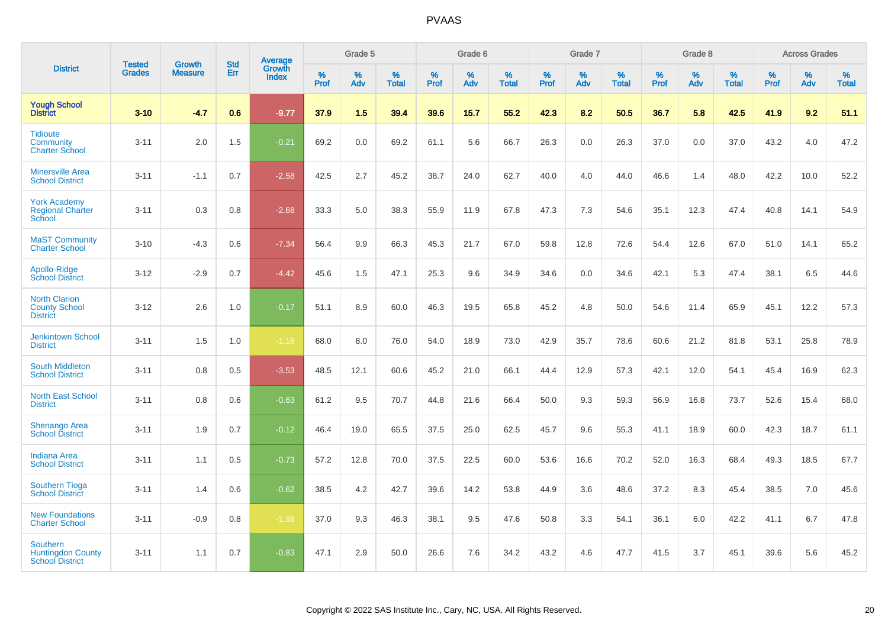|                                                                       |                                |                                 | <b>Std</b> | Average                |              | Grade 5  |                   |           | Grade 6  |                   |           | Grade 7  |                   |           | Grade 8  |                   |              | <b>Across Grades</b> |                   |
|-----------------------------------------------------------------------|--------------------------------|---------------------------------|------------|------------------------|--------------|----------|-------------------|-----------|----------|-------------------|-----------|----------|-------------------|-----------|----------|-------------------|--------------|----------------------|-------------------|
| <b>District</b>                                                       | <b>Tested</b><br><b>Grades</b> | <b>Growth</b><br><b>Measure</b> | Err        | Growth<br><b>Index</b> | $\%$<br>Prof | %<br>Adv | %<br><b>Total</b> | %<br>Prof | %<br>Adv | %<br><b>Total</b> | %<br>Prof | %<br>Adv | %<br><b>Total</b> | %<br>Prof | %<br>Adv | %<br><b>Total</b> | $\%$<br>Prof | %<br>Adv             | %<br><b>Total</b> |
| <b>Yough School</b><br><b>District</b>                                | $3 - 10$                       | $-4.7$                          | 0.6        | $-9.77$                | 37.9         | 1.5      | 39.4              | 39.6      | 15.7     | 55.2              | 42.3      | 8.2      | 50.5              | 36.7      | 5.8      | 42.5              | 41.9         | 9.2                  | 51.1              |
| <b>Tidioute</b><br>Community<br><b>Charter School</b>                 | $3 - 11$                       | 2.0                             | 1.5        | $-0.21$                | 69.2         | 0.0      | 69.2              | 61.1      | 5.6      | 66.7              | 26.3      | 0.0      | 26.3              | 37.0      | 0.0      | 37.0              | 43.2         | 4.0                  | 47.2              |
| <b>Minersville Area</b><br><b>School District</b>                     | $3 - 11$                       | $-1.1$                          | 0.7        | $-2.58$                | 42.5         | 2.7      | 45.2              | 38.7      | 24.0     | 62.7              | 40.0      | 4.0      | 44.0              | 46.6      | 1.4      | 48.0              | 42.2         | 10.0                 | 52.2              |
| <b>York Academy</b><br><b>Regional Charter</b><br>School              | $3 - 11$                       | 0.3                             | 0.8        | $-2.68$                | 33.3         | 5.0      | 38.3              | 55.9      | 11.9     | 67.8              | 47.3      | 7.3      | 54.6              | 35.1      | 12.3     | 47.4              | 40.8         | 14.1                 | 54.9              |
| <b>MaST Community</b><br><b>Charter School</b>                        | $3 - 10$                       | $-4.3$                          | 0.6        | $-7.34$                | 56.4         | 9.9      | 66.3              | 45.3      | 21.7     | 67.0              | 59.8      | 12.8     | 72.6              | 54.4      | 12.6     | 67.0              | 51.0         | 14.1                 | 65.2              |
| Apollo-Ridge<br><b>School District</b>                                | $3 - 12$                       | $-2.9$                          | 0.7        | $-4.42$                | 45.6         | 1.5      | 47.1              | 25.3      | 9.6      | 34.9              | 34.6      | 0.0      | 34.6              | 42.1      | 5.3      | 47.4              | 38.1         | 6.5                  | 44.6              |
| <b>North Clarion</b><br><b>County School</b><br><b>District</b>       | $3 - 12$                       | 2.6                             | 1.0        | $-0.17$                | 51.1         | 8.9      | 60.0              | 46.3      | 19.5     | 65.8              | 45.2      | 4.8      | 50.0              | 54.6      | 11.4     | 65.9              | 45.1         | 12.2                 | 57.3              |
| <b>Jenkintown School</b><br><b>District</b>                           | $3 - 11$                       | 1.5                             | 1.0        | $-1.16$                | 68.0         | 8.0      | 76.0              | 54.0      | 18.9     | 73.0              | 42.9      | 35.7     | 78.6              | 60.6      | 21.2     | 81.8              | 53.1         | 25.8                 | 78.9              |
| <b>South Middleton</b><br><b>School District</b>                      | $3 - 11$                       | 0.8                             | 0.5        | $-3.53$                | 48.5         | 12.1     | 60.6              | 45.2      | 21.0     | 66.1              | 44.4      | 12.9     | 57.3              | 42.1      | 12.0     | 54.1              | 45.4         | 16.9                 | 62.3              |
| <b>North East School</b><br><b>District</b>                           | $3 - 11$                       | 0.8                             | 0.6        | $-0.63$                | 61.2         | 9.5      | 70.7              | 44.8      | 21.6     | 66.4              | 50.0      | 9.3      | 59.3              | 56.9      | 16.8     | 73.7              | 52.6         | 15.4                 | 68.0              |
| <b>Shenango Area</b><br><b>School District</b>                        | $3 - 11$                       | 1.9                             | 0.7        | $-0.12$                | 46.4         | 19.0     | 65.5              | 37.5      | 25.0     | 62.5              | 45.7      | 9.6      | 55.3              | 41.1      | 18.9     | 60.0              | 42.3         | 18.7                 | 61.1              |
| <b>Indiana Area</b><br><b>School District</b>                         | $3 - 11$                       | 1.1                             | 0.5        | $-0.73$                | 57.2         | 12.8     | 70.0              | 37.5      | 22.5     | 60.0              | 53.6      | 16.6     | 70.2              | 52.0      | 16.3     | 68.4              | 49.3         | 18.5                 | 67.7              |
| <b>Southern Tioga</b><br><b>School District</b>                       | $3 - 11$                       | 1.4                             | 0.6        | $-0.62$                | 38.5         | 4.2      | 42.7              | 39.6      | 14.2     | 53.8              | 44.9      | 3.6      | 48.6              | 37.2      | 8.3      | 45.4              | 38.5         | 7.0                  | 45.6              |
| <b>New Foundations</b><br><b>Charter School</b>                       | $3 - 11$                       | $-0.9$                          | 0.8        | $-1.98$                | 37.0         | 9.3      | 46.3              | 38.1      | 9.5      | 47.6              | 50.8      | 3.3      | 54.1              | 36.1      | 6.0      | 42.2              | 41.1         | 6.7                  | 47.8              |
| <b>Southern</b><br><b>Huntingdon County</b><br><b>School District</b> | $3 - 11$                       | 1.1                             | 0.7        | $-0.83$                | 47.1         | 2.9      | 50.0              | 26.6      | 7.6      | 34.2              | 43.2      | 4.6      | 47.7              | 41.5      | 3.7      | 45.1              | 39.6         | 5.6                  | 45.2              |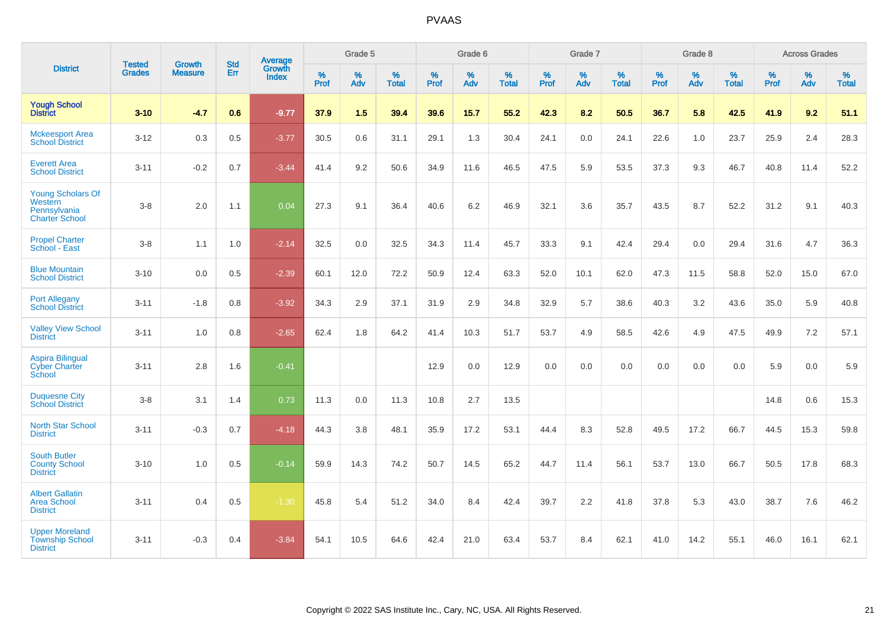|                                                                              |                                |                                 | <b>Std</b> | Average                |           | Grade 5  |                   |           | Grade 6  |                   |           | Grade 7  |                   |           | Grade 8  |                   |           | <b>Across Grades</b> |                   |
|------------------------------------------------------------------------------|--------------------------------|---------------------------------|------------|------------------------|-----------|----------|-------------------|-----------|----------|-------------------|-----------|----------|-------------------|-----------|----------|-------------------|-----------|----------------------|-------------------|
| <b>District</b>                                                              | <b>Tested</b><br><b>Grades</b> | <b>Growth</b><br><b>Measure</b> | Err        | Growth<br><b>Index</b> | %<br>Prof | %<br>Adv | %<br><b>Total</b> | %<br>Prof | %<br>Adv | %<br><b>Total</b> | %<br>Prof | %<br>Adv | %<br><b>Total</b> | %<br>Prof | %<br>Adv | %<br><b>Total</b> | %<br>Prof | %<br>Adv             | %<br><b>Total</b> |
| <b>Yough School</b><br><b>District</b>                                       | $3 - 10$                       | $-4.7$                          | 0.6        | $-9.77$                | 37.9      | 1.5      | 39.4              | 39.6      | 15.7     | 55.2              | 42.3      | 8.2      | 50.5              | 36.7      | 5.8      | 42.5              | 41.9      | 9.2                  | 51.1              |
| <b>Mckeesport Area</b><br><b>School District</b>                             | $3 - 12$                       | 0.3                             | 0.5        | $-3.77$                | 30.5      | 0.6      | 31.1              | 29.1      | 1.3      | 30.4              | 24.1      | 0.0      | 24.1              | 22.6      | 1.0      | 23.7              | 25.9      | 2.4                  | 28.3              |
| <b>Everett Area</b><br><b>School District</b>                                | $3 - 11$                       | $-0.2$                          | 0.7        | $-3.44$                | 41.4      | 9.2      | 50.6              | 34.9      | 11.6     | 46.5              | 47.5      | 5.9      | 53.5              | 37.3      | 9.3      | 46.7              | 40.8      | 11.4                 | 52.2              |
| <b>Young Scholars Of</b><br>Western<br>Pennsylvania<br><b>Charter School</b> | $3-8$                          | 2.0                             | 1.1        | 0.04                   | 27.3      | 9.1      | 36.4              | 40.6      | 6.2      | 46.9              | 32.1      | 3.6      | 35.7              | 43.5      | 8.7      | 52.2              | 31.2      | 9.1                  | 40.3              |
| <b>Propel Charter</b><br>School - East                                       | $3-8$                          | 1.1                             | 1.0        | $-2.14$                | 32.5      | 0.0      | 32.5              | 34.3      | 11.4     | 45.7              | 33.3      | 9.1      | 42.4              | 29.4      | 0.0      | 29.4              | 31.6      | 4.7                  | 36.3              |
| <b>Blue Mountain</b><br><b>School District</b>                               | $3 - 10$                       | 0.0                             | 0.5        | $-2.39$                | 60.1      | 12.0     | 72.2              | 50.9      | 12.4     | 63.3              | 52.0      | 10.1     | 62.0              | 47.3      | 11.5     | 58.8              | 52.0      | 15.0                 | 67.0              |
| <b>Port Allegany</b><br><b>School District</b>                               | $3 - 11$                       | $-1.8$                          | 0.8        | $-3.92$                | 34.3      | 2.9      | 37.1              | 31.9      | 2.9      | 34.8              | 32.9      | 5.7      | 38.6              | 40.3      | 3.2      | 43.6              | 35.0      | 5.9                  | 40.8              |
| <b>Valley View School</b><br><b>District</b>                                 | $3 - 11$                       | 1.0                             | 0.8        | $-2.65$                | 62.4      | 1.8      | 64.2              | 41.4      | 10.3     | 51.7              | 53.7      | 4.9      | 58.5              | 42.6      | 4.9      | 47.5              | 49.9      | 7.2                  | 57.1              |
| <b>Aspira Bilingual</b><br><b>Cyber Charter</b><br>School                    | $3 - 11$                       | 2.8                             | 1.6        | $-0.41$                |           |          |                   | 12.9      | 0.0      | 12.9              | 0.0       | 0.0      | 0.0               | 0.0       | 0.0      | 0.0               | 5.9       | 0.0                  | 5.9               |
| <b>Duquesne City</b><br><b>School District</b>                               | $3-8$                          | 3.1                             | 1.4        | 0.73                   | 11.3      | 0.0      | 11.3              | 10.8      | 2.7      | 13.5              |           |          |                   |           |          |                   | 14.8      | 0.6                  | 15.3              |
| North Star School<br><b>District</b>                                         | $3 - 11$                       | $-0.3$                          | 0.7        | $-4.18$                | 44.3      | 3.8      | 48.1              | 35.9      | 17.2     | 53.1              | 44.4      | 8.3      | 52.8              | 49.5      | 17.2     | 66.7              | 44.5      | 15.3                 | 59.8              |
| <b>South Butler</b><br><b>County School</b><br><b>District</b>               | $3 - 10$                       | 1.0                             | 0.5        | $-0.14$                | 59.9      | 14.3     | 74.2              | 50.7      | 14.5     | 65.2              | 44.7      | 11.4     | 56.1              | 53.7      | 13.0     | 66.7              | 50.5      | 17.8                 | 68.3              |
| <b>Albert Gallatin</b><br><b>Area School</b><br><b>District</b>              | $3 - 11$                       | 0.4                             | 0.5        | $-1.30$                | 45.8      | 5.4      | 51.2              | 34.0      | 8.4      | 42.4              | 39.7      | 2.2      | 41.8              | 37.8      | 5.3      | 43.0              | 38.7      | 7.6                  | 46.2              |
| <b>Upper Moreland</b><br><b>Township School</b><br><b>District</b>           | $3 - 11$                       | $-0.3$                          | 0.4        | $-3.84$                | 54.1      | 10.5     | 64.6              | 42.4      | 21.0     | 63.4              | 53.7      | 8.4      | 62.1              | 41.0      | 14.2     | 55.1              | 46.0      | 16.1                 | 62.1              |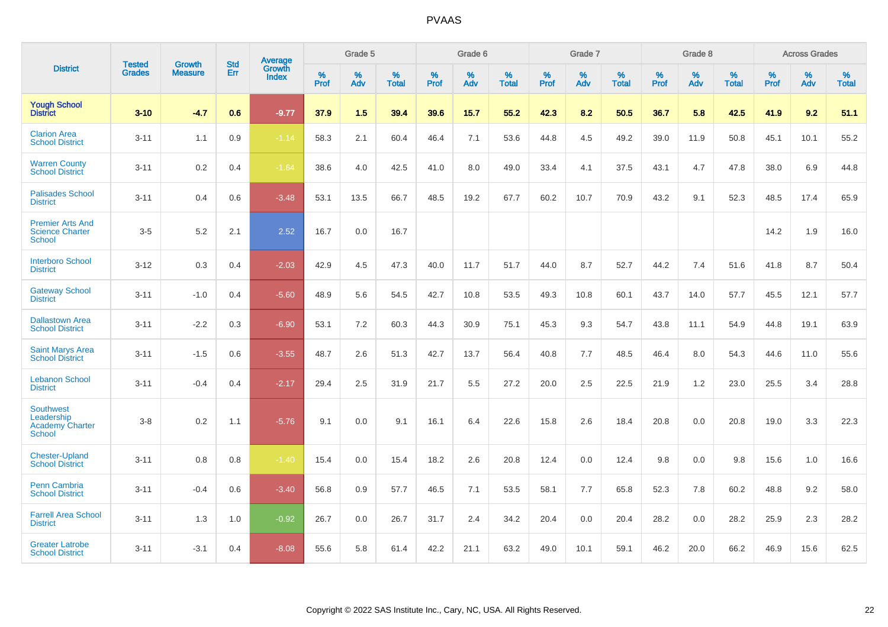|                                                                    |                                |                                 | <b>Std</b> | Average                       |           | Grade 5  |                   |           | Grade 6  |                   |           | Grade 7  |                   |           | Grade 8  |                   |           | <b>Across Grades</b> |                   |
|--------------------------------------------------------------------|--------------------------------|---------------------------------|------------|-------------------------------|-----------|----------|-------------------|-----------|----------|-------------------|-----------|----------|-------------------|-----------|----------|-------------------|-----------|----------------------|-------------------|
| <b>District</b>                                                    | <b>Tested</b><br><b>Grades</b> | <b>Growth</b><br><b>Measure</b> | Err        | <b>Growth</b><br><b>Index</b> | %<br>Prof | %<br>Adv | %<br><b>Total</b> | %<br>Prof | %<br>Adv | %<br><b>Total</b> | %<br>Prof | %<br>Adv | %<br><b>Total</b> | %<br>Prof | %<br>Adv | %<br><b>Total</b> | %<br>Prof | %<br>Adv             | %<br><b>Total</b> |
| <b>Yough School</b><br><b>District</b>                             | $3 - 10$                       | $-4.7$                          | 0.6        | $-9.77$                       | 37.9      | 1.5      | 39.4              | 39.6      | 15.7     | 55.2              | 42.3      | 8.2      | 50.5              | 36.7      | 5.8      | 42.5              | 41.9      | 9.2                  | 51.1              |
| <b>Clarion Area</b><br><b>School District</b>                      | $3 - 11$                       | 1.1                             | 0.9        | $-1.14$                       | 58.3      | 2.1      | 60.4              | 46.4      | 7.1      | 53.6              | 44.8      | 4.5      | 49.2              | 39.0      | 11.9     | 50.8              | 45.1      | 10.1                 | 55.2              |
| <b>Warren County</b><br><b>School District</b>                     | $3 - 11$                       | $0.2\,$                         | 0.4        | $-1.64$                       | 38.6      | 4.0      | 42.5              | 41.0      | 8.0      | 49.0              | 33.4      | 4.1      | 37.5              | 43.1      | 4.7      | 47.8              | 38.0      | 6.9                  | 44.8              |
| <b>Palisades School</b><br><b>District</b>                         | $3 - 11$                       | 0.4                             | 0.6        | $-3.48$                       | 53.1      | 13.5     | 66.7              | 48.5      | 19.2     | 67.7              | 60.2      | 10.7     | 70.9              | 43.2      | 9.1      | 52.3              | 48.5      | 17.4                 | 65.9              |
| <b>Premier Arts And</b><br><b>Science Charter</b><br><b>School</b> | $3-5$                          | 5.2                             | 2.1        | 2.52                          | 16.7      | 0.0      | 16.7              |           |          |                   |           |          |                   |           |          |                   | 14.2      | 1.9                  | 16.0              |
| <b>Interboro School</b><br><b>District</b>                         | $3 - 12$                       | 0.3                             | 0.4        | $-2.03$                       | 42.9      | 4.5      | 47.3              | 40.0      | 11.7     | 51.7              | 44.0      | 8.7      | 52.7              | 44.2      | 7.4      | 51.6              | 41.8      | 8.7                  | 50.4              |
| <b>Gateway School</b><br><b>District</b>                           | $3 - 11$                       | $-1.0$                          | 0.4        | $-5.60$                       | 48.9      | 5.6      | 54.5              | 42.7      | 10.8     | 53.5              | 49.3      | 10.8     | 60.1              | 43.7      | 14.0     | 57.7              | 45.5      | 12.1                 | 57.7              |
| <b>Dallastown Area</b><br><b>School District</b>                   | $3 - 11$                       | $-2.2$                          | 0.3        | $-6.90$                       | 53.1      | 7.2      | 60.3              | 44.3      | 30.9     | 75.1              | 45.3      | 9.3      | 54.7              | 43.8      | 11.1     | 54.9              | 44.8      | 19.1                 | 63.9              |
| <b>Saint Marys Area</b><br><b>School District</b>                  | $3 - 11$                       | $-1.5$                          | 0.6        | $-3.55$                       | 48.7      | 2.6      | 51.3              | 42.7      | 13.7     | 56.4              | 40.8      | 7.7      | 48.5              | 46.4      | 8.0      | 54.3              | 44.6      | 11.0                 | 55.6              |
| <b>Lebanon School</b><br><b>District</b>                           | $3 - 11$                       | $-0.4$                          | 0.4        | $-2.17$                       | 29.4      | 2.5      | 31.9              | 21.7      | 5.5      | 27.2              | 20.0      | 2.5      | 22.5              | 21.9      | 1.2      | 23.0              | 25.5      | 3.4                  | 28.8              |
| Southwest<br>Leadership<br><b>Academy Charter</b><br>School        | $3 - 8$                        | 0.2                             | 1.1        | $-5.76$                       | 9.1       | 0.0      | 9.1               | 16.1      | 6.4      | 22.6              | 15.8      | 2.6      | 18.4              | 20.8      | 0.0      | 20.8              | 19.0      | 3.3                  | 22.3              |
| <b>Chester-Upland</b><br><b>School District</b>                    | $3 - 11$                       | 0.8                             | 0.8        | $-1.40$                       | 15.4      | 0.0      | 15.4              | 18.2      | 2.6      | 20.8              | 12.4      | 0.0      | 12.4              | 9.8       | 0.0      | 9.8               | 15.6      | 1.0                  | 16.6              |
| Penn Cambria<br><b>School District</b>                             | $3 - 11$                       | $-0.4$                          | 0.6        | $-3.40$                       | 56.8      | 0.9      | 57.7              | 46.5      | 7.1      | 53.5              | 58.1      | 7.7      | 65.8              | 52.3      | 7.8      | 60.2              | 48.8      | 9.2                  | 58.0              |
| <b>Farrell Area School</b><br><b>District</b>                      | $3 - 11$                       | 1.3                             | 1.0        | $-0.92$                       | 26.7      | 0.0      | 26.7              | 31.7      | 2.4      | 34.2              | 20.4      | 0.0      | 20.4              | 28.2      | 0.0      | 28.2              | 25.9      | 2.3                  | 28.2              |
| <b>Greater Latrobe</b><br><b>School District</b>                   | $3 - 11$                       | $-3.1$                          | 0.4        | $-8.08$                       | 55.6      | 5.8      | 61.4              | 42.2      | 21.1     | 63.2              | 49.0      | 10.1     | 59.1              | 46.2      | 20.0     | 66.2              | 46.9      | 15.6                 | 62.5              |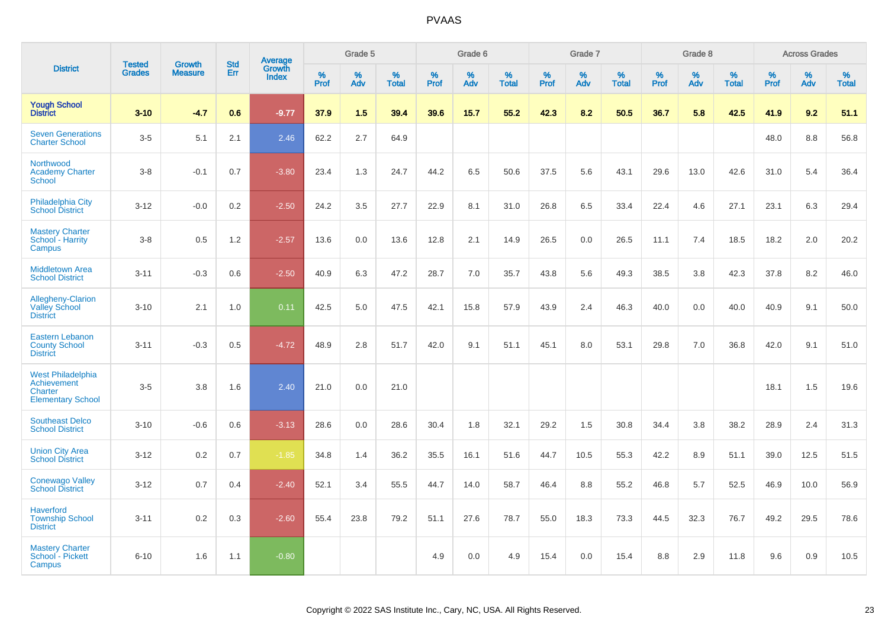|                                                                         |                                |                                 | <b>Std</b> | Average                |              | Grade 5     |                      |              | Grade 6  |                      |              | Grade 7  |                   |              | Grade 8  |                   |              | <b>Across Grades</b> |            |
|-------------------------------------------------------------------------|--------------------------------|---------------------------------|------------|------------------------|--------------|-------------|----------------------|--------------|----------|----------------------|--------------|----------|-------------------|--------------|----------|-------------------|--------------|----------------------|------------|
| <b>District</b>                                                         | <b>Tested</b><br><b>Grades</b> | <b>Growth</b><br><b>Measure</b> | Err        | Growth<br><b>Index</b> | $\%$<br>Prof | $\%$<br>Adv | $\%$<br><b>Total</b> | $\%$<br>Prof | %<br>Adv | $\%$<br><b>Total</b> | $\%$<br>Prof | %<br>Adv | %<br><b>Total</b> | $\%$<br>Prof | %<br>Adv | %<br><b>Total</b> | $\%$<br>Prof | %<br>Adv             | %<br>Total |
| <b>Yough School</b><br><b>District</b>                                  | $3 - 10$                       | $-4.7$                          | 0.6        | $-9.77$                | 37.9         | 1.5         | 39.4                 | 39.6         | 15.7     | 55.2                 | 42.3         | 8.2      | 50.5              | 36.7         | 5.8      | 42.5              | 41.9         | 9.2                  | 51.1       |
| <b>Seven Generations</b><br><b>Charter School</b>                       | $3-5$                          | 5.1                             | 2.1        | 2.46                   | 62.2         | 2.7         | 64.9                 |              |          |                      |              |          |                   |              |          |                   | 48.0         | $8.8\,$              | 56.8       |
| Northwood<br><b>Academy Charter</b><br>School                           | $3-8$                          | $-0.1$                          | 0.7        | $-3.80$                | 23.4         | 1.3         | 24.7                 | 44.2         | 6.5      | 50.6                 | 37.5         | 5.6      | 43.1              | 29.6         | 13.0     | 42.6              | 31.0         | 5.4                  | 36.4       |
| Philadelphia City<br><b>School District</b>                             | $3 - 12$                       | $-0.0$                          | 0.2        | $-2.50$                | 24.2         | 3.5         | 27.7                 | 22.9         | 8.1      | 31.0                 | 26.8         | 6.5      | 33.4              | 22.4         | 4.6      | 27.1              | 23.1         | 6.3                  | 29.4       |
| <b>Mastery Charter</b><br>School - Harrity<br>Campus                    | $3-8$                          | 0.5                             | 1.2        | $-2.57$                | 13.6         | 0.0         | 13.6                 | 12.8         | 2.1      | 14.9                 | 26.5         | 0.0      | 26.5              | 11.1         | 7.4      | 18.5              | 18.2         | 2.0                  | 20.2       |
| <b>Middletown Area</b><br><b>School District</b>                        | $3 - 11$                       | $-0.3$                          | 0.6        | $-2.50$                | 40.9         | 6.3         | 47.2                 | 28.7         | 7.0      | 35.7                 | 43.8         | 5.6      | 49.3              | 38.5         | 3.8      | 42.3              | 37.8         | 8.2                  | 46.0       |
| Allegheny-Clarion<br><b>Valley School</b><br><b>District</b>            | $3 - 10$                       | 2.1                             | 1.0        | 0.11                   | 42.5         | 5.0         | 47.5                 | 42.1         | 15.8     | 57.9                 | 43.9         | 2.4      | 46.3              | 40.0         | 0.0      | 40.0              | 40.9         | 9.1                  | 50.0       |
| <b>Eastern Lebanon</b><br><b>County School</b><br><b>District</b>       | $3 - 11$                       | $-0.3$                          | 0.5        | $-4.72$                | 48.9         | 2.8         | 51.7                 | 42.0         | 9.1      | 51.1                 | 45.1         | 8.0      | 53.1              | 29.8         | 7.0      | 36.8              | 42.0         | 9.1                  | 51.0       |
| West Philadelphia<br>Achievement<br>Charter<br><b>Elementary School</b> | $3-5$                          | 3.8                             | 1.6        | 2.40                   | 21.0         | 0.0         | 21.0                 |              |          |                      |              |          |                   |              |          |                   | 18.1         | 1.5                  | 19.6       |
| <b>Southeast Delco</b><br><b>School District</b>                        | $3 - 10$                       | $-0.6$                          | 0.6        | $-3.13$                | 28.6         | 0.0         | 28.6                 | 30.4         | 1.8      | 32.1                 | 29.2         | 1.5      | 30.8              | 34.4         | 3.8      | 38.2              | 28.9         | 2.4                  | 31.3       |
| <b>Union City Area</b><br><b>School District</b>                        | $3 - 12$                       | 0.2                             | 0.7        | $-1.85$                | 34.8         | 1.4         | 36.2                 | 35.5         | 16.1     | 51.6                 | 44.7         | 10.5     | 55.3              | 42.2         | 8.9      | 51.1              | 39.0         | 12.5                 | 51.5       |
| <b>Conewago Valley</b><br><b>School District</b>                        | $3-12$                         | 0.7                             | 0.4        | $-2.40$                | 52.1         | 3.4         | 55.5                 | 44.7         | 14.0     | 58.7                 | 46.4         | 8.8      | 55.2              | 46.8         | 5.7      | 52.5              | 46.9         | 10.0                 | 56.9       |
| <b>Haverford</b><br><b>Township School</b><br><b>District</b>           | $3 - 11$                       | 0.2                             | 0.3        | $-2.60$                | 55.4         | 23.8        | 79.2                 | 51.1         | 27.6     | 78.7                 | 55.0         | 18.3     | 73.3              | 44.5         | 32.3     | 76.7              | 49.2         | 29.5                 | 78.6       |
| <b>Mastery Charter</b><br>School - Pickett<br>Campus                    | $6 - 10$                       | 1.6                             | 1.1        | $-0.80$                |              |             |                      | 4.9          | 0.0      | 4.9                  | 15.4         | 0.0      | 15.4              | 8.8          | 2.9      | 11.8              | 9.6          | 0.9                  | 10.5       |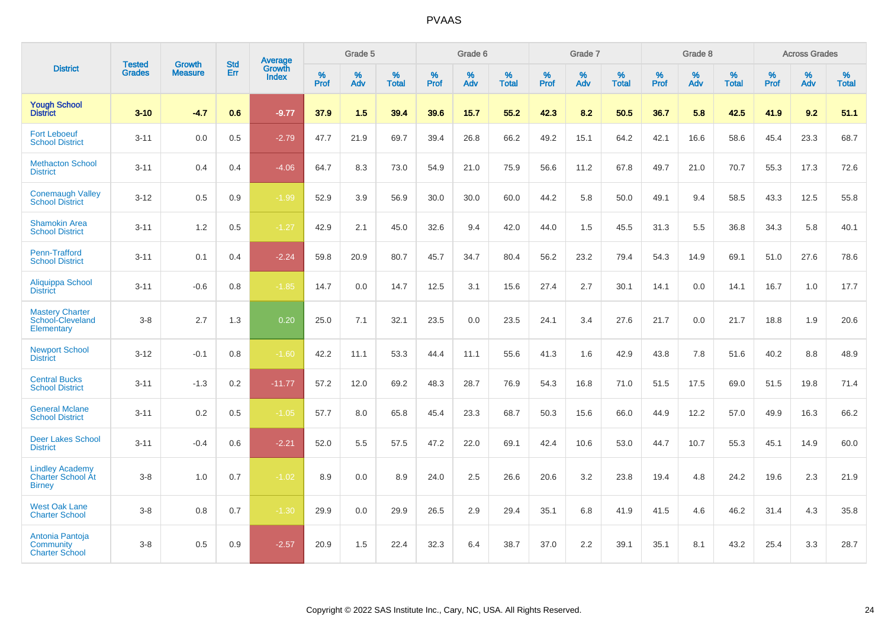|                                                                     | <b>Tested</b> | <b>Growth</b>  | <b>Std</b> | Average                |           | Grade 5  |                   |           | Grade 6  |                   |           | Grade 7  |                   |           | Grade 8  |                   |           | <b>Across Grades</b> |                   |
|---------------------------------------------------------------------|---------------|----------------|------------|------------------------|-----------|----------|-------------------|-----------|----------|-------------------|-----------|----------|-------------------|-----------|----------|-------------------|-----------|----------------------|-------------------|
| <b>District</b>                                                     | <b>Grades</b> | <b>Measure</b> | Err        | Growth<br><b>Index</b> | %<br>Prof | %<br>Adv | %<br><b>Total</b> | %<br>Prof | %<br>Adv | %<br><b>Total</b> | %<br>Prof | %<br>Adv | %<br><b>Total</b> | %<br>Prof | %<br>Adv | %<br><b>Total</b> | %<br>Prof | %<br>Adv             | %<br><b>Total</b> |
| <b>Yough School</b><br><b>District</b>                              | $3 - 10$      | $-4.7$         | 0.6        | $-9.77$                | 37.9      | 1.5      | 39.4              | 39.6      | 15.7     | 55.2              | 42.3      | 8.2      | 50.5              | 36.7      | 5.8      | 42.5              | 41.9      | 9.2                  | 51.1              |
| <b>Fort Leboeuf</b><br><b>School District</b>                       | $3 - 11$      | 0.0            | 0.5        | $-2.79$                | 47.7      | 21.9     | 69.7              | 39.4      | 26.8     | 66.2              | 49.2      | 15.1     | 64.2              | 42.1      | 16.6     | 58.6              | 45.4      | 23.3                 | 68.7              |
| <b>Methacton School</b><br><b>District</b>                          | $3 - 11$      | 0.4            | 0.4        | $-4.06$                | 64.7      | 8.3      | 73.0              | 54.9      | 21.0     | 75.9              | 56.6      | 11.2     | 67.8              | 49.7      | 21.0     | 70.7              | 55.3      | 17.3                 | 72.6              |
| <b>Conemaugh Valley</b><br><b>School District</b>                   | $3 - 12$      | 0.5            | 0.9        | $-1.99$                | 52.9      | 3.9      | 56.9              | 30.0      | 30.0     | 60.0              | 44.2      | 5.8      | 50.0              | 49.1      | 9.4      | 58.5              | 43.3      | 12.5                 | 55.8              |
| <b>Shamokin Area</b><br><b>School District</b>                      | $3 - 11$      | 1.2            | 0.5        | $-1.27$                | 42.9      | 2.1      | 45.0              | 32.6      | 9.4      | 42.0              | 44.0      | 1.5      | 45.5              | 31.3      | 5.5      | 36.8              | 34.3      | 5.8                  | 40.1              |
| Penn-Trafford<br><b>School District</b>                             | $3 - 11$      | 0.1            | 0.4        | $-2.24$                | 59.8      | 20.9     | 80.7              | 45.7      | 34.7     | 80.4              | 56.2      | 23.2     | 79.4              | 54.3      | 14.9     | 69.1              | 51.0      | 27.6                 | 78.6              |
| Aliquippa School<br><b>District</b>                                 | $3 - 11$      | $-0.6$         | 0.8        | $-1.85$                | 14.7      | 0.0      | 14.7              | 12.5      | 3.1      | 15.6              | 27.4      | 2.7      | 30.1              | 14.1      | 0.0      | 14.1              | 16.7      | 1.0                  | 17.7              |
| <b>Mastery Charter</b><br>School-Cleveland<br>Elementary            | $3-8$         | 2.7            | 1.3        | 0.20                   | 25.0      | 7.1      | 32.1              | 23.5      | 0.0      | 23.5              | 24.1      | 3.4      | 27.6              | 21.7      | 0.0      | 21.7              | 18.8      | 1.9                  | 20.6              |
| <b>Newport School</b><br><b>District</b>                            | $3 - 12$      | $-0.1$         | 0.8        | $-1.60$                | 42.2      | 11.1     | 53.3              | 44.4      | 11.1     | 55.6              | 41.3      | 1.6      | 42.9              | 43.8      | 7.8      | 51.6              | 40.2      | 8.8                  | 48.9              |
| <b>Central Bucks</b><br><b>School District</b>                      | $3 - 11$      | $-1.3$         | 0.2        | $-11.77$               | 57.2      | 12.0     | 69.2              | 48.3      | 28.7     | 76.9              | 54.3      | 16.8     | 71.0              | 51.5      | 17.5     | 69.0              | 51.5      | 19.8                 | 71.4              |
| <b>General Mclane</b><br><b>School District</b>                     | $3 - 11$      | 0.2            | 0.5        | $-1.05$                | 57.7      | 8.0      | 65.8              | 45.4      | 23.3     | 68.7              | 50.3      | 15.6     | 66.0              | 44.9      | 12.2     | 57.0              | 49.9      | 16.3                 | 66.2              |
| <b>Deer Lakes School</b><br><b>District</b>                         | $3 - 11$      | $-0.4$         | 0.6        | $-2.21$                | 52.0      | 5.5      | 57.5              | 47.2      | 22.0     | 69.1              | 42.4      | 10.6     | 53.0              | 44.7      | 10.7     | 55.3              | 45.1      | 14.9                 | 60.0              |
| <b>Lindley Academy</b><br><b>Charter School At</b><br><b>Birney</b> | $3-8$         | 1.0            | 0.7        | $-1.02$                | 8.9       | 0.0      | 8.9               | 24.0      | 2.5      | 26.6              | 20.6      | 3.2      | 23.8              | 19.4      | 4.8      | 24.2              | 19.6      | 2.3                  | 21.9              |
| <b>West Oak Lane</b><br><b>Charter School</b>                       | $3-8$         | 0.8            | 0.7        | $-1.30$                | 29.9      | 0.0      | 29.9              | 26.5      | 2.9      | 29.4              | 35.1      | 6.8      | 41.9              | 41.5      | 4.6      | 46.2              | 31.4      | 4.3                  | 35.8              |
| Antonia Pantoja<br>Community<br><b>Charter School</b>               | $3-8$         | 0.5            | 0.9        | $-2.57$                | 20.9      | 1.5      | 22.4              | 32.3      | 6.4      | 38.7              | 37.0      | 2.2      | 39.1              | 35.1      | 8.1      | 43.2              | 25.4      | 3.3                  | 28.7              |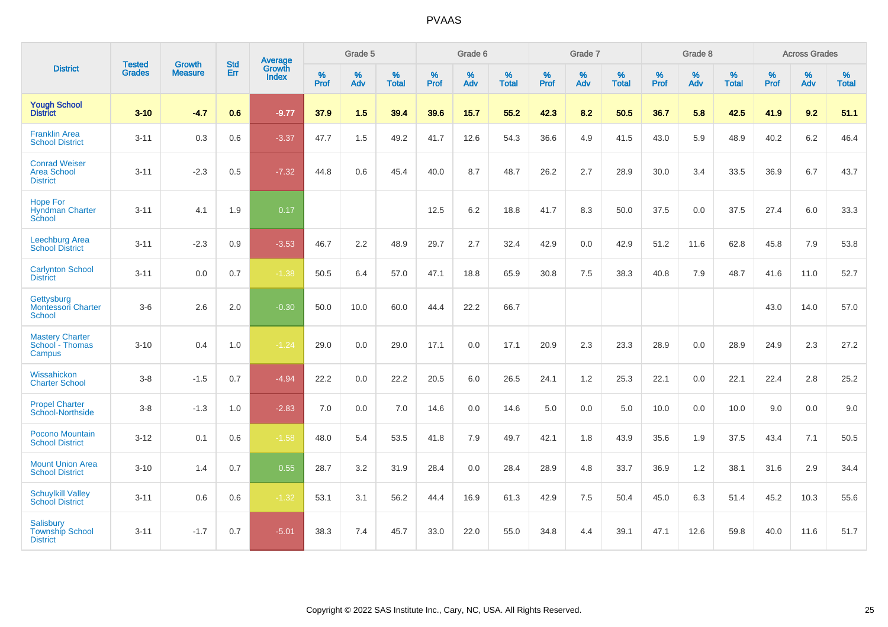|                                                               | <b>Tested</b> | <b>Growth</b>  | <b>Std</b> | Average                |                     | Grade 5     |                   |                     | Grade 6  |                   |                     | Grade 7  |                   |              | Grade 8  |                   |                     | <b>Across Grades</b> |                   |
|---------------------------------------------------------------|---------------|----------------|------------|------------------------|---------------------|-------------|-------------------|---------------------|----------|-------------------|---------------------|----------|-------------------|--------------|----------|-------------------|---------------------|----------------------|-------------------|
| <b>District</b>                                               | <b>Grades</b> | <b>Measure</b> | Err        | Growth<br><b>Index</b> | $\%$<br><b>Prof</b> | $\%$<br>Adv | %<br><b>Total</b> | $\%$<br><b>Prof</b> | %<br>Adv | %<br><b>Total</b> | $\%$<br><b>Prof</b> | %<br>Adv | %<br><b>Total</b> | $\%$<br>Prof | %<br>Adv | %<br><b>Total</b> | $\%$<br><b>Prof</b> | %<br>Adv             | %<br><b>Total</b> |
| <b>Yough School</b><br><b>District</b>                        | $3 - 10$      | $-4.7$         | 0.6        | $-9.77$                | 37.9                | 1.5         | 39.4              | 39.6                | 15.7     | 55.2              | 42.3                | 8.2      | 50.5              | 36.7         | 5.8      | 42.5              | 41.9                | 9.2                  | 51.1              |
| <b>Franklin Area</b><br><b>School District</b>                | $3 - 11$      | 0.3            | 0.6        | $-3.37$                | 47.7                | 1.5         | 49.2              | 41.7                | 12.6     | 54.3              | 36.6                | 4.9      | 41.5              | 43.0         | 5.9      | 48.9              | 40.2                | 6.2                  | 46.4              |
| <b>Conrad Weiser</b><br>Area School<br><b>District</b>        | $3 - 11$      | $-2.3$         | 0.5        | $-7.32$                | 44.8                | 0.6         | 45.4              | 40.0                | 8.7      | 48.7              | 26.2                | 2.7      | 28.9              | 30.0         | 3.4      | 33.5              | 36.9                | 6.7                  | 43.7              |
| <b>Hope For</b><br><b>Hyndman Charter</b><br>School           | $3 - 11$      | 4.1            | 1.9        | 0.17                   |                     |             |                   | 12.5                | 6.2      | 18.8              | 41.7                | 8.3      | 50.0              | 37.5         | 0.0      | 37.5              | 27.4                | 6.0                  | 33.3              |
| Leechburg Area<br><b>School District</b>                      | $3 - 11$      | $-2.3$         | 0.9        | $-3.53$                | 46.7                | 2.2         | 48.9              | 29.7                | 2.7      | 32.4              | 42.9                | 0.0      | 42.9              | 51.2         | 11.6     | 62.8              | 45.8                | 7.9                  | 53.8              |
| <b>Carlynton School</b><br><b>District</b>                    | $3 - 11$      | 0.0            | 0.7        | $-1.38$                | 50.5                | 6.4         | 57.0              | 47.1                | 18.8     | 65.9              | 30.8                | 7.5      | 38.3              | 40.8         | 7.9      | 48.7              | 41.6                | 11.0                 | 52.7              |
| Gettysburg<br><b>Montessori Charter</b><br>School             | $3-6$         | 2.6            | 2.0        | $-0.30$                | 50.0                | 10.0        | 60.0              | 44.4                | 22.2     | 66.7              |                     |          |                   |              |          |                   | 43.0                | 14.0                 | 57.0              |
| <b>Mastery Charter</b><br>School - Thomas<br>Campus           | $3 - 10$      | 0.4            | 1.0        | $-1.24$                | 29.0                | 0.0         | 29.0              | 17.1                | 0.0      | 17.1              | 20.9                | 2.3      | 23.3              | 28.9         | 0.0      | 28.9              | 24.9                | 2.3                  | 27.2              |
| Wissahickon<br><b>Charter School</b>                          | $3-8$         | $-1.5$         | 0.7        | $-4.94$                | 22.2                | 0.0         | 22.2              | 20.5                | 6.0      | 26.5              | 24.1                | 1.2      | 25.3              | 22.1         | 0.0      | 22.1              | 22.4                | 2.8                  | 25.2              |
| <b>Propel Charter</b><br>School-Northside                     | $3-8$         | $-1.3$         | 1.0        | $-2.83$                | 7.0                 | 0.0         | 7.0               | 14.6                | 0.0      | 14.6              | 5.0                 | 0.0      | 5.0               | 10.0         | 0.0      | 10.0              | 9.0                 | 0.0                  | 9.0               |
| Pocono Mountain<br><b>School District</b>                     | $3 - 12$      | 0.1            | 0.6        | $-1.58$                | 48.0                | 5.4         | 53.5              | 41.8                | 7.9      | 49.7              | 42.1                | 1.8      | 43.9              | 35.6         | 1.9      | 37.5              | 43.4                | 7.1                  | 50.5              |
| <b>Mount Union Area</b><br><b>School District</b>             | $3 - 10$      | 1.4            | 0.7        | 0.55                   | 28.7                | 3.2         | 31.9              | 28.4                | 0.0      | 28.4              | 28.9                | 4.8      | 33.7              | 36.9         | 1.2      | 38.1              | 31.6                | 2.9                  | 34.4              |
| <b>Schuylkill Valley</b><br><b>School District</b>            | $3 - 11$      | 0.6            | 0.6        | $-1.32$                | 53.1                | 3.1         | 56.2              | 44.4                | 16.9     | 61.3              | 42.9                | 7.5      | 50.4              | 45.0         | 6.3      | 51.4              | 45.2                | 10.3                 | 55.6              |
| <b>Salisbury</b><br><b>Township School</b><br><b>District</b> | $3 - 11$      | $-1.7$         | 0.7        | $-5.01$                | 38.3                | 7.4         | 45.7              | 33.0                | 22.0     | 55.0              | 34.8                | 4.4      | 39.1              | 47.1         | 12.6     | 59.8              | 40.0                | 11.6                 | 51.7              |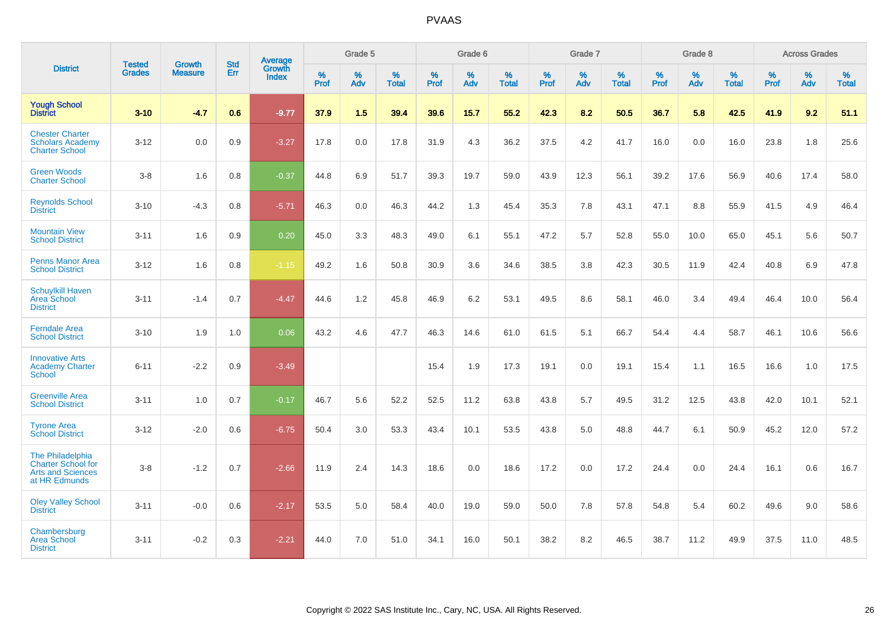|                                                                                            |                                |                                 | <b>Std</b> | Average                       |              | Grade 5  |                   |           | Grade 6  |                   |           | Grade 7  |                   |           | Grade 8  |                   |           | <b>Across Grades</b> |                   |
|--------------------------------------------------------------------------------------------|--------------------------------|---------------------------------|------------|-------------------------------|--------------|----------|-------------------|-----------|----------|-------------------|-----------|----------|-------------------|-----------|----------|-------------------|-----------|----------------------|-------------------|
| <b>District</b>                                                                            | <b>Tested</b><br><b>Grades</b> | <b>Growth</b><br><b>Measure</b> | Err        | <b>Growth</b><br><b>Index</b> | $\%$<br>Prof | %<br>Adv | %<br><b>Total</b> | %<br>Prof | %<br>Adv | %<br><b>Total</b> | %<br>Prof | %<br>Adv | %<br><b>Total</b> | %<br>Prof | %<br>Adv | %<br><b>Total</b> | %<br>Prof | %<br>Adv             | %<br><b>Total</b> |
| <b>Yough School</b><br><b>District</b>                                                     | $3 - 10$                       | $-4.7$                          | 0.6        | $-9.77$                       | 37.9         | 1.5      | 39.4              | 39.6      | 15.7     | 55.2              | 42.3      | 8.2      | 50.5              | 36.7      | 5.8      | 42.5              | 41.9      | 9.2                  | 51.1              |
| <b>Chester Charter</b><br><b>Scholars Academy</b><br><b>Charter School</b>                 | $3 - 12$                       | 0.0                             | 0.9        | $-3.27$                       | 17.8         | 0.0      | 17.8              | 31.9      | 4.3      | 36.2              | 37.5      | 4.2      | 41.7              | 16.0      | 0.0      | 16.0              | 23.8      | 1.8                  | 25.6              |
| <b>Green Woods</b><br><b>Charter School</b>                                                | $3-8$                          | 1.6                             | 0.8        | $-0.37$                       | 44.8         | 6.9      | 51.7              | 39.3      | 19.7     | 59.0              | 43.9      | 12.3     | 56.1              | 39.2      | 17.6     | 56.9              | 40.6      | 17.4                 | 58.0              |
| <b>Reynolds School</b><br><b>District</b>                                                  | $3 - 10$                       | $-4.3$                          | 0.8        | $-5.71$                       | 46.3         | 0.0      | 46.3              | 44.2      | 1.3      | 45.4              | 35.3      | 7.8      | 43.1              | 47.1      | 8.8      | 55.9              | 41.5      | 4.9                  | 46.4              |
| <b>Mountain View</b><br><b>School District</b>                                             | $3 - 11$                       | 1.6                             | 0.9        | 0.20                          | 45.0         | 3.3      | 48.3              | 49.0      | 6.1      | 55.1              | 47.2      | 5.7      | 52.8              | 55.0      | 10.0     | 65.0              | 45.1      | 5.6                  | 50.7              |
| <b>Penns Manor Area</b><br><b>School District</b>                                          | $3 - 12$                       | 1.6                             | 0.8        | $-1.15$                       | 49.2         | 1.6      | 50.8              | 30.9      | 3.6      | 34.6              | 38.5      | 3.8      | 42.3              | 30.5      | 11.9     | 42.4              | 40.8      | 6.9                  | 47.8              |
| <b>Schuylkill Haven</b><br>Area School<br><b>District</b>                                  | $3 - 11$                       | $-1.4$                          | 0.7        | $-4.47$                       | 44.6         | 1.2      | 45.8              | 46.9      | 6.2      | 53.1              | 49.5      | 8.6      | 58.1              | 46.0      | 3.4      | 49.4              | 46.4      | 10.0                 | 56.4              |
| <b>Ferndale Area</b><br><b>School District</b>                                             | $3 - 10$                       | 1.9                             | 1.0        | 0.06                          | 43.2         | 4.6      | 47.7              | 46.3      | 14.6     | 61.0              | 61.5      | 5.1      | 66.7              | 54.4      | 4.4      | 58.7              | 46.1      | 10.6                 | 56.6              |
| <b>Innovative Arts</b><br><b>Academy Charter</b><br>School                                 | $6 - 11$                       | $-2.2$                          | 0.9        | $-3.49$                       |              |          |                   | 15.4      | 1.9      | 17.3              | 19.1      | 0.0      | 19.1              | 15.4      | 1.1      | 16.5              | 16.6      | 1.0                  | 17.5              |
| <b>Greenville Area</b><br><b>School District</b>                                           | $3 - 11$                       | 1.0                             | 0.7        | $-0.17$                       | 46.7         | 5.6      | 52.2              | 52.5      | 11.2     | 63.8              | 43.8      | 5.7      | 49.5              | 31.2      | 12.5     | 43.8              | 42.0      | 10.1                 | 52.1              |
| <b>Tyrone Area</b><br><b>School District</b>                                               | $3 - 12$                       | $-2.0$                          | 0.6        | $-6.75$                       | 50.4         | 3.0      | 53.3              | 43.4      | 10.1     | 53.5              | 43.8      | 5.0      | 48.8              | 44.7      | 6.1      | 50.9              | 45.2      | 12.0                 | 57.2              |
| The Philadelphia<br><b>Charter School for</b><br><b>Arts and Sciences</b><br>at HR Edmunds | $3-8$                          | $-1.2$                          | 0.7        | $-2.66$                       | 11.9         | 2.4      | 14.3              | 18.6      | 0.0      | 18.6              | 17.2      | 0.0      | 17.2              | 24.4      | 0.0      | 24.4              | 16.1      | 0.6                  | 16.7              |
| <b>Oley Valley School</b><br><b>District</b>                                               | $3 - 11$                       | $-0.0$                          | 0.6        | $-2.17$                       | 53.5         | 5.0      | 58.4              | 40.0      | 19.0     | 59.0              | 50.0      | 7.8      | 57.8              | 54.8      | 5.4      | 60.2              | 49.6      | 9.0                  | 58.6              |
| Chambersburg<br><b>Area School</b><br><b>District</b>                                      | $3 - 11$                       | $-0.2$                          | 0.3        | $-2.21$                       | 44.0         | 7.0      | 51.0              | 34.1      | 16.0     | 50.1              | 38.2      | 8.2      | 46.5              | 38.7      | 11.2     | 49.9              | 37.5      | 11.0                 | 48.5              |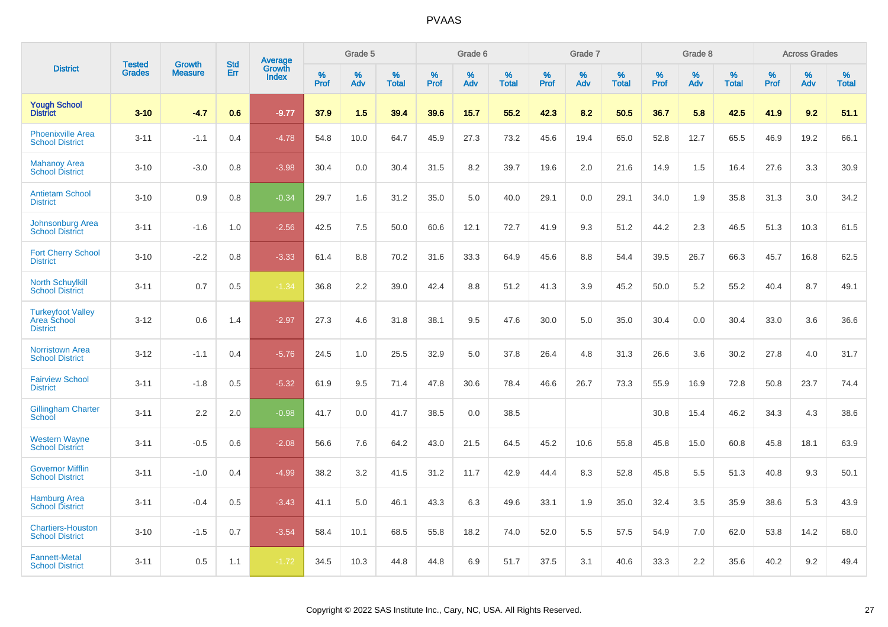|                                                            | <b>Tested</b> | <b>Growth</b>  | <b>Std</b> | Average<br>Growth |                     | Grade 5  |                      |              | Grade 6  |                      |              | Grade 7  |                      |              | Grade 8     |                      |                     | <b>Across Grades</b> |                      |
|------------------------------------------------------------|---------------|----------------|------------|-------------------|---------------------|----------|----------------------|--------------|----------|----------------------|--------------|----------|----------------------|--------------|-------------|----------------------|---------------------|----------------------|----------------------|
| <b>District</b>                                            | <b>Grades</b> | <b>Measure</b> | Err        | <b>Index</b>      | $\%$<br><b>Prof</b> | %<br>Adv | $\%$<br><b>Total</b> | $\%$<br>Prof | %<br>Adv | $\%$<br><b>Total</b> | $\%$<br>Prof | %<br>Adv | $\%$<br><b>Total</b> | $\%$<br>Prof | $\%$<br>Adv | $\%$<br><b>Total</b> | $\%$<br><b>Prof</b> | $\%$<br>Adv          | $\%$<br><b>Total</b> |
| <b>Yough School</b><br><b>District</b>                     | $3 - 10$      | $-4.7$         | 0.6        | $-9.77$           | 37.9                | 1.5      | 39.4                 | 39.6         | 15.7     | 55.2                 | 42.3         | 8.2      | 50.5                 | 36.7         | 5.8         | 42.5                 | 41.9                | 9.2                  | 51.1                 |
| <b>Phoenixville Area</b><br><b>School District</b>         | $3 - 11$      | $-1.1$         | 0.4        | $-4.78$           | 54.8                | 10.0     | 64.7                 | 45.9         | 27.3     | 73.2                 | 45.6         | 19.4     | 65.0                 | 52.8         | 12.7        | 65.5                 | 46.9                | 19.2                 | 66.1                 |
| <b>Mahanoy Area</b><br><b>School District</b>              | $3 - 10$      | $-3.0$         | 0.8        | $-3.98$           | 30.4                | 0.0      | 30.4                 | 31.5         | 8.2      | 39.7                 | 19.6         | 2.0      | 21.6                 | 14.9         | 1.5         | 16.4                 | 27.6                | 3.3                  | 30.9                 |
| <b>Antietam School</b><br><b>District</b>                  | $3 - 10$      | 0.9            | 0.8        | $-0.34$           | 29.7                | 1.6      | 31.2                 | 35.0         | 5.0      | 40.0                 | 29.1         | 0.0      | 29.1                 | 34.0         | 1.9         | 35.8                 | 31.3                | 3.0                  | 34.2                 |
| Johnsonburg Area<br><b>School District</b>                 | $3 - 11$      | $-1.6$         | 1.0        | $-2.56$           | 42.5                | 7.5      | 50.0                 | 60.6         | 12.1     | 72.7                 | 41.9         | 9.3      | 51.2                 | 44.2         | 2.3         | 46.5                 | 51.3                | 10.3                 | 61.5                 |
| <b>Fort Cherry School</b><br><b>District</b>               | $3 - 10$      | $-2.2$         | 0.8        | $-3.33$           | 61.4                | 8.8      | 70.2                 | 31.6         | 33.3     | 64.9                 | 45.6         | 8.8      | 54.4                 | 39.5         | 26.7        | 66.3                 | 45.7                | 16.8                 | 62.5                 |
| <b>North Schuylkill</b><br><b>School District</b>          | $3 - 11$      | 0.7            | 0.5        | $-1.34$           | 36.8                | 2.2      | 39.0                 | 42.4         | 8.8      | 51.2                 | 41.3         | 3.9      | 45.2                 | 50.0         | 5.2         | 55.2                 | 40.4                | 8.7                  | 49.1                 |
| <b>Turkeyfoot Valley</b><br>Area School<br><b>District</b> | $3 - 12$      | 0.6            | 1.4        | $-2.97$           | 27.3                | 4.6      | 31.8                 | 38.1         | 9.5      | 47.6                 | 30.0         | 5.0      | 35.0                 | 30.4         | 0.0         | 30.4                 | 33.0                | 3.6                  | 36.6                 |
| <b>Norristown Area</b><br><b>School District</b>           | $3 - 12$      | $-1.1$         | 0.4        | $-5.76$           | 24.5                | 1.0      | 25.5                 | 32.9         | 5.0      | 37.8                 | 26.4         | 4.8      | 31.3                 | 26.6         | 3.6         | 30.2                 | 27.8                | 4.0                  | 31.7                 |
| <b>Fairview School</b><br><b>District</b>                  | $3 - 11$      | $-1.8$         | 0.5        | $-5.32$           | 61.9                | 9.5      | 71.4                 | 47.8         | 30.6     | 78.4                 | 46.6         | 26.7     | 73.3                 | 55.9         | 16.9        | 72.8                 | 50.8                | 23.7                 | 74.4                 |
| <b>Gillingham Charter</b><br>School                        | $3 - 11$      | 2.2            | 2.0        | $-0.98$           | 41.7                | 0.0      | 41.7                 | 38.5         | 0.0      | 38.5                 |              |          |                      | 30.8         | 15.4        | 46.2                 | 34.3                | 4.3                  | 38.6                 |
| <b>Western Wayne</b><br><b>School District</b>             | $3 - 11$      | $-0.5$         | 0.6        | $-2.08$           | 56.6                | 7.6      | 64.2                 | 43.0         | 21.5     | 64.5                 | 45.2         | 10.6     | 55.8                 | 45.8         | 15.0        | 60.8                 | 45.8                | 18.1                 | 63.9                 |
| <b>Governor Mifflin</b><br><b>School District</b>          | $3 - 11$      | $-1.0$         | 0.4        | $-4.99$           | 38.2                | 3.2      | 41.5                 | 31.2         | 11.7     | 42.9                 | 44.4         | 8.3      | 52.8                 | 45.8         | 5.5         | 51.3                 | 40.8                | 9.3                  | 50.1                 |
| <b>Hamburg Area</b><br><b>School District</b>              | $3 - 11$      | $-0.4$         | 0.5        | $-3.43$           | 41.1                | 5.0      | 46.1                 | 43.3         | 6.3      | 49.6                 | 33.1         | 1.9      | 35.0                 | 32.4         | 3.5         | 35.9                 | 38.6                | 5.3                  | 43.9                 |
| <b>Chartiers-Houston</b><br><b>School District</b>         | $3 - 10$      | $-1.5$         | 0.7        | $-3.54$           | 58.4                | 10.1     | 68.5                 | 55.8         | 18.2     | 74.0                 | 52.0         | 5.5      | 57.5                 | 54.9         | 7.0         | 62.0                 | 53.8                | 14.2                 | 68.0                 |
| <b>Fannett-Metal</b><br><b>School District</b>             | $3 - 11$      | 0.5            | 1.1        | $-1.72$           | 34.5                | 10.3     | 44.8                 | 44.8         | 6.9      | 51.7                 | 37.5         | 3.1      | 40.6                 | 33.3         | 2.2         | 35.6                 | 40.2                | 9.2                  | 49.4                 |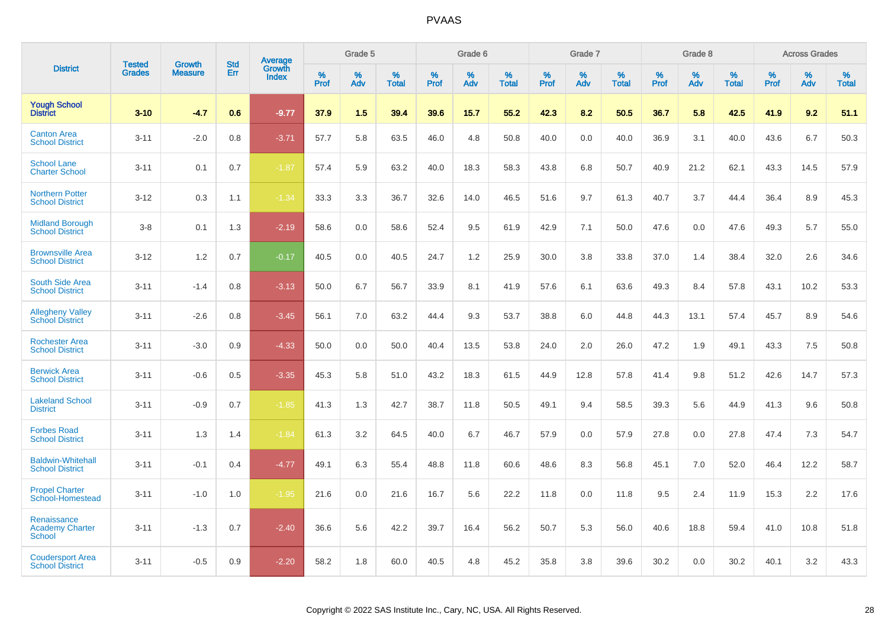|                                                        | <b>Tested</b> | <b>Growth</b>  | <b>Std</b> | Average                |              | Grade 5  |                      |                  | Grade 6  |                   |              | Grade 7  |                   |              | Grade 8  |                      |              | <b>Across Grades</b> |                      |
|--------------------------------------------------------|---------------|----------------|------------|------------------------|--------------|----------|----------------------|------------------|----------|-------------------|--------------|----------|-------------------|--------------|----------|----------------------|--------------|----------------------|----------------------|
| <b>District</b>                                        | <b>Grades</b> | <b>Measure</b> | Err        | Growth<br><b>Index</b> | $\%$<br>Prof | %<br>Adv | $\%$<br><b>Total</b> | %<br><b>Prof</b> | %<br>Adv | %<br><b>Total</b> | $\%$<br>Prof | %<br>Adv | %<br><b>Total</b> | $\%$<br>Prof | %<br>Adv | $\%$<br><b>Total</b> | $\%$<br>Prof | %<br>Adv             | $\%$<br><b>Total</b> |
| <b>Yough School</b><br><b>District</b>                 | $3 - 10$      | $-4.7$         | 0.6        | $-9.77$                | 37.9         | 1.5      | 39.4                 | 39.6             | 15.7     | 55.2              | 42.3         | 8.2      | 50.5              | 36.7         | 5.8      | 42.5                 | 41.9         | 9.2                  | 51.1                 |
| <b>Canton Area</b><br><b>School District</b>           | $3 - 11$      | $-2.0$         | 0.8        | $-3.71$                | 57.7         | 5.8      | 63.5                 | 46.0             | 4.8      | 50.8              | 40.0         | 0.0      | 40.0              | 36.9         | 3.1      | 40.0                 | 43.6         | 6.7                  | 50.3                 |
| <b>School Lane</b><br><b>Charter School</b>            | $3 - 11$      | 0.1            | 0.7        | $-1.87$                | 57.4         | 5.9      | 63.2                 | 40.0             | 18.3     | 58.3              | 43.8         | 6.8      | 50.7              | 40.9         | 21.2     | 62.1                 | 43.3         | 14.5                 | 57.9                 |
| <b>Northern Potter</b><br><b>School District</b>       | $3 - 12$      | 0.3            | 1.1        | $-1.34$                | 33.3         | 3.3      | 36.7                 | 32.6             | 14.0     | 46.5              | 51.6         | 9.7      | 61.3              | 40.7         | 3.7      | 44.4                 | 36.4         | 8.9                  | 45.3                 |
| <b>Midland Borough</b><br><b>School District</b>       | $3-8$         | 0.1            | 1.3        | $-2.19$                | 58.6         | 0.0      | 58.6                 | 52.4             | 9.5      | 61.9              | 42.9         | 7.1      | 50.0              | 47.6         | 0.0      | 47.6                 | 49.3         | 5.7                  | 55.0                 |
| <b>Brownsville Area</b><br><b>School District</b>      | $3 - 12$      | 1.2            | 0.7        | $-0.17$                | 40.5         | 0.0      | 40.5                 | 24.7             | 1.2      | 25.9              | 30.0         | 3.8      | 33.8              | 37.0         | 1.4      | 38.4                 | 32.0         | 2.6                  | 34.6                 |
| South Side Area<br><b>School District</b>              | $3 - 11$      | $-1.4$         | 0.8        | $-3.13$                | 50.0         | 6.7      | 56.7                 | 33.9             | 8.1      | 41.9              | 57.6         | 6.1      | 63.6              | 49.3         | 8.4      | 57.8                 | 43.1         | 10.2                 | 53.3                 |
| <b>Allegheny Valley</b><br><b>School District</b>      | $3 - 11$      | $-2.6$         | 0.8        | $-3.45$                | 56.1         | 7.0      | 63.2                 | 44.4             | 9.3      | 53.7              | 38.8         | 6.0      | 44.8              | 44.3         | 13.1     | 57.4                 | 45.7         | 8.9                  | 54.6                 |
| <b>Rochester Area</b><br><b>School District</b>        | $3 - 11$      | $-3.0$         | 0.9        | $-4.33$                | 50.0         | 0.0      | 50.0                 | 40.4             | 13.5     | 53.8              | 24.0         | 2.0      | 26.0              | 47.2         | 1.9      | 49.1                 | 43.3         | 7.5                  | 50.8                 |
| <b>Berwick Area</b><br><b>School District</b>          | $3 - 11$      | $-0.6$         | 0.5        | $-3.35$                | 45.3         | 5.8      | 51.0                 | 43.2             | 18.3     | 61.5              | 44.9         | 12.8     | 57.8              | 41.4         | 9.8      | 51.2                 | 42.6         | 14.7                 | 57.3                 |
| <b>Lakeland School</b><br><b>District</b>              | $3 - 11$      | $-0.9$         | 0.7        | $-1.85$                | 41.3         | 1.3      | 42.7                 | 38.7             | 11.8     | 50.5              | 49.1         | 9.4      | 58.5              | 39.3         | 5.6      | 44.9                 | 41.3         | 9.6                  | 50.8                 |
| <b>Forbes Road</b><br><b>School District</b>           | $3 - 11$      | 1.3            | 1.4        | $-1.84$                | 61.3         | 3.2      | 64.5                 | 40.0             | 6.7      | 46.7              | 57.9         | 0.0      | 57.9              | 27.8         | 0.0      | 27.8                 | 47.4         | 7.3                  | 54.7                 |
| <b>Baldwin-Whitehall</b><br><b>School District</b>     | $3 - 11$      | $-0.1$         | 0.4        | $-4.77$                | 49.1         | 6.3      | 55.4                 | 48.8             | 11.8     | 60.6              | 48.6         | 8.3      | 56.8              | 45.1         | 7.0      | 52.0                 | 46.4         | 12.2                 | 58.7                 |
| <b>Propel Charter</b><br>School-Homestead              | $3 - 11$      | $-1.0$         | 1.0        | $-1.95$                | 21.6         | 0.0      | 21.6                 | 16.7             | 5.6      | 22.2              | 11.8         | 0.0      | 11.8              | 9.5          | 2.4      | 11.9                 | 15.3         | 2.2                  | 17.6                 |
| Renaissance<br><b>Academy Charter</b><br><b>School</b> | $3 - 11$      | $-1.3$         | 0.7        | $-2.40$                | 36.6         | 5.6      | 42.2                 | 39.7             | 16.4     | 56.2              | 50.7         | 5.3      | 56.0              | 40.6         | 18.8     | 59.4                 | 41.0         | 10.8                 | 51.8                 |
| <b>Coudersport Area</b><br><b>School District</b>      | $3 - 11$      | $-0.5$         | 0.9        | $-2.20$                | 58.2         | 1.8      | 60.0                 | 40.5             | 4.8      | 45.2              | 35.8         | 3.8      | 39.6              | 30.2         | 0.0      | 30.2                 | 40.1         | 3.2                  | 43.3                 |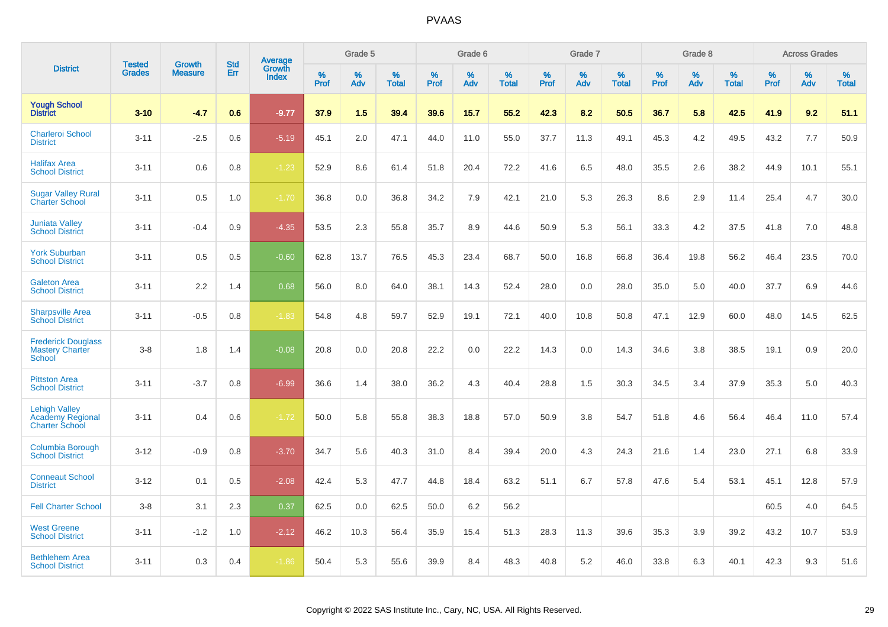|                                                                   |                         | <b>Growth</b>  | <b>Std</b> | Average                |              | Grade 5     |                      |                     | Grade 6     |                      |              | Grade 7     |                      |              | Grade 8     |                   |                     | <b>Across Grades</b> |                      |
|-------------------------------------------------------------------|-------------------------|----------------|------------|------------------------|--------------|-------------|----------------------|---------------------|-------------|----------------------|--------------|-------------|----------------------|--------------|-------------|-------------------|---------------------|----------------------|----------------------|
| <b>District</b>                                                   | Tested<br><b>Grades</b> | <b>Measure</b> | Err        | Growth<br><b>Index</b> | $\%$<br>Prof | $\%$<br>Adv | $\%$<br><b>Total</b> | $\%$<br><b>Prof</b> | $\%$<br>Adv | $\%$<br><b>Total</b> | $\%$<br>Prof | $\%$<br>Adv | $\%$<br><b>Total</b> | $\%$<br>Prof | $\%$<br>Adv | %<br><b>Total</b> | $\%$<br><b>Prof</b> | $\%$<br>Adv          | $\%$<br><b>Total</b> |
| <b>Yough School</b><br><b>District</b>                            | $3 - 10$                | $-4.7$         | 0.6        | $-9.77$                | 37.9         | 1.5         | 39.4                 | 39.6                | 15.7        | 55.2                 | 42.3         | 8.2         | 50.5                 | 36.7         | 5.8         | 42.5              | 41.9                | 9.2                  | 51.1                 |
| <b>Charleroi School</b><br><b>District</b>                        | $3 - 11$                | $-2.5$         | 0.6        | $-5.19$                | 45.1         | 2.0         | 47.1                 | 44.0                | 11.0        | 55.0                 | 37.7         | 11.3        | 49.1                 | 45.3         | 4.2         | 49.5              | 43.2                | 7.7                  | 50.9                 |
| <b>Halifax Area</b><br><b>School District</b>                     | $3 - 11$                | 0.6            | 0.8        | $-1.23$                | 52.9         | 8.6         | 61.4                 | 51.8                | 20.4        | 72.2                 | 41.6         | 6.5         | 48.0                 | 35.5         | 2.6         | 38.2              | 44.9                | 10.1                 | 55.1                 |
| <b>Sugar Valley Rural</b><br><b>Charter School</b>                | $3 - 11$                | 0.5            | 1.0        | $-1.70$                | 36.8         | 0.0         | 36.8                 | 34.2                | 7.9         | 42.1                 | 21.0         | 5.3         | 26.3                 | 8.6          | 2.9         | 11.4              | 25.4                | 4.7                  | 30.0                 |
| <b>Juniata Valley</b><br><b>School District</b>                   | $3 - 11$                | $-0.4$         | 0.9        | $-4.35$                | 53.5         | 2.3         | 55.8                 | 35.7                | 8.9         | 44.6                 | 50.9         | 5.3         | 56.1                 | 33.3         | 4.2         | 37.5              | 41.8                | 7.0                  | 48.8                 |
| <b>York Suburban</b><br><b>School District</b>                    | $3 - 11$                | 0.5            | 0.5        | $-0.60$                | 62.8         | 13.7        | 76.5                 | 45.3                | 23.4        | 68.7                 | 50.0         | 16.8        | 66.8                 | 36.4         | 19.8        | 56.2              | 46.4                | 23.5                 | 70.0                 |
| <b>Galeton Area</b><br><b>School District</b>                     | $3 - 11$                | 2.2            | 1.4        | 0.68                   | 56.0         | 8.0         | 64.0                 | 38.1                | 14.3        | 52.4                 | 28.0         | 0.0         | 28.0                 | 35.0         | 5.0         | 40.0              | 37.7                | 6.9                  | 44.6                 |
| <b>Sharpsville Area</b><br><b>School District</b>                 | $3 - 11$                | $-0.5$         | 0.8        | $-1.83$                | 54.8         | 4.8         | 59.7                 | 52.9                | 19.1        | 72.1                 | 40.0         | 10.8        | 50.8                 | 47.1         | 12.9        | 60.0              | 48.0                | 14.5                 | 62.5                 |
| <b>Frederick Douglass</b><br><b>Mastery Charter</b><br>School     | $3 - 8$                 | 1.8            | 1.4        | $-0.08$                | 20.8         | 0.0         | 20.8                 | 22.2                | 0.0         | 22.2                 | 14.3         | 0.0         | 14.3                 | 34.6         | 3.8         | 38.5              | 19.1                | 0.9                  | 20.0                 |
| <b>Pittston Area</b><br><b>School District</b>                    | $3 - 11$                | $-3.7$         | 0.8        | $-6.99$                | 36.6         | 1.4         | 38.0                 | 36.2                | 4.3         | 40.4                 | 28.8         | 1.5         | 30.3                 | 34.5         | 3.4         | 37.9              | 35.3                | 5.0                  | 40.3                 |
| <b>Lehigh Valley</b><br>Academy Regional<br><b>Charter School</b> | $3 - 11$                | 0.4            | 0.6        | $-1.72$                | 50.0         | 5.8         | 55.8                 | 38.3                | 18.8        | 57.0                 | 50.9         | 3.8         | 54.7                 | 51.8         | 4.6         | 56.4              | 46.4                | 11.0                 | 57.4                 |
| Columbia Borough<br><b>School District</b>                        | $3 - 12$                | $-0.9$         | 0.8        | $-3.70$                | 34.7         | 5.6         | 40.3                 | 31.0                | 8.4         | 39.4                 | 20.0         | 4.3         | 24.3                 | 21.6         | 1.4         | 23.0              | 27.1                | 6.8                  | 33.9                 |
| <b>Conneaut School</b><br><b>District</b>                         | $3 - 12$                | 0.1            | 0.5        | $-2.08$                | 42.4         | 5.3         | 47.7                 | 44.8                | 18.4        | 63.2                 | 51.1         | 6.7         | 57.8                 | 47.6         | 5.4         | 53.1              | 45.1                | 12.8                 | 57.9                 |
| <b>Fell Charter School</b>                                        | $3 - 8$                 | 3.1            | 2.3        | 0.37                   | 62.5         | 0.0         | 62.5                 | 50.0                | 6.2         | 56.2                 |              |             |                      |              |             |                   | 60.5                | 4.0                  | 64.5                 |
| <b>West Greene</b><br><b>School District</b>                      | $3 - 11$                | $-1.2$         | 1.0        | $-2.12$                | 46.2         | 10.3        | 56.4                 | 35.9                | 15.4        | 51.3                 | 28.3         | 11.3        | 39.6                 | 35.3         | 3.9         | 39.2              | 43.2                | 10.7                 | 53.9                 |
| <b>Bethlehem Area</b><br><b>School District</b>                   | $3 - 11$                | 0.3            | 0.4        | $-1.86$                | 50.4         | 5.3         | 55.6                 | 39.9                | 8.4         | 48.3                 | 40.8         | 5.2         | 46.0                 | 33.8         | 6.3         | 40.1              | 42.3                | 9.3                  | 51.6                 |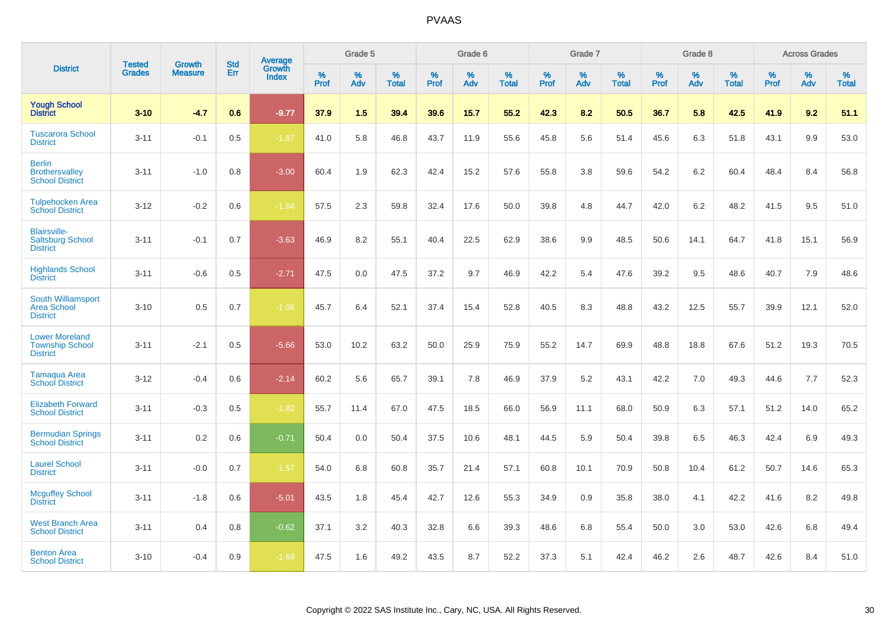|                                                                    |                                | <b>Growth</b>  | <b>Std</b> |                                   |              | Grade 5  |                   |              | Grade 6  |                   |              | Grade 7  |                   |              | Grade 8  |                   |              | <b>Across Grades</b> |                   |
|--------------------------------------------------------------------|--------------------------------|----------------|------------|-----------------------------------|--------------|----------|-------------------|--------------|----------|-------------------|--------------|----------|-------------------|--------------|----------|-------------------|--------------|----------------------|-------------------|
| <b>District</b>                                                    | <b>Tested</b><br><b>Grades</b> | <b>Measure</b> | <b>Err</b> | <b>Average</b><br>Growth<br>Index | $\%$<br>Prof | %<br>Adv | %<br><b>Total</b> | $\%$<br>Prof | %<br>Adv | %<br><b>Total</b> | $\%$<br>Prof | %<br>Adv | %<br><b>Total</b> | $\%$<br>Prof | %<br>Adv | %<br><b>Total</b> | $\%$<br>Prof | %<br>Adv             | %<br><b>Total</b> |
| <b>Yough School</b><br><b>District</b>                             | $3 - 10$                       | $-4.7$         | 0.6        | $-9.77$                           | 37.9         | 1.5      | 39.4              | 39.6         | 15.7     | 55.2              | 42.3         | 8.2      | 50.5              | 36.7         | 5.8      | 42.5              | 41.9         | 9.2                  | 51.1              |
| <b>Tuscarora School</b><br><b>District</b>                         | $3 - 11$                       | $-0.1$         | 0.5        | $-1.87$                           | 41.0         | 5.8      | 46.8              | 43.7         | 11.9     | 55.6              | 45.8         | 5.6      | 51.4              | 45.6         | 6.3      | 51.8              | 43.1         | 9.9                  | 53.0              |
| <b>Berlin</b><br><b>Brothersvalley</b><br><b>School District</b>   | $3 - 11$                       | $-1.0$         | 0.8        | $-3.00$                           | 60.4         | 1.9      | 62.3              | 42.4         | 15.2     | 57.6              | 55.8         | 3.8      | 59.6              | 54.2         | 6.2      | 60.4              | 48.4         | 8.4                  | 56.8              |
| <b>Tulpehocken Area</b><br><b>School District</b>                  | $3 - 12$                       | $-0.2$         | 0.6        | $-1.64$                           | 57.5         | 2.3      | 59.8              | 32.4         | 17.6     | 50.0              | 39.8         | 4.8      | 44.7              | 42.0         | 6.2      | 48.2              | 41.5         | 9.5                  | 51.0              |
| <b>Blairsville-</b><br><b>Saltsburg School</b><br><b>District</b>  | $3 - 11$                       | $-0.1$         | 0.7        | $-3.63$                           | 46.9         | 8.2      | 55.1              | 40.4         | 22.5     | 62.9              | 38.6         | 9.9      | 48.5              | 50.6         | 14.1     | 64.7              | 41.8         | 15.1                 | 56.9              |
| <b>Highlands School</b><br><b>District</b>                         | $3 - 11$                       | $-0.6$         | 0.5        | $-2.71$                           | 47.5         | 0.0      | 47.5              | 37.2         | 9.7      | 46.9              | 42.2         | 5.4      | 47.6              | 39.2         | 9.5      | 48.6              | 40.7         | 7.9                  | 48.6              |
| South Williamsport<br><b>Area School</b><br><b>District</b>        | $3 - 10$                       | 0.5            | 0.7        | $-1.08$                           | 45.7         | 6.4      | 52.1              | 37.4         | 15.4     | 52.8              | 40.5         | 8.3      | 48.8              | 43.2         | 12.5     | 55.7              | 39.9         | 12.1                 | 52.0              |
| <b>Lower Moreland</b><br><b>Township School</b><br><b>District</b> | $3 - 11$                       | $-2.1$         | 0.5        | $-5.66$                           | 53.0         | 10.2     | 63.2              | 50.0         | 25.9     | 75.9              | 55.2         | 14.7     | 69.9              | 48.8         | 18.8     | 67.6              | 51.2         | 19.3                 | 70.5              |
| <b>Tamaqua Area</b><br><b>School District</b>                      | $3 - 12$                       | $-0.4$         | 0.6        | $-2.14$                           | 60.2         | 5.6      | 65.7              | 39.1         | 7.8      | 46.9              | 37.9         | 5.2      | 43.1              | 42.2         | 7.0      | 49.3              | 44.6         | 7.7                  | 52.3              |
| <b>Elizabeth Forward</b><br><b>School District</b>                 | $3 - 11$                       | $-0.3$         | 0.5        | $-1.82$                           | 55.7         | 11.4     | 67.0              | 47.5         | 18.5     | 66.0              | 56.9         | 11.1     | 68.0              | 50.9         | 6.3      | 57.1              | 51.2         | 14.0                 | 65.2              |
| <b>Bermudian Springs</b><br><b>School District</b>                 | $3 - 11$                       | 0.2            | 0.6        | $-0.71$                           | 50.4         | 0.0      | 50.4              | 37.5         | 10.6     | 48.1              | 44.5         | 5.9      | 50.4              | 39.8         | 6.5      | 46.3              | 42.4         | 6.9                  | 49.3              |
| <b>Laurel School</b><br><b>District</b>                            | $3 - 11$                       | $-0.0$         | 0.7        | $-1.57$                           | 54.0         | 6.8      | 60.8              | 35.7         | 21.4     | 57.1              | 60.8         | 10.1     | 70.9              | 50.8         | 10.4     | 61.2              | 50.7         | 14.6                 | 65.3              |
| <b>Mcguffey School</b><br><b>District</b>                          | $3 - 11$                       | $-1.8$         | 0.6        | $-5.01$                           | 43.5         | 1.8      | 45.4              | 42.7         | 12.6     | 55.3              | 34.9         | 0.9      | 35.8              | 38.0         | 4.1      | 42.2              | 41.6         | 8.2                  | 49.8              |
| <b>West Branch Area</b><br><b>School District</b>                  | $3 - 11$                       | 0.4            | 0.8        | $-0.62$                           | 37.1         | 3.2      | 40.3              | 32.8         | 6.6      | 39.3              | 48.6         | 6.8      | 55.4              | 50.0         | 3.0      | 53.0              | 42.6         | 6.8                  | 49.4              |
| <b>Benton Area</b><br><b>School District</b>                       | $3 - 10$                       | $-0.4$         | 0.9        | $-1.69$                           | 47.5         | 1.6      | 49.2              | 43.5         | 8.7      | 52.2              | 37.3         | 5.1      | 42.4              | 46.2         | 2.6      | 48.7              | 42.6         | 8.4                  | 51.0              |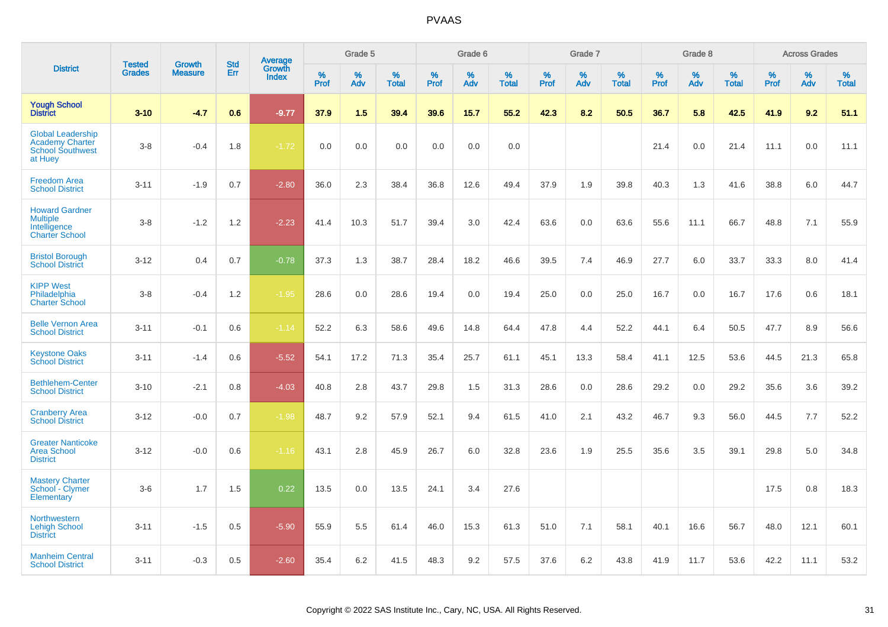|                                                                                          | <b>Tested</b> | <b>Growth</b>  | <b>Std</b> | Average<br>Growth |              | Grade 5  |                   |           | Grade 6  |                   |              | Grade 7  |                   |              | Grade 8  |                   |              | <b>Across Grades</b> |                   |
|------------------------------------------------------------------------------------------|---------------|----------------|------------|-------------------|--------------|----------|-------------------|-----------|----------|-------------------|--------------|----------|-------------------|--------------|----------|-------------------|--------------|----------------------|-------------------|
| <b>District</b>                                                                          | <b>Grades</b> | <b>Measure</b> | Err        | <b>Index</b>      | $\%$<br>Prof | %<br>Adv | %<br><b>Total</b> | %<br>Prof | %<br>Adv | %<br><b>Total</b> | $\%$<br>Prof | %<br>Adv | %<br><b>Total</b> | $\%$<br>Prof | %<br>Adv | %<br><b>Total</b> | $\%$<br>Prof | %<br>Adv             | %<br><b>Total</b> |
| <b>Yough School</b><br><b>District</b>                                                   | $3 - 10$      | $-4.7$         | 0.6        | $-9.77$           | 37.9         | 1.5      | 39.4              | 39.6      | 15.7     | 55.2              | 42.3         | 8.2      | 50.5              | 36.7         | 5.8      | 42.5              | 41.9         | 9.2                  | 51.1              |
| <b>Global Leadership</b><br><b>Academy Charter</b><br><b>School Southwest</b><br>at Huey | $3 - 8$       | $-0.4$         | 1.8        | $-1.72$           | 0.0          | 0.0      | 0.0               | 0.0       | 0.0      | 0.0               |              |          |                   | 21.4         | 0.0      | 21.4              | 11.1         | 0.0                  | 11.1              |
| <b>Freedom Area</b><br><b>School District</b>                                            | $3 - 11$      | $-1.9$         | 0.7        | $-2.80$           | 36.0         | 2.3      | 38.4              | 36.8      | 12.6     | 49.4              | 37.9         | 1.9      | 39.8              | 40.3         | 1.3      | 41.6              | 38.8         | 6.0                  | 44.7              |
| <b>Howard Gardner</b><br><b>Multiple</b><br>Intelligence<br><b>Charter School</b>        | $3 - 8$       | $-1.2$         | 1.2        | $-2.23$           | 41.4         | 10.3     | 51.7              | 39.4      | 3.0      | 42.4              | 63.6         | 0.0      | 63.6              | 55.6         | 11.1     | 66.7              | 48.8         | 7.1                  | 55.9              |
| <b>Bristol Borough</b><br><b>School District</b>                                         | $3 - 12$      | 0.4            | 0.7        | $-0.78$           | 37.3         | 1.3      | 38.7              | 28.4      | 18.2     | 46.6              | 39.5         | 7.4      | 46.9              | 27.7         | 6.0      | 33.7              | 33.3         | 8.0                  | 41.4              |
| <b>KIPP West</b><br>Philadelphia<br><b>Charter School</b>                                | $3 - 8$       | $-0.4$         | 1.2        | $-1.95$           | 28.6         | 0.0      | 28.6              | 19.4      | 0.0      | 19.4              | 25.0         | 0.0      | 25.0              | 16.7         | 0.0      | 16.7              | 17.6         | 0.6                  | 18.1              |
| <b>Belle Vernon Area</b><br><b>School District</b>                                       | $3 - 11$      | $-0.1$         | 0.6        | $-1.14$           | 52.2         | 6.3      | 58.6              | 49.6      | 14.8     | 64.4              | 47.8         | 4.4      | 52.2              | 44.1         | 6.4      | 50.5              | 47.7         | 8.9                  | 56.6              |
| <b>Keystone Oaks</b><br><b>School District</b>                                           | $3 - 11$      | $-1.4$         | 0.6        | $-5.52$           | 54.1         | 17.2     | 71.3              | 35.4      | 25.7     | 61.1              | 45.1         | 13.3     | 58.4              | 41.1         | 12.5     | 53.6              | 44.5         | 21.3                 | 65.8              |
| <b>Bethlehem-Center</b><br><b>School District</b>                                        | $3 - 10$      | $-2.1$         | 0.8        | $-4.03$           | 40.8         | 2.8      | 43.7              | 29.8      | 1.5      | 31.3              | 28.6         | 0.0      | 28.6              | 29.2         | 0.0      | 29.2              | 35.6         | 3.6                  | 39.2              |
| <b>Cranberry Area</b><br><b>School District</b>                                          | $3 - 12$      | $-0.0$         | 0.7        | $-1.98$           | 48.7         | 9.2      | 57.9              | 52.1      | 9.4      | 61.5              | 41.0         | 2.1      | 43.2              | 46.7         | 9.3      | 56.0              | 44.5         | 7.7                  | 52.2              |
| <b>Greater Nanticoke</b><br><b>Area School</b><br><b>District</b>                        | $3 - 12$      | $-0.0$         | 0.6        | $-1.16$           | 43.1         | 2.8      | 45.9              | 26.7      | 6.0      | 32.8              | 23.6         | 1.9      | 25.5              | 35.6         | 3.5      | 39.1              | 29.8         | 5.0                  | 34.8              |
| <b>Mastery Charter</b><br>School - Clymer<br>Elementary                                  | $3-6$         | 1.7            | 1.5        | 0.22              | 13.5         | 0.0      | 13.5              | 24.1      | 3.4      | 27.6              |              |          |                   |              |          |                   | 17.5         | 0.8                  | 18.3              |
| <b>Northwestern</b><br><b>Lehigh School</b><br><b>District</b>                           | $3 - 11$      | $-1.5$         | 0.5        | $-5.90$           | 55.9         | 5.5      | 61.4              | 46.0      | 15.3     | 61.3              | 51.0         | 7.1      | 58.1              | 40.1         | 16.6     | 56.7              | 48.0         | 12.1                 | 60.1              |
| <b>Manheim Central</b><br><b>School District</b>                                         | $3 - 11$      | $-0.3$         | 0.5        | $-2.60$           | 35.4         | 6.2      | 41.5              | 48.3      | 9.2      | 57.5              | 37.6         | 6.2      | 43.8              | 41.9         | 11.7     | 53.6              | 42.2         | 11.1                 | 53.2              |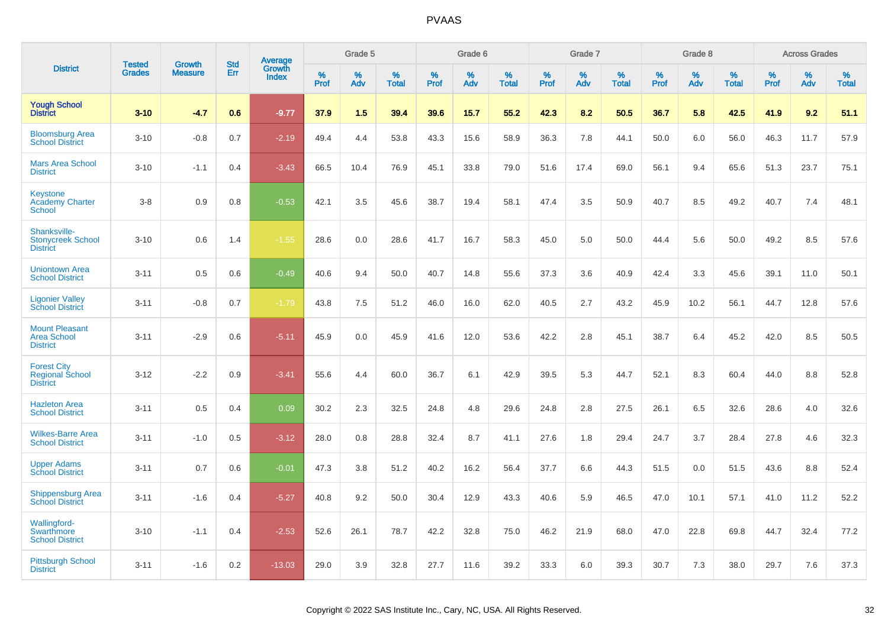|                                                                 | <b>Tested</b> | <b>Growth</b>  | <b>Std</b> |                                          |              | Grade 5  |                   |           | Grade 6  |                   |           | Grade 7  |                   |           | Grade 8  |                   |           | <b>Across Grades</b> |                   |
|-----------------------------------------------------------------|---------------|----------------|------------|------------------------------------------|--------------|----------|-------------------|-----------|----------|-------------------|-----------|----------|-------------------|-----------|----------|-------------------|-----------|----------------------|-------------------|
| <b>District</b>                                                 | <b>Grades</b> | <b>Measure</b> | Err        | <b>Average</b><br>Growth<br><b>Index</b> | $\%$<br>Prof | %<br>Adv | %<br><b>Total</b> | %<br>Prof | %<br>Adv | %<br><b>Total</b> | %<br>Prof | %<br>Adv | %<br><b>Total</b> | %<br>Prof | %<br>Adv | %<br><b>Total</b> | %<br>Prof | %<br>Adv             | %<br><b>Total</b> |
| <b>Yough School</b><br><b>District</b>                          | $3 - 10$      | $-4.7$         | 0.6        | $-9.77$                                  | 37.9         | 1.5      | 39.4              | 39.6      | 15.7     | 55.2              | 42.3      | 8.2      | 50.5              | 36.7      | 5.8      | 42.5              | 41.9      | 9.2                  | 51.1              |
| <b>Bloomsburg Area</b><br><b>School District</b>                | $3 - 10$      | $-0.8$         | 0.7        | $-2.19$                                  | 49.4         | 4.4      | 53.8              | 43.3      | 15.6     | 58.9              | 36.3      | 7.8      | 44.1              | 50.0      | 6.0      | 56.0              | 46.3      | 11.7                 | 57.9              |
| <b>Mars Area School</b><br><b>District</b>                      | $3 - 10$      | $-1.1$         | 0.4        | $-3.43$                                  | 66.5         | 10.4     | 76.9              | 45.1      | 33.8     | 79.0              | 51.6      | 17.4     | 69.0              | 56.1      | 9.4      | 65.6              | 51.3      | 23.7                 | 75.1              |
| Keystone<br><b>Academy Charter</b><br>School                    | $3-8$         | 0.9            | 0.8        | $-0.53$                                  | 42.1         | 3.5      | 45.6              | 38.7      | 19.4     | 58.1              | 47.4      | 3.5      | 50.9              | 40.7      | 8.5      | 49.2              | 40.7      | 7.4                  | 48.1              |
| Shanksville-<br><b>Stonycreek School</b><br><b>District</b>     | $3 - 10$      | 0.6            | 1.4        | $-1.55$                                  | 28.6         | 0.0      | 28.6              | 41.7      | 16.7     | 58.3              | 45.0      | 5.0      | 50.0              | 44.4      | 5.6      | 50.0              | 49.2      | 8.5                  | 57.6              |
| <b>Uniontown Area</b><br><b>School District</b>                 | $3 - 11$      | 0.5            | 0.6        | $-0.49$                                  | 40.6         | 9.4      | 50.0              | 40.7      | 14.8     | 55.6              | 37.3      | 3.6      | 40.9              | 42.4      | 3.3      | 45.6              | 39.1      | 11.0                 | 50.1              |
| <b>Ligonier Valley</b><br><b>School District</b>                | $3 - 11$      | $-0.8$         | 0.7        | $-1.79$                                  | 43.8         | 7.5      | 51.2              | 46.0      | 16.0     | 62.0              | 40.5      | 2.7      | 43.2              | 45.9      | 10.2     | 56.1              | 44.7      | 12.8                 | 57.6              |
| <b>Mount Pleasant</b><br><b>Area School</b><br><b>District</b>  | $3 - 11$      | $-2.9$         | 0.6        | $-5.11$                                  | 45.9         | 0.0      | 45.9              | 41.6      | 12.0     | 53.6              | 42.2      | 2.8      | 45.1              | 38.7      | 6.4      | 45.2              | 42.0      | 8.5                  | 50.5              |
| <b>Forest City</b><br><b>Regional School</b><br><b>District</b> | $3 - 12$      | $-2.2$         | 0.9        | $-3.41$                                  | 55.6         | 4.4      | 60.0              | 36.7      | 6.1      | 42.9              | 39.5      | 5.3      | 44.7              | 52.1      | 8.3      | 60.4              | 44.0      | 8.8                  | 52.8              |
| <b>Hazleton Area</b><br><b>School District</b>                  | $3 - 11$      | 0.5            | 0.4        | 0.09                                     | 30.2         | 2.3      | 32.5              | 24.8      | 4.8      | 29.6              | 24.8      | 2.8      | 27.5              | 26.1      | 6.5      | 32.6              | 28.6      | 4.0                  | 32.6              |
| <b>Wilkes-Barre Area</b><br><b>School District</b>              | $3 - 11$      | $-1.0$         | 0.5        | $-3.12$                                  | 28.0         | 0.8      | 28.8              | 32.4      | 8.7      | 41.1              | 27.6      | 1.8      | 29.4              | 24.7      | 3.7      | 28.4              | 27.8      | 4.6                  | 32.3              |
| <b>Upper Adams</b><br><b>School District</b>                    | $3 - 11$      | 0.7            | 0.6        | $-0.01$                                  | 47.3         | 3.8      | 51.2              | 40.2      | 16.2     | 56.4              | 37.7      | 6.6      | 44.3              | 51.5      | 0.0      | 51.5              | 43.6      | 8.8                  | 52.4              |
| <b>Shippensburg Area</b><br><b>School District</b>              | $3 - 11$      | $-1.6$         | 0.4        | $-5.27$                                  | 40.8         | 9.2      | 50.0              | 30.4      | 12.9     | 43.3              | 40.6      | 5.9      | 46.5              | 47.0      | 10.1     | 57.1              | 41.0      | 11.2                 | 52.2              |
| <b>Wallingford-</b><br>Swarthmore<br><b>School District</b>     | $3 - 10$      | $-1.1$         | 0.4        | $-2.53$                                  | 52.6         | 26.1     | 78.7              | 42.2      | 32.8     | 75.0              | 46.2      | 21.9     | 68.0              | 47.0      | 22.8     | 69.8              | 44.7      | 32.4                 | 77.2              |
| <b>Pittsburgh School</b><br><b>District</b>                     | $3 - 11$      | $-1.6$         | 0.2        | $-13.03$                                 | 29.0         | 3.9      | 32.8              | 27.7      | 11.6     | 39.2              | 33.3      | 6.0      | 39.3              | 30.7      | 7.3      | 38.0              | 29.7      | 7.6                  | 37.3              |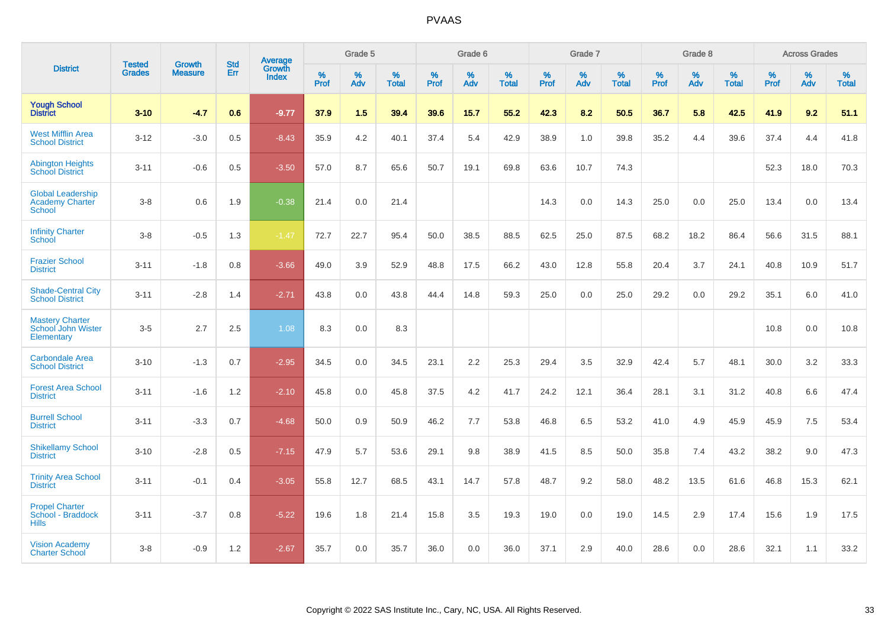|                                                                     | <b>Tested</b> | <b>Growth</b>  | <b>Std</b> | Average                |              | Grade 5  |                   |           | Grade 6  |                   |           | Grade 7  |                   |           | Grade 8  |                   |           | <b>Across Grades</b> |                   |
|---------------------------------------------------------------------|---------------|----------------|------------|------------------------|--------------|----------|-------------------|-----------|----------|-------------------|-----------|----------|-------------------|-----------|----------|-------------------|-----------|----------------------|-------------------|
| <b>District</b>                                                     | <b>Grades</b> | <b>Measure</b> | Err        | Growth<br><b>Index</b> | $\%$<br>Prof | %<br>Adv | %<br><b>Total</b> | %<br>Prof | %<br>Adv | %<br><b>Total</b> | %<br>Prof | %<br>Adv | %<br><b>Total</b> | %<br>Prof | %<br>Adv | %<br><b>Total</b> | %<br>Prof | %<br>Adv             | %<br><b>Total</b> |
| <b>Yough School</b><br><b>District</b>                              | $3 - 10$      | $-4.7$         | 0.6        | $-9.77$                | 37.9         | 1.5      | 39.4              | 39.6      | 15.7     | 55.2              | 42.3      | 8.2      | 50.5              | 36.7      | 5.8      | 42.5              | 41.9      | 9.2                  | 51.1              |
| <b>West Mifflin Area</b><br><b>School District</b>                  | $3 - 12$      | $-3.0$         | 0.5        | $-8.43$                | 35.9         | 4.2      | 40.1              | 37.4      | 5.4      | 42.9              | 38.9      | 1.0      | 39.8              | 35.2      | 4.4      | 39.6              | 37.4      | 4.4                  | 41.8              |
| <b>Abington Heights</b><br><b>School District</b>                   | $3 - 11$      | $-0.6$         | 0.5        | $-3.50$                | 57.0         | 8.7      | 65.6              | 50.7      | 19.1     | 69.8              | 63.6      | 10.7     | 74.3              |           |          |                   | 52.3      | 18.0                 | 70.3              |
| <b>Global Leadership</b><br><b>Academy Charter</b><br><b>School</b> | $3 - 8$       | 0.6            | 1.9        | $-0.38$                | 21.4         | 0.0      | 21.4              |           |          |                   | 14.3      | 0.0      | 14.3              | 25.0      | 0.0      | 25.0              | 13.4      | 0.0                  | 13.4              |
| <b>Infinity Charter</b><br>School                                   | $3 - 8$       | $-0.5$         | 1.3        | $-1.47$                | 72.7         | 22.7     | 95.4              | 50.0      | 38.5     | 88.5              | 62.5      | 25.0     | 87.5              | 68.2      | 18.2     | 86.4              | 56.6      | 31.5                 | 88.1              |
| <b>Frazier School</b><br><b>District</b>                            | $3 - 11$      | $-1.8$         | 0.8        | $-3.66$                | 49.0         | 3.9      | 52.9              | 48.8      | 17.5     | 66.2              | 43.0      | 12.8     | 55.8              | 20.4      | 3.7      | 24.1              | 40.8      | 10.9                 | 51.7              |
| <b>Shade-Central City</b><br><b>School District</b>                 | $3 - 11$      | $-2.8$         | 1.4        | $-2.71$                | 43.8         | 0.0      | 43.8              | 44.4      | 14.8     | 59.3              | 25.0      | 0.0      | 25.0              | 29.2      | 0.0      | 29.2              | 35.1      | 6.0                  | 41.0              |
| <b>Mastery Charter</b><br>School John Wister<br>Elementary          | $3-5$         | 2.7            | 2.5        | 1.08                   | 8.3          | 0.0      | 8.3               |           |          |                   |           |          |                   |           |          |                   | 10.8      | 0.0                  | 10.8              |
| <b>Carbondale Area</b><br><b>School District</b>                    | $3 - 10$      | $-1.3$         | 0.7        | $-2.95$                | 34.5         | 0.0      | 34.5              | 23.1      | 2.2      | 25.3              | 29.4      | 3.5      | 32.9              | 42.4      | 5.7      | 48.1              | 30.0      | 3.2                  | 33.3              |
| <b>Forest Area School</b><br><b>District</b>                        | $3 - 11$      | $-1.6$         | 1.2        | $-2.10$                | 45.8         | 0.0      | 45.8              | 37.5      | 4.2      | 41.7              | 24.2      | 12.1     | 36.4              | 28.1      | 3.1      | 31.2              | 40.8      | 6.6                  | 47.4              |
| <b>Burrell School</b><br><b>District</b>                            | $3 - 11$      | $-3.3$         | 0.7        | $-4.68$                | 50.0         | 0.9      | 50.9              | 46.2      | 7.7      | 53.8              | 46.8      | 6.5      | 53.2              | 41.0      | 4.9      | 45.9              | 45.9      | 7.5                  | 53.4              |
| <b>Shikellamy School</b><br><b>District</b>                         | $3 - 10$      | $-2.8$         | 0.5        | $-7.15$                | 47.9         | 5.7      | 53.6              | 29.1      | 9.8      | 38.9              | 41.5      | 8.5      | 50.0              | 35.8      | 7.4      | 43.2              | 38.2      | 9.0                  | 47.3              |
| <b>Trinity Area School</b><br><b>District</b>                       | $3 - 11$      | $-0.1$         | 0.4        | $-3.05$                | 55.8         | 12.7     | 68.5              | 43.1      | 14.7     | 57.8              | 48.7      | 9.2      | 58.0              | 48.2      | 13.5     | 61.6              | 46.8      | 15.3                 | 62.1              |
| <b>Propel Charter</b><br>School - Braddock<br><b>Hills</b>          | $3 - 11$      | $-3.7$         | 0.8        | $-5.22$                | 19.6         | 1.8      | 21.4              | 15.8      | 3.5      | 19.3              | 19.0      | 0.0      | 19.0              | 14.5      | 2.9      | 17.4              | 15.6      | 1.9                  | 17.5              |
| <b>Vision Academy</b><br><b>Charter School</b>                      | $3 - 8$       | $-0.9$         | 1.2        | $-2.67$                | 35.7         | 0.0      | 35.7              | 36.0      | 0.0      | 36.0              | 37.1      | 2.9      | 40.0              | 28.6      | 0.0      | 28.6              | 32.1      | 1.1                  | 33.2              |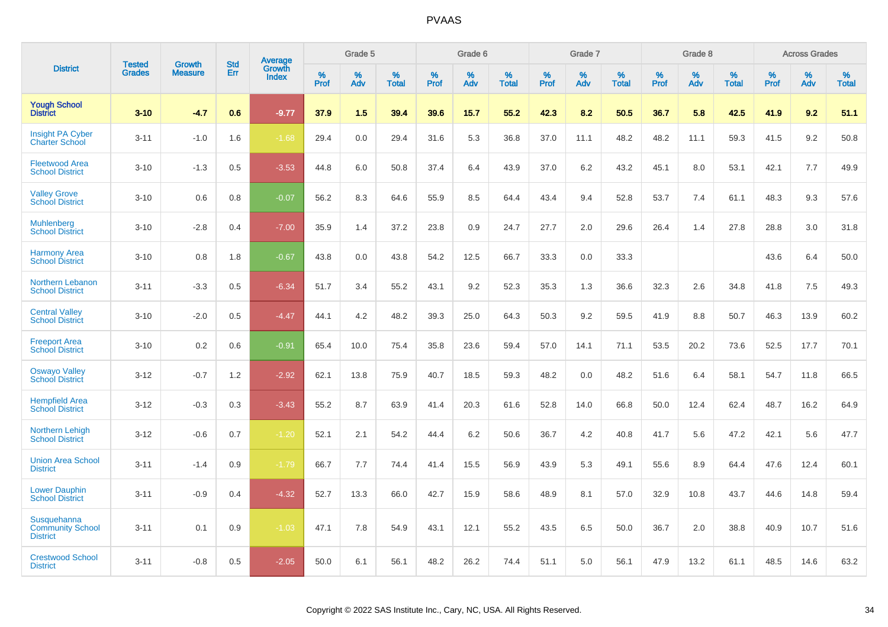|                                                           |                                |                                 | <b>Std</b> | <b>Average</b><br>Growth |                     | Grade 5  |                      |                     | Grade 6     |                      |              | Grade 7     |                   |              | Grade 8     |                   |                     | <b>Across Grades</b> |                   |
|-----------------------------------------------------------|--------------------------------|---------------------------------|------------|--------------------------|---------------------|----------|----------------------|---------------------|-------------|----------------------|--------------|-------------|-------------------|--------------|-------------|-------------------|---------------------|----------------------|-------------------|
| <b>District</b>                                           | <b>Tested</b><br><b>Grades</b> | <b>Growth</b><br><b>Measure</b> | Err        | <b>Index</b>             | $\%$<br><b>Prof</b> | %<br>Adv | $\%$<br><b>Total</b> | $\%$<br><b>Prof</b> | $\%$<br>Adv | $\%$<br><b>Total</b> | $\%$<br>Prof | $\%$<br>Adv | %<br><b>Total</b> | $\%$<br>Prof | $\%$<br>Adv | %<br><b>Total</b> | $\%$<br><b>Prof</b> | $\%$<br>Adv          | %<br><b>Total</b> |
| <b>Yough School</b><br><b>District</b>                    | $3 - 10$                       | $-4.7$                          | 0.6        | $-9.77$                  | 37.9                | 1.5      | 39.4                 | 39.6                | 15.7        | 55.2                 | 42.3         | 8.2         | 50.5              | 36.7         | 5.8         | 42.5              | 41.9                | 9.2                  | 51.1              |
| <b>Insight PA Cyber</b><br><b>Charter School</b>          | $3 - 11$                       | $-1.0$                          | 1.6        | $-1.68$                  | 29.4                | 0.0      | 29.4                 | 31.6                | 5.3         | 36.8                 | 37.0         | 11.1        | 48.2              | 48.2         | 11.1        | 59.3              | 41.5                | 9.2                  | 50.8              |
| <b>Fleetwood Area</b><br><b>School District</b>           | $3 - 10$                       | $-1.3$                          | 0.5        | $-3.53$                  | 44.8                | 6.0      | 50.8                 | 37.4                | 6.4         | 43.9                 | 37.0         | 6.2         | 43.2              | 45.1         | 8.0         | 53.1              | 42.1                | 7.7                  | 49.9              |
| <b>Valley Grove</b><br><b>School District</b>             | $3 - 10$                       | 0.6                             | 0.8        | $-0.07$                  | 56.2                | 8.3      | 64.6                 | 55.9                | 8.5         | 64.4                 | 43.4         | 9.4         | 52.8              | 53.7         | 7.4         | 61.1              | 48.3                | 9.3                  | 57.6              |
| <b>Muhlenberg</b><br><b>School District</b>               | $3 - 10$                       | $-2.8$                          | 0.4        | $-7.00$                  | 35.9                | 1.4      | 37.2                 | 23.8                | 0.9         | 24.7                 | 27.7         | 2.0         | 29.6              | 26.4         | 1.4         | 27.8              | 28.8                | 3.0                  | 31.8              |
| <b>Harmony Area</b><br><b>School District</b>             | $3 - 10$                       | 0.8                             | 1.8        | $-0.67$                  | 43.8                | 0.0      | 43.8                 | 54.2                | 12.5        | 66.7                 | 33.3         | 0.0         | 33.3              |              |             |                   | 43.6                | 6.4                  | 50.0              |
| Northern Lebanon<br><b>School District</b>                | $3 - 11$                       | $-3.3$                          | 0.5        | $-6.34$                  | 51.7                | 3.4      | 55.2                 | 43.1                | 9.2         | 52.3                 | 35.3         | 1.3         | 36.6              | 32.3         | 2.6         | 34.8              | 41.8                | 7.5                  | 49.3              |
| <b>Central Valley</b><br><b>School District</b>           | $3 - 10$                       | $-2.0$                          | 0.5        | $-4.47$                  | 44.1                | 4.2      | 48.2                 | 39.3                | 25.0        | 64.3                 | 50.3         | 9.2         | 59.5              | 41.9         | 8.8         | 50.7              | 46.3                | 13.9                 | 60.2              |
| <b>Freeport Area</b><br><b>School District</b>            | $3 - 10$                       | 0.2                             | 0.6        | $-0.91$                  | 65.4                | 10.0     | 75.4                 | 35.8                | 23.6        | 59.4                 | 57.0         | 14.1        | 71.1              | 53.5         | 20.2        | 73.6              | 52.5                | 17.7                 | 70.1              |
| <b>Oswayo Valley</b><br>School District                   | $3 - 12$                       | $-0.7$                          | 1.2        | $-2.92$                  | 62.1                | 13.8     | 75.9                 | 40.7                | 18.5        | 59.3                 | 48.2         | 0.0         | 48.2              | 51.6         | 6.4         | 58.1              | 54.7                | 11.8                 | 66.5              |
| <b>Hempfield Area</b><br><b>School District</b>           | $3 - 12$                       | $-0.3$                          | 0.3        | $-3.43$                  | 55.2                | 8.7      | 63.9                 | 41.4                | 20.3        | 61.6                 | 52.8         | 14.0        | 66.8              | 50.0         | 12.4        | 62.4              | 48.7                | 16.2                 | 64.9              |
| <b>Northern Lehigh</b><br><b>School District</b>          | $3 - 12$                       | $-0.6$                          | 0.7        | $-1.20$                  | 52.1                | 2.1      | 54.2                 | 44.4                | 6.2         | 50.6                 | 36.7         | 4.2         | 40.8              | 41.7         | 5.6         | 47.2              | 42.1                | 5.6                  | 47.7              |
| <b>Union Area School</b><br><b>District</b>               | $3 - 11$                       | $-1.4$                          | 0.9        | $-1.79$                  | 66.7                | 7.7      | 74.4                 | 41.4                | 15.5        | 56.9                 | 43.9         | 5.3         | 49.1              | 55.6         | 8.9         | 64.4              | 47.6                | 12.4                 | 60.1              |
| <b>Lower Dauphin</b><br><b>School District</b>            | $3 - 11$                       | $-0.9$                          | 0.4        | $-4.32$                  | 52.7                | 13.3     | 66.0                 | 42.7                | 15.9        | 58.6                 | 48.9         | 8.1         | 57.0              | 32.9         | 10.8        | 43.7              | 44.6                | 14.8                 | 59.4              |
| Susquehanna<br><b>Community School</b><br><b>District</b> | $3 - 11$                       | 0.1                             | 0.9        | $-1.03$                  | 47.1                | 7.8      | 54.9                 | 43.1                | 12.1        | 55.2                 | 43.5         | 6.5         | 50.0              | 36.7         | 2.0         | 38.8              | 40.9                | 10.7                 | 51.6              |
| <b>Crestwood School</b><br><b>District</b>                | $3 - 11$                       | $-0.8$                          | 0.5        | $-2.05$                  | 50.0                | 6.1      | 56.1                 | 48.2                | 26.2        | 74.4                 | 51.1         | 5.0         | 56.1              | 47.9         | 13.2        | 61.1              | 48.5                | 14.6                 | 63.2              |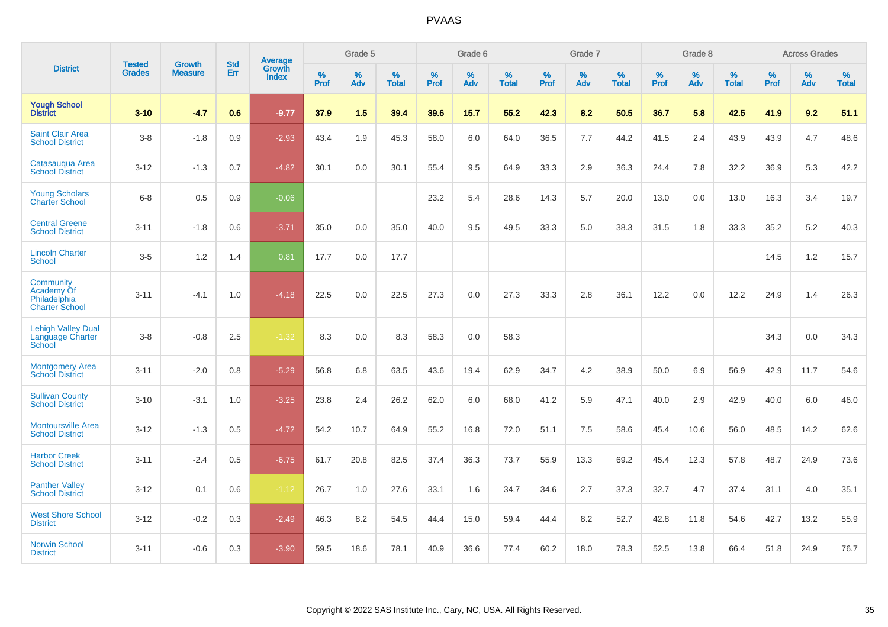|                                                                  | <b>Tested</b> | <b>Growth</b>  | <b>Std</b> | <b>Average</b>         |           | Grade 5  |                   |           | Grade 6  |                   |           | Grade 7  |                   |           | Grade 8  |                   |           | <b>Across Grades</b> |                   |
|------------------------------------------------------------------|---------------|----------------|------------|------------------------|-----------|----------|-------------------|-----------|----------|-------------------|-----------|----------|-------------------|-----------|----------|-------------------|-----------|----------------------|-------------------|
| <b>District</b>                                                  | <b>Grades</b> | <b>Measure</b> | Err        | Growth<br><b>Index</b> | %<br>Prof | %<br>Adv | %<br><b>Total</b> | %<br>Prof | %<br>Adv | %<br><b>Total</b> | %<br>Prof | %<br>Adv | %<br><b>Total</b> | %<br>Prof | %<br>Adv | %<br><b>Total</b> | %<br>Prof | %<br>Adv             | %<br><b>Total</b> |
| <b>Yough School</b><br><b>District</b>                           | $3 - 10$      | $-4.7$         | 0.6        | $-9.77$                | 37.9      | 1.5      | 39.4              | 39.6      | 15.7     | 55.2              | 42.3      | 8.2      | 50.5              | 36.7      | 5.8      | 42.5              | 41.9      | 9.2                  | 51.1              |
| <b>Saint Clair Area</b><br><b>School District</b>                | $3 - 8$       | $-1.8$         | 0.9        | $-2.93$                | 43.4      | 1.9      | 45.3              | 58.0      | 6.0      | 64.0              | 36.5      | 7.7      | 44.2              | 41.5      | 2.4      | 43.9              | 43.9      | 4.7                  | 48.6              |
| Catasauqua Area<br><b>School District</b>                        | $3 - 12$      | $-1.3$         | 0.7        | $-4.82$                | 30.1      | 0.0      | 30.1              | 55.4      | 9.5      | 64.9              | 33.3      | 2.9      | 36.3              | 24.4      | 7.8      | 32.2              | 36.9      | 5.3                  | 42.2              |
| <b>Young Scholars</b><br><b>Charter School</b>                   | $6 - 8$       | 0.5            | 0.9        | $-0.06$                |           |          |                   | 23.2      | 5.4      | 28.6              | 14.3      | 5.7      | 20.0              | 13.0      | 0.0      | 13.0              | 16.3      | 3.4                  | 19.7              |
| <b>Central Greene</b><br><b>School District</b>                  | $3 - 11$      | $-1.8$         | 0.6        | $-3.71$                | 35.0      | 0.0      | 35.0              | 40.0      | 9.5      | 49.5              | 33.3      | 5.0      | 38.3              | 31.5      | 1.8      | 33.3              | 35.2      | 5.2                  | 40.3              |
| <b>Lincoln Charter</b><br><b>School</b>                          | $3-5$         | 1.2            | 1.4        | 0.81                   | 17.7      | 0.0      | 17.7              |           |          |                   |           |          |                   |           |          |                   | 14.5      | 1.2                  | 15.7              |
| Community<br>Academy Of<br>Philadelphia<br><b>Charter School</b> | $3 - 11$      | $-4.1$         | 1.0        | $-4.18$                | 22.5      | 0.0      | 22.5              | 27.3      | 0.0      | 27.3              | 33.3      | 2.8      | 36.1              | 12.2      | 0.0      | 12.2              | 24.9      | 1.4                  | 26.3              |
| <b>Lehigh Valley Dual</b><br>Language Charter<br>School          | $3 - 8$       | $-0.8$         | 2.5        | $-1.32$                | 8.3       | 0.0      | 8.3               | 58.3      | 0.0      | 58.3              |           |          |                   |           |          |                   | 34.3      | 0.0                  | 34.3              |
| <b>Montgomery Area</b><br><b>School District</b>                 | $3 - 11$      | $-2.0$         | 0.8        | $-5.29$                | 56.8      | 6.8      | 63.5              | 43.6      | 19.4     | 62.9              | 34.7      | 4.2      | 38.9              | 50.0      | 6.9      | 56.9              | 42.9      | 11.7                 | 54.6              |
| <b>Sullivan County</b><br><b>School District</b>                 | $3 - 10$      | $-3.1$         | 1.0        | $-3.25$                | 23.8      | 2.4      | 26.2              | 62.0      | 6.0      | 68.0              | 41.2      | 5.9      | 47.1              | 40.0      | 2.9      | 42.9              | 40.0      | 6.0                  | 46.0              |
| <b>Montoursville Area</b><br><b>School District</b>              | $3 - 12$      | $-1.3$         | 0.5        | $-4.72$                | 54.2      | 10.7     | 64.9              | 55.2      | 16.8     | 72.0              | 51.1      | 7.5      | 58.6              | 45.4      | 10.6     | 56.0              | 48.5      | 14.2                 | 62.6              |
| <b>Harbor Creek</b><br><b>School District</b>                    | $3 - 11$      | $-2.4$         | 0.5        | $-6.75$                | 61.7      | 20.8     | 82.5              | 37.4      | 36.3     | 73.7              | 55.9      | 13.3     | 69.2              | 45.4      | 12.3     | 57.8              | 48.7      | 24.9                 | 73.6              |
| <b>Panther Valley</b><br><b>School District</b>                  | $3 - 12$      | 0.1            | 0.6        | $-1.12$                | 26.7      | 1.0      | 27.6              | 33.1      | 1.6      | 34.7              | 34.6      | 2.7      | 37.3              | 32.7      | 4.7      | 37.4              | 31.1      | 4.0                  | 35.1              |
| <b>West Shore School</b><br><b>District</b>                      | $3 - 12$      | $-0.2$         | 0.3        | $-2.49$                | 46.3      | 8.2      | 54.5              | 44.4      | 15.0     | 59.4              | 44.4      | 8.2      | 52.7              | 42.8      | 11.8     | 54.6              | 42.7      | 13.2                 | 55.9              |
| <b>Norwin School</b><br><b>District</b>                          | $3 - 11$      | $-0.6$         | 0.3        | $-3.90$                | 59.5      | 18.6     | 78.1              | 40.9      | 36.6     | 77.4              | 60.2      | 18.0     | 78.3              | 52.5      | 13.8     | 66.4              | 51.8      | 24.9                 | 76.7              |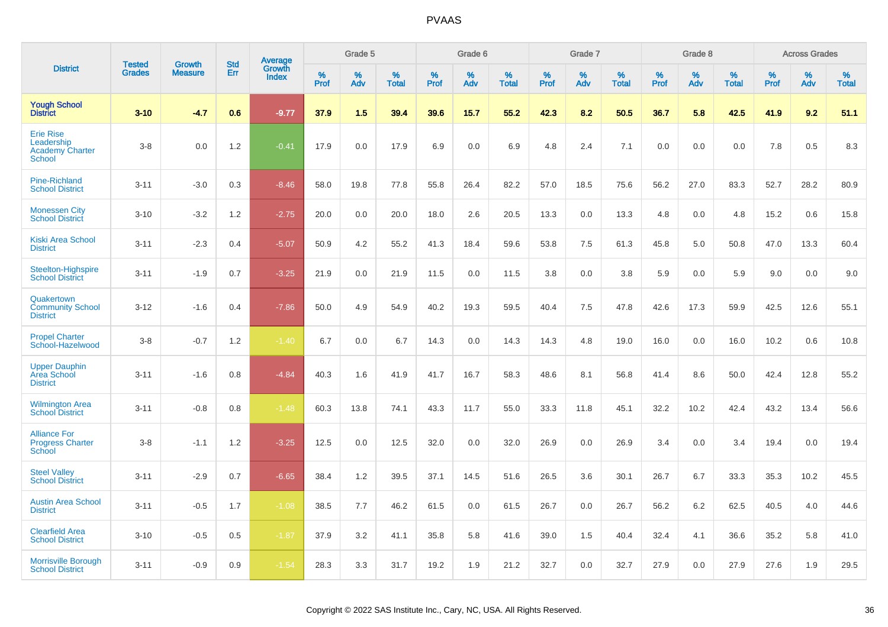|                                                                           | <b>Tested</b> | <b>Growth</b>  | <b>Std</b> | Average                |           | Grade 5  |                   |           | Grade 6  |                   |           | Grade 7  |                   |           | Grade 8  |                   |           | <b>Across Grades</b> |                   |
|---------------------------------------------------------------------------|---------------|----------------|------------|------------------------|-----------|----------|-------------------|-----------|----------|-------------------|-----------|----------|-------------------|-----------|----------|-------------------|-----------|----------------------|-------------------|
| <b>District</b>                                                           | <b>Grades</b> | <b>Measure</b> | Err        | Growth<br><b>Index</b> | %<br>Prof | %<br>Adv | %<br><b>Total</b> | %<br>Prof | %<br>Adv | %<br><b>Total</b> | %<br>Prof | %<br>Adv | %<br><b>Total</b> | %<br>Prof | %<br>Adv | %<br><b>Total</b> | %<br>Prof | %<br>Adv             | %<br><b>Total</b> |
| <b>Yough School</b><br><b>District</b>                                    | $3 - 10$      | $-4.7$         | 0.6        | $-9.77$                | 37.9      | 1.5      | 39.4              | 39.6      | 15.7     | 55.2              | 42.3      | 8.2      | 50.5              | 36.7      | 5.8      | 42.5              | 41.9      | 9.2                  | 51.1              |
| <b>Erie Rise</b><br>Leadership<br><b>Academy Charter</b><br><b>School</b> | $3-8$         | 0.0            | 1.2        | $-0.41$                | 17.9      | 0.0      | 17.9              | 6.9       | 0.0      | 6.9               | 4.8       | 2.4      | 7.1               | 0.0       | 0.0      | 0.0               | 7.8       | 0.5                  | 8.3               |
| <b>Pine-Richland</b><br><b>School District</b>                            | $3 - 11$      | $-3.0$         | 0.3        | $-8.46$                | 58.0      | 19.8     | 77.8              | 55.8      | 26.4     | 82.2              | 57.0      | 18.5     | 75.6              | 56.2      | 27.0     | 83.3              | 52.7      | 28.2                 | 80.9              |
| <b>Monessen City</b><br><b>School District</b>                            | $3 - 10$      | $-3.2$         | 1.2        | $-2.75$                | 20.0      | 0.0      | 20.0              | 18.0      | 2.6      | 20.5              | 13.3      | 0.0      | 13.3              | 4.8       | 0.0      | 4.8               | 15.2      | 0.6                  | 15.8              |
| <b>Kiski Area School</b><br><b>District</b>                               | $3 - 11$      | $-2.3$         | 0.4        | $-5.07$                | 50.9      | 4.2      | 55.2              | 41.3      | 18.4     | 59.6              | 53.8      | 7.5      | 61.3              | 45.8      | 5.0      | 50.8              | 47.0      | 13.3                 | 60.4              |
| Steelton-Highspire<br><b>School District</b>                              | $3 - 11$      | $-1.9$         | 0.7        | $-3.25$                | 21.9      | 0.0      | 21.9              | 11.5      | 0.0      | 11.5              | 3.8       | 0.0      | 3.8               | 5.9       | 0.0      | 5.9               | 9.0       | 0.0                  | 9.0               |
| Quakertown<br><b>Community School</b><br><b>District</b>                  | $3 - 12$      | $-1.6$         | 0.4        | $-7.86$                | 50.0      | 4.9      | 54.9              | 40.2      | 19.3     | 59.5              | 40.4      | 7.5      | 47.8              | 42.6      | 17.3     | 59.9              | 42.5      | 12.6                 | 55.1              |
| <b>Propel Charter</b><br>School-Hazelwood                                 | $3-8$         | $-0.7$         | 1.2        | $-1.40$                | 6.7       | 0.0      | 6.7               | 14.3      | 0.0      | 14.3              | 14.3      | 4.8      | 19.0              | 16.0      | 0.0      | 16.0              | 10.2      | 0.6                  | 10.8              |
| <b>Upper Dauphin</b><br>Area School<br><b>District</b>                    | $3 - 11$      | $-1.6$         | 0.8        | $-4.84$                | 40.3      | 1.6      | 41.9              | 41.7      | 16.7     | 58.3              | 48.6      | 8.1      | 56.8              | 41.4      | 8.6      | 50.0              | 42.4      | 12.8                 | 55.2              |
| <b>Wilmington Area</b><br><b>School District</b>                          | $3 - 11$      | $-0.8$         | 0.8        | $-1.48$                | 60.3      | 13.8     | 74.1              | 43.3      | 11.7     | 55.0              | 33.3      | 11.8     | 45.1              | 32.2      | 10.2     | 42.4              | 43.2      | 13.4                 | 56.6              |
| <b>Alliance For</b><br><b>Progress Charter</b><br>School                  | $3-8$         | $-1.1$         | 1.2        | $-3.25$                | 12.5      | 0.0      | 12.5              | 32.0      | 0.0      | 32.0              | 26.9      | 0.0      | 26.9              | 3.4       | 0.0      | 3.4               | 19.4      | 0.0                  | 19.4              |
| <b>Steel Valley</b><br><b>School District</b>                             | $3 - 11$      | $-2.9$         | 0.7        | $-6.65$                | 38.4      | 1.2      | 39.5              | 37.1      | 14.5     | 51.6              | 26.5      | 3.6      | 30.1              | 26.7      | 6.7      | 33.3              | 35.3      | 10.2                 | 45.5              |
| <b>Austin Area School</b><br><b>District</b>                              | $3 - 11$      | $-0.5$         | 1.7        | $-1.08$                | 38.5      | 7.7      | 46.2              | 61.5      | 0.0      | 61.5              | 26.7      | 0.0      | 26.7              | 56.2      | 6.2      | 62.5              | 40.5      | 4.0                  | 44.6              |
| <b>Clearfield Area</b><br><b>School District</b>                          | $3 - 10$      | $-0.5$         | 0.5        | $-1.87$                | 37.9      | 3.2      | 41.1              | 35.8      | 5.8      | 41.6              | 39.0      | 1.5      | 40.4              | 32.4      | 4.1      | 36.6              | 35.2      | 5.8                  | 41.0              |
| <b>Morrisville Borough</b><br><b>School District</b>                      | $3 - 11$      | $-0.9$         | 0.9        | $-1.54$                | 28.3      | 3.3      | 31.7              | 19.2      | 1.9      | 21.2              | 32.7      | 0.0      | 32.7              | 27.9      | 0.0      | 27.9              | 27.6      | 1.9                  | 29.5              |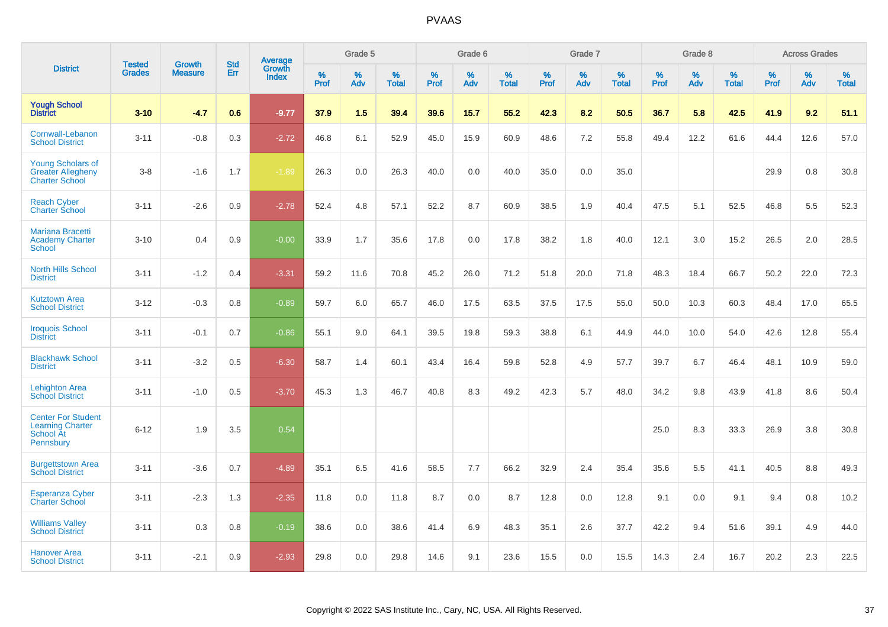|                                                                                |                                | <b>Growth</b>  | <b>Std</b> |                                   |              | Grade 5  |                   |              | Grade 6  |                   |              | Grade 7  |                   |              | Grade 8  |                   |              | <b>Across Grades</b> |                   |
|--------------------------------------------------------------------------------|--------------------------------|----------------|------------|-----------------------------------|--------------|----------|-------------------|--------------|----------|-------------------|--------------|----------|-------------------|--------------|----------|-------------------|--------------|----------------------|-------------------|
| <b>District</b>                                                                | <b>Tested</b><br><b>Grades</b> | <b>Measure</b> | <b>Err</b> | <b>Average</b><br>Growth<br>Index | $\%$<br>Prof | %<br>Adv | %<br><b>Total</b> | $\%$<br>Prof | %<br>Adv | %<br><b>Total</b> | $\%$<br>Prof | %<br>Adv | %<br><b>Total</b> | $\%$<br>Prof | %<br>Adv | %<br><b>Total</b> | $\%$<br>Prof | %<br>Adv             | %<br><b>Total</b> |
| <b>Yough School</b><br><b>District</b>                                         | $3 - 10$                       | $-4.7$         | 0.6        | $-9.77$                           | 37.9         | 1.5      | 39.4              | 39.6         | 15.7     | 55.2              | 42.3         | 8.2      | 50.5              | 36.7         | 5.8      | 42.5              | 41.9         | 9.2                  | 51.1              |
| Cornwall-Lebanon<br><b>School District</b>                                     | $3 - 11$                       | $-0.8$         | 0.3        | $-2.72$                           | 46.8         | 6.1      | 52.9              | 45.0         | 15.9     | 60.9              | 48.6         | 7.2      | 55.8              | 49.4         | 12.2     | 61.6              | 44.4         | 12.6                 | 57.0              |
| <b>Young Scholars of</b><br><b>Greater Allegheny</b><br><b>Charter School</b>  | $3 - 8$                        | $-1.6$         | 1.7        | $-1.89$                           | 26.3         | 0.0      | 26.3              | 40.0         | 0.0      | 40.0              | 35.0         | 0.0      | 35.0              |              |          |                   | 29.9         | 0.8                  | 30.8              |
| <b>Reach Cyber</b><br><b>Charter School</b>                                    | $3 - 11$                       | $-2.6$         | 0.9        | $-2.78$                           | 52.4         | 4.8      | 57.1              | 52.2         | 8.7      | 60.9              | 38.5         | 1.9      | 40.4              | 47.5         | 5.1      | 52.5              | 46.8         | 5.5                  | 52.3              |
| <b>Mariana Bracetti</b><br><b>Academy Charter</b><br>School                    | $3 - 10$                       | 0.4            | 0.9        | $-0.00$                           | 33.9         | 1.7      | 35.6              | 17.8         | 0.0      | 17.8              | 38.2         | 1.8      | 40.0              | 12.1         | 3.0      | 15.2              | 26.5         | 2.0                  | 28.5              |
| <b>North Hills School</b><br><b>District</b>                                   | $3 - 11$                       | $-1.2$         | 0.4        | $-3.31$                           | 59.2         | 11.6     | 70.8              | 45.2         | 26.0     | 71.2              | 51.8         | 20.0     | 71.8              | 48.3         | 18.4     | 66.7              | 50.2         | 22.0                 | 72.3              |
| <b>Kutztown Area</b><br><b>School District</b>                                 | $3 - 12$                       | $-0.3$         | 0.8        | $-0.89$                           | 59.7         | 6.0      | 65.7              | 46.0         | 17.5     | 63.5              | 37.5         | 17.5     | 55.0              | 50.0         | 10.3     | 60.3              | 48.4         | 17.0                 | 65.5              |
| <b>Iroquois School</b><br><b>District</b>                                      | $3 - 11$                       | $-0.1$         | 0.7        | $-0.86$                           | 55.1         | 9.0      | 64.1              | 39.5         | 19.8     | 59.3              | 38.8         | 6.1      | 44.9              | 44.0         | 10.0     | 54.0              | 42.6         | 12.8                 | 55.4              |
| <b>Blackhawk School</b><br><b>District</b>                                     | $3 - 11$                       | $-3.2$         | 0.5        | $-6.30$                           | 58.7         | 1.4      | 60.1              | 43.4         | 16.4     | 59.8              | 52.8         | 4.9      | 57.7              | 39.7         | 6.7      | 46.4              | 48.1         | 10.9                 | 59.0              |
| <b>Lehighton Area</b><br><b>School District</b>                                | $3 - 11$                       | $-1.0$         | 0.5        | $-3.70$                           | 45.3         | 1.3      | 46.7              | 40.8         | 8.3      | 49.2              | 42.3         | 5.7      | 48.0              | 34.2         | 9.8      | 43.9              | 41.8         | 8.6                  | 50.4              |
| <b>Center For Student</b><br><b>Learning Charter</b><br>School At<br>Pennsbury | $6 - 12$                       | 1.9            | 3.5        | 0.54                              |              |          |                   |              |          |                   |              |          |                   | 25.0         | 8.3      | 33.3              | 26.9         | 3.8                  | 30.8              |
| <b>Burgettstown Area</b><br><b>School District</b>                             | $3 - 11$                       | $-3.6$         | 0.7        | $-4.89$                           | 35.1         | 6.5      | 41.6              | 58.5         | 7.7      | 66.2              | 32.9         | 2.4      | 35.4              | 35.6         | 5.5      | 41.1              | 40.5         | 8.8                  | 49.3              |
| <b>Esperanza Cyber</b><br><b>Charter School</b>                                | $3 - 11$                       | $-2.3$         | 1.3        | $-2.35$                           | 11.8         | 0.0      | 11.8              | 8.7          | 0.0      | 8.7               | 12.8         | 0.0      | 12.8              | 9.1          | 0.0      | 9.1               | 9.4          | 0.8                  | 10.2              |
| <b>Williams Valley</b><br><b>School District</b>                               | $3 - 11$                       | 0.3            | 0.8        | $-0.19$                           | 38.6         | 0.0      | 38.6              | 41.4         | 6.9      | 48.3              | 35.1         | 2.6      | 37.7              | 42.2         | 9.4      | 51.6              | 39.1         | 4.9                  | 44.0              |
| <b>Hanover Area</b><br><b>School District</b>                                  | $3 - 11$                       | $-2.1$         | 0.9        | $-2.93$                           | 29.8         | 0.0      | 29.8              | 14.6         | 9.1      | 23.6              | 15.5         | 0.0      | 15.5              | 14.3         | 2.4      | 16.7              | 20.2         | 2.3                  | 22.5              |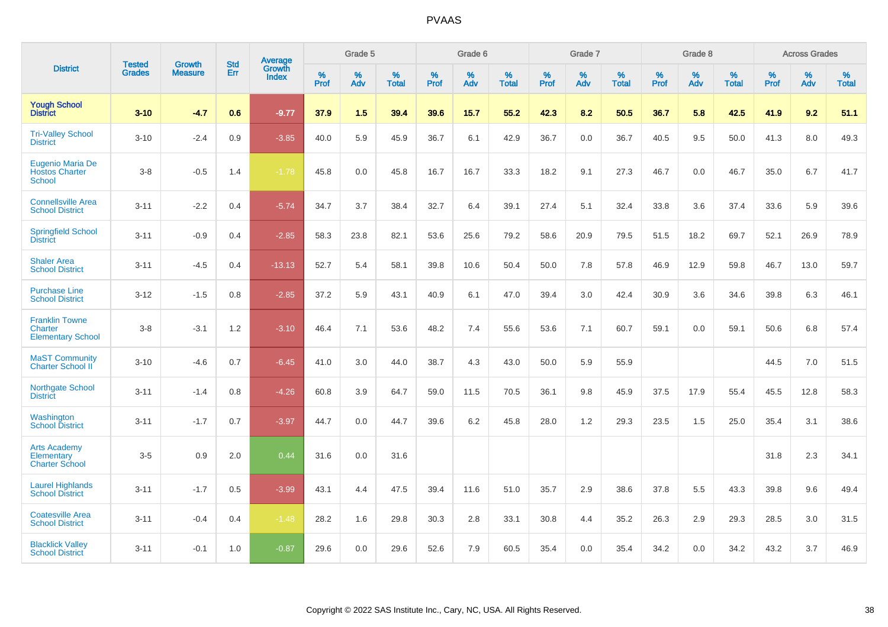|                                                                     | <b>Tested</b> | <b>Growth</b>  | <b>Std</b> | Average                |              | Grade 5  |                   |           | Grade 6  |                   |           | Grade 7  |                   |           | Grade 8  |                   |           | <b>Across Grades</b> |                   |
|---------------------------------------------------------------------|---------------|----------------|------------|------------------------|--------------|----------|-------------------|-----------|----------|-------------------|-----------|----------|-------------------|-----------|----------|-------------------|-----------|----------------------|-------------------|
| <b>District</b>                                                     | <b>Grades</b> | <b>Measure</b> | Err        | Growth<br><b>Index</b> | $\%$<br>Prof | %<br>Adv | %<br><b>Total</b> | %<br>Prof | %<br>Adv | %<br><b>Total</b> | %<br>Prof | %<br>Adv | %<br><b>Total</b> | %<br>Prof | %<br>Adv | %<br><b>Total</b> | %<br>Prof | %<br>Adv             | %<br><b>Total</b> |
| <b>Yough School</b><br><b>District</b>                              | $3 - 10$      | $-4.7$         | 0.6        | $-9.77$                | 37.9         | 1.5      | 39.4              | 39.6      | 15.7     | 55.2              | 42.3      | 8.2      | 50.5              | 36.7      | 5.8      | 42.5              | 41.9      | 9.2                  | 51.1              |
| <b>Tri-Valley School</b><br><b>District</b>                         | $3 - 10$      | $-2.4$         | 0.9        | $-3.85$                | 40.0         | 5.9      | 45.9              | 36.7      | 6.1      | 42.9              | 36.7      | 0.0      | 36.7              | 40.5      | 9.5      | 50.0              | 41.3      | 8.0                  | 49.3              |
| <b>Eugenio Maria De</b><br><b>Hostos Charter</b><br><b>School</b>   | $3 - 8$       | $-0.5$         | 1.4        | $-1.78$                | 45.8         | 0.0      | 45.8              | 16.7      | 16.7     | 33.3              | 18.2      | 9.1      | 27.3              | 46.7      | 0.0      | 46.7              | 35.0      | 6.7                  | 41.7              |
| <b>Connellsville Area</b><br><b>School District</b>                 | $3 - 11$      | $-2.2$         | 0.4        | $-5.74$                | 34.7         | 3.7      | 38.4              | 32.7      | 6.4      | 39.1              | 27.4      | 5.1      | 32.4              | 33.8      | 3.6      | 37.4              | 33.6      | 5.9                  | 39.6              |
| <b>Springfield School</b><br><b>District</b>                        | $3 - 11$      | $-0.9$         | 0.4        | $-2.85$                | 58.3         | 23.8     | 82.1              | 53.6      | 25.6     | 79.2              | 58.6      | 20.9     | 79.5              | 51.5      | 18.2     | 69.7              | 52.1      | 26.9                 | 78.9              |
| <b>Shaler Area</b><br><b>School District</b>                        | $3 - 11$      | $-4.5$         | 0.4        | $-13.13$               | 52.7         | 5.4      | 58.1              | 39.8      | 10.6     | 50.4              | 50.0      | 7.8      | 57.8              | 46.9      | 12.9     | 59.8              | 46.7      | 13.0                 | 59.7              |
| <b>Purchase Line</b><br><b>School District</b>                      | $3 - 12$      | $-1.5$         | 0.8        | $-2.85$                | 37.2         | 5.9      | 43.1              | 40.9      | 6.1      | 47.0              | 39.4      | 3.0      | 42.4              | 30.9      | 3.6      | 34.6              | 39.8      | 6.3                  | 46.1              |
| <b>Franklin Towne</b><br><b>Charter</b><br><b>Elementary School</b> | $3 - 8$       | $-3.1$         | 1.2        | $-3.10$                | 46.4         | 7.1      | 53.6              | 48.2      | 7.4      | 55.6              | 53.6      | 7.1      | 60.7              | 59.1      | 0.0      | 59.1              | 50.6      | 6.8                  | 57.4              |
| <b>MaST Community</b><br><b>Charter School II</b>                   | $3 - 10$      | $-4.6$         | 0.7        | $-6.45$                | 41.0         | 3.0      | 44.0              | 38.7      | 4.3      | 43.0              | 50.0      | 5.9      | 55.9              |           |          |                   | 44.5      | 7.0                  | 51.5              |
| Northgate School<br><b>District</b>                                 | $3 - 11$      | $-1.4$         | 0.8        | $-4.26$                | 60.8         | 3.9      | 64.7              | 59.0      | 11.5     | 70.5              | 36.1      | 9.8      | 45.9              | 37.5      | 17.9     | 55.4              | 45.5      | 12.8                 | 58.3              |
| Washington<br><b>School District</b>                                | $3 - 11$      | $-1.7$         | 0.7        | $-3.97$                | 44.7         | 0.0      | 44.7              | 39.6      | 6.2      | 45.8              | 28.0      | 1.2      | 29.3              | 23.5      | 1.5      | 25.0              | 35.4      | 3.1                  | 38.6              |
| <b>Arts Academy</b><br>Elementary<br><b>Charter School</b>          | $3-5$         | 0.9            | 2.0        | 0.44                   | 31.6         | 0.0      | 31.6              |           |          |                   |           |          |                   |           |          |                   | 31.8      | 2.3                  | 34.1              |
| <b>Laurel Highlands</b><br><b>School District</b>                   | $3 - 11$      | $-1.7$         | 0.5        | $-3.99$                | 43.1         | 4.4      | 47.5              | 39.4      | 11.6     | 51.0              | 35.7      | 2.9      | 38.6              | 37.8      | 5.5      | 43.3              | 39.8      | 9.6                  | 49.4              |
| <b>Coatesville Area</b><br><b>School District</b>                   | $3 - 11$      | $-0.4$         | 0.4        | $-1.48$                | 28.2         | 1.6      | 29.8              | 30.3      | 2.8      | 33.1              | 30.8      | 4.4      | 35.2              | 26.3      | 2.9      | 29.3              | 28.5      | 3.0                  | 31.5              |
| <b>Blacklick Valley</b><br><b>School District</b>                   | $3 - 11$      | $-0.1$         | 1.0        | $-0.87$                | 29.6         | 0.0      | 29.6              | 52.6      | 7.9      | 60.5              | 35.4      | 0.0      | 35.4              | 34.2      | 0.0      | 34.2              | 43.2      | 3.7                  | 46.9              |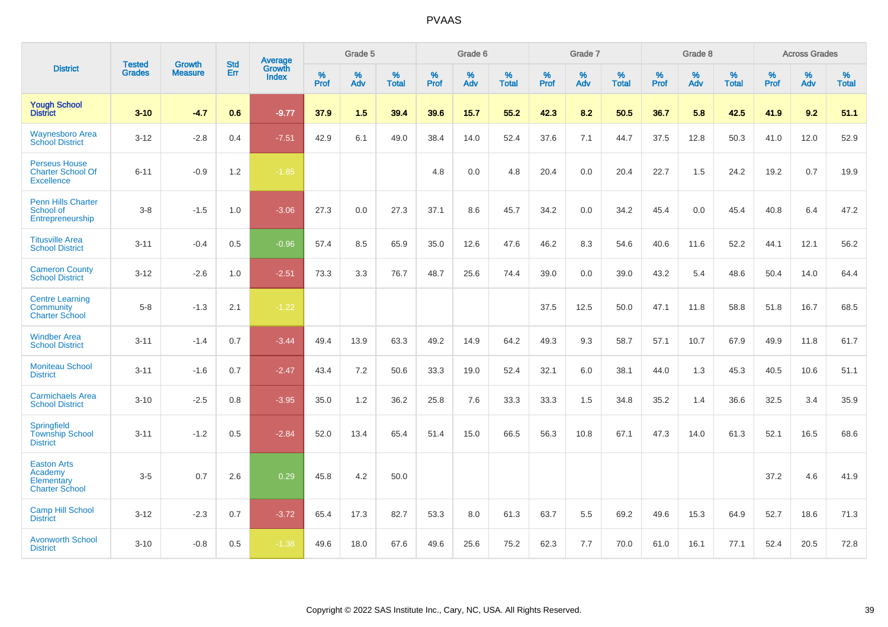|                                                                       |                                |                                 | <b>Std</b> | Average                |           | Grade 5  |                   |           | Grade 6  |                   |           | Grade 7  |                   |           | Grade 8  |                   |           | <b>Across Grades</b> |                   |
|-----------------------------------------------------------------------|--------------------------------|---------------------------------|------------|------------------------|-----------|----------|-------------------|-----------|----------|-------------------|-----------|----------|-------------------|-----------|----------|-------------------|-----------|----------------------|-------------------|
| <b>District</b>                                                       | <b>Tested</b><br><b>Grades</b> | <b>Growth</b><br><b>Measure</b> | Err        | Growth<br><b>Index</b> | %<br>Prof | %<br>Adv | %<br><b>Total</b> | %<br>Prof | %<br>Adv | %<br><b>Total</b> | %<br>Prof | %<br>Adv | %<br><b>Total</b> | %<br>Prof | %<br>Adv | %<br><b>Total</b> | %<br>Prof | %<br>Adv             | %<br><b>Total</b> |
| <b>Yough School</b><br><b>District</b>                                | $3 - 10$                       | $-4.7$                          | 0.6        | $-9.77$                | 37.9      | 1.5      | 39.4              | 39.6      | 15.7     | 55.2              | 42.3      | 8.2      | 50.5              | 36.7      | 5.8      | 42.5              | 41.9      | 9.2                  | 51.1              |
| <b>Waynesboro Area</b><br><b>School District</b>                      | $3 - 12$                       | $-2.8$                          | 0.4        | $-7.51$                | 42.9      | 6.1      | 49.0              | 38.4      | 14.0     | 52.4              | 37.6      | 7.1      | 44.7              | 37.5      | 12.8     | 50.3              | 41.0      | 12.0                 | 52.9              |
| <b>Perseus House</b><br><b>Charter School Of</b><br><b>Excellence</b> | $6 - 11$                       | $-0.9$                          | 1.2        | $-1.85$                |           |          |                   | 4.8       | 0.0      | 4.8               | 20.4      | 0.0      | 20.4              | 22.7      | 1.5      | 24.2              | 19.2      | 0.7                  | 19.9              |
| <b>Penn Hills Charter</b><br>School of<br>Entrepreneurship            | $3-8$                          | $-1.5$                          | 1.0        | $-3.06$                | 27.3      | 0.0      | 27.3              | 37.1      | 8.6      | 45.7              | 34.2      | 0.0      | 34.2              | 45.4      | 0.0      | 45.4              | 40.8      | 6.4                  | 47.2              |
| <b>Titusville Area</b><br><b>School District</b>                      | $3 - 11$                       | $-0.4$                          | 0.5        | $-0.96$                | 57.4      | 8.5      | 65.9              | 35.0      | 12.6     | 47.6              | 46.2      | 8.3      | 54.6              | 40.6      | 11.6     | 52.2              | 44.1      | 12.1                 | 56.2              |
| <b>Cameron County</b><br><b>School District</b>                       | $3 - 12$                       | $-2.6$                          | 1.0        | $-2.51$                | 73.3      | 3.3      | 76.7              | 48.7      | 25.6     | 74.4              | 39.0      | 0.0      | 39.0              | 43.2      | 5.4      | 48.6              | 50.4      | 14.0                 | 64.4              |
| <b>Centre Learning</b><br>Community<br><b>Charter School</b>          | $5-8$                          | $-1.3$                          | 2.1        | $-1.22$                |           |          |                   |           |          |                   | 37.5      | 12.5     | 50.0              | 47.1      | 11.8     | 58.8              | 51.8      | 16.7                 | 68.5              |
| <b>Windber Area</b><br><b>School District</b>                         | $3 - 11$                       | $-1.4$                          | 0.7        | $-3.44$                | 49.4      | 13.9     | 63.3              | 49.2      | 14.9     | 64.2              | 49.3      | 9.3      | 58.7              | 57.1      | 10.7     | 67.9              | 49.9      | 11.8                 | 61.7              |
| <b>Moniteau School</b><br><b>District</b>                             | $3 - 11$                       | $-1.6$                          | 0.7        | $-2.47$                | 43.4      | 7.2      | 50.6              | 33.3      | 19.0     | 52.4              | 32.1      | 6.0      | 38.1              | 44.0      | 1.3      | 45.3              | 40.5      | 10.6                 | 51.1              |
| <b>Carmichaels Area</b><br><b>School District</b>                     | $3 - 10$                       | $-2.5$                          | 0.8        | $-3.95$                | 35.0      | 1.2      | 36.2              | 25.8      | 7.6      | 33.3              | 33.3      | 1.5      | 34.8              | 35.2      | 1.4      | 36.6              | 32.5      | 3.4                  | 35.9              |
| Springfield<br><b>Township School</b><br><b>District</b>              | $3 - 11$                       | $-1.2$                          | 0.5        | $-2.84$                | 52.0      | 13.4     | 65.4              | 51.4      | 15.0     | 66.5              | 56.3      | 10.8     | 67.1              | 47.3      | 14.0     | 61.3              | 52.1      | 16.5                 | 68.6              |
| <b>Easton Arts</b><br>Academy<br>Elementary<br><b>Charter School</b>  | $3-5$                          | 0.7                             | 2.6        | 0.29                   | 45.8      | 4.2      | 50.0              |           |          |                   |           |          |                   |           |          |                   | 37.2      | 4.6                  | 41.9              |
| <b>Camp Hill School</b><br><b>District</b>                            | $3 - 12$                       | $-2.3$                          | 0.7        | $-3.72$                | 65.4      | 17.3     | 82.7              | 53.3      | 8.0      | 61.3              | 63.7      | 5.5      | 69.2              | 49.6      | 15.3     | 64.9              | 52.7      | 18.6                 | 71.3              |
| <b>Avonworth School</b><br><b>District</b>                            | $3 - 10$                       | $-0.8$                          | 0.5        | $-1.38$                | 49.6      | 18.0     | 67.6              | 49.6      | 25.6     | 75.2              | 62.3      | 7.7      | 70.0              | 61.0      | 16.1     | 77.1              | 52.4      | 20.5                 | 72.8              |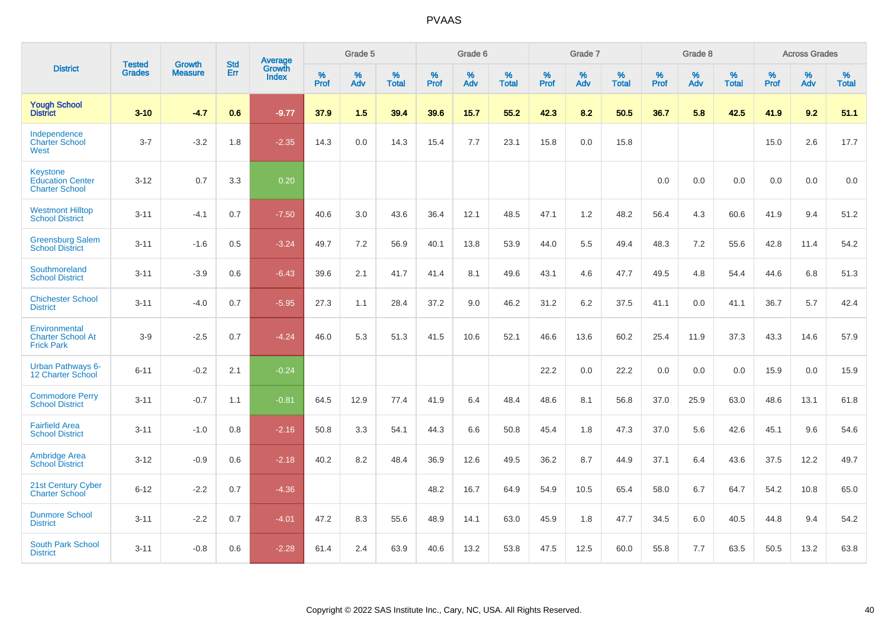|                                                                     | <b>Tested</b> | <b>Growth</b>  | <b>Std</b> | Average                       |           | Grade 5  |                   |           | Grade 6  |                   |           | Grade 7  |                   |           | Grade 8  |                   |           | <b>Across Grades</b> |                   |
|---------------------------------------------------------------------|---------------|----------------|------------|-------------------------------|-----------|----------|-------------------|-----------|----------|-------------------|-----------|----------|-------------------|-----------|----------|-------------------|-----------|----------------------|-------------------|
| <b>District</b>                                                     | <b>Grades</b> | <b>Measure</b> | Err        | <b>Growth</b><br><b>Index</b> | %<br>Prof | %<br>Adv | %<br><b>Total</b> | %<br>Prof | %<br>Adv | %<br><b>Total</b> | %<br>Prof | %<br>Adv | %<br><b>Total</b> | %<br>Prof | %<br>Adv | %<br><b>Total</b> | %<br>Prof | %<br>Adv             | %<br><b>Total</b> |
| <b>Yough School</b><br><b>District</b>                              | $3 - 10$      | $-4.7$         | 0.6        | $-9.77$                       | 37.9      | 1.5      | 39.4              | 39.6      | 15.7     | 55.2              | 42.3      | 8.2      | 50.5              | 36.7      | 5.8      | 42.5              | 41.9      | 9.2                  | 51.1              |
| Independence<br><b>Charter School</b><br>West                       | $3 - 7$       | $-3.2$         | 1.8        | $-2.35$                       | 14.3      | 0.0      | 14.3              | 15.4      | 7.7      | 23.1              | 15.8      | 0.0      | 15.8              |           |          |                   | 15.0      | 2.6                  | 17.7              |
| <b>Keystone</b><br><b>Education Center</b><br><b>Charter School</b> | $3 - 12$      | 0.7            | 3.3        | 0.20                          |           |          |                   |           |          |                   |           |          |                   | 0.0       | 0.0      | 0.0               | 0.0       | 0.0                  | 0.0               |
| <b>Westmont Hilltop</b><br><b>School District</b>                   | $3 - 11$      | $-4.1$         | 0.7        | $-7.50$                       | 40.6      | 3.0      | 43.6              | 36.4      | 12.1     | 48.5              | 47.1      | 1.2      | 48.2              | 56.4      | 4.3      | 60.6              | 41.9      | 9.4                  | 51.2              |
| <b>Greensburg Salem</b><br><b>School District</b>                   | $3 - 11$      | $-1.6$         | 0.5        | $-3.24$                       | 49.7      | 7.2      | 56.9              | 40.1      | 13.8     | 53.9              | 44.0      | 5.5      | 49.4              | 48.3      | 7.2      | 55.6              | 42.8      | 11.4                 | 54.2              |
| Southmoreland<br><b>School District</b>                             | $3 - 11$      | $-3.9$         | 0.6        | $-6.43$                       | 39.6      | 2.1      | 41.7              | 41.4      | 8.1      | 49.6              | 43.1      | 4.6      | 47.7              | 49.5      | 4.8      | 54.4              | 44.6      | 6.8                  | 51.3              |
| <b>Chichester School</b><br><b>District</b>                         | $3 - 11$      | $-4.0$         | 0.7        | $-5.95$                       | 27.3      | 1.1      | 28.4              | 37.2      | 9.0      | 46.2              | 31.2      | 6.2      | 37.5              | 41.1      | 0.0      | 41.1              | 36.7      | 5.7                  | 42.4              |
| Environmental<br><b>Charter School At</b><br><b>Frick Park</b>      | $3-9$         | $-2.5$         | 0.7        | $-4.24$                       | 46.0      | 5.3      | 51.3              | 41.5      | 10.6     | 52.1              | 46.6      | 13.6     | 60.2              | 25.4      | 11.9     | 37.3              | 43.3      | 14.6                 | 57.9              |
| <b>Urban Pathways 6-</b><br>12 Charter School                       | $6 - 11$      | $-0.2$         | 2.1        | $-0.24$                       |           |          |                   |           |          |                   | 22.2      | 0.0      | 22.2              | 0.0       | 0.0      | 0.0               | 15.9      | 0.0                  | 15.9              |
| <b>Commodore Perry</b><br><b>School District</b>                    | $3 - 11$      | $-0.7$         | 1.1        | $-0.81$                       | 64.5      | 12.9     | 77.4              | 41.9      | 6.4      | 48.4              | 48.6      | 8.1      | 56.8              | 37.0      | 25.9     | 63.0              | 48.6      | 13.1                 | 61.8              |
| <b>Fairfield Area</b><br><b>School District</b>                     | $3 - 11$      | $-1.0$         | 0.8        | $-2.16$                       | 50.8      | 3.3      | 54.1              | 44.3      | 6.6      | 50.8              | 45.4      | 1.8      | 47.3              | 37.0      | 5.6      | 42.6              | 45.1      | 9.6                  | 54.6              |
| <b>Ambridge Area</b><br><b>School District</b>                      | $3 - 12$      | $-0.9$         | 0.6        | $-2.18$                       | 40.2      | 8.2      | 48.4              | 36.9      | 12.6     | 49.5              | 36.2      | 8.7      | 44.9              | 37.1      | 6.4      | 43.6              | 37.5      | 12.2                 | 49.7              |
| <b>21st Century Cyber</b><br><b>Charter School</b>                  | $6 - 12$      | $-2.2$         | 0.7        | $-4.36$                       |           |          |                   | 48.2      | 16.7     | 64.9              | 54.9      | 10.5     | 65.4              | 58.0      | 6.7      | 64.7              | 54.2      | 10.8                 | 65.0              |
| <b>Dunmore School</b><br><b>District</b>                            | $3 - 11$      | $-2.2$         | 0.7        | $-4.01$                       | 47.2      | 8.3      | 55.6              | 48.9      | 14.1     | 63.0              | 45.9      | 1.8      | 47.7              | 34.5      | 6.0      | 40.5              | 44.8      | 9.4                  | 54.2              |
| <b>South Park School</b><br><b>District</b>                         | $3 - 11$      | $-0.8$         | 0.6        | $-2.28$                       | 61.4      | 2.4      | 63.9              | 40.6      | 13.2     | 53.8              | 47.5      | 12.5     | 60.0              | 55.8      | 7.7      | 63.5              | 50.5      | 13.2                 | 63.8              |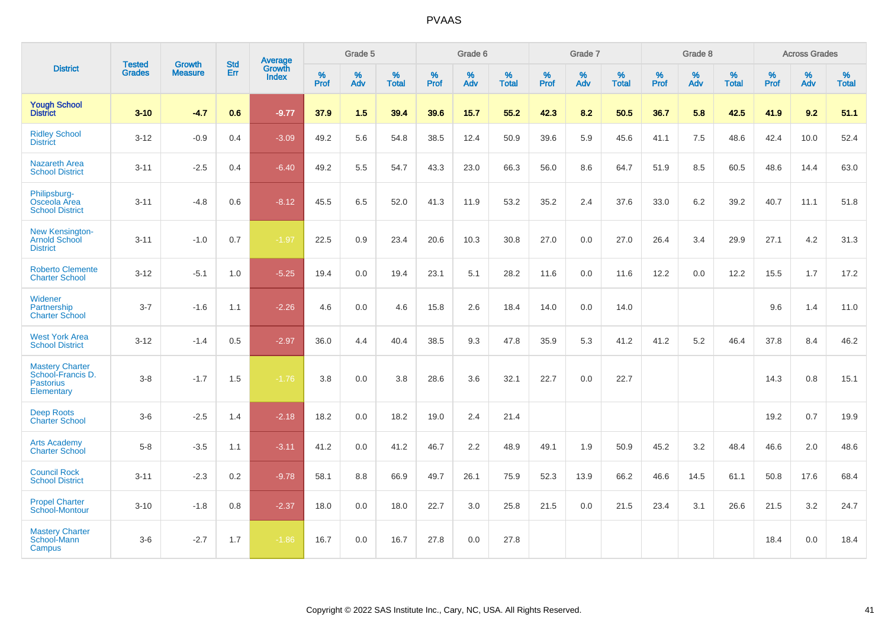|                                                                               | <b>Tested</b> | <b>Growth</b>  | <b>Std</b> | Average                |              | Grade 5  |                   |              | Grade 6  |                   |           | Grade 7  |                   |           | Grade 8  |                   |           | <b>Across Grades</b> |                   |
|-------------------------------------------------------------------------------|---------------|----------------|------------|------------------------|--------------|----------|-------------------|--------------|----------|-------------------|-----------|----------|-------------------|-----------|----------|-------------------|-----------|----------------------|-------------------|
| <b>District</b>                                                               | <b>Grades</b> | <b>Measure</b> | Err        | Growth<br><b>Index</b> | $\%$<br>Prof | %<br>Adv | %<br><b>Total</b> | $\%$<br>Prof | %<br>Adv | %<br><b>Total</b> | %<br>Prof | %<br>Adv | %<br><b>Total</b> | %<br>Prof | %<br>Adv | %<br><b>Total</b> | %<br>Prof | %<br>Adv             | %<br><b>Total</b> |
| <b>Yough School</b><br><b>District</b>                                        | $3 - 10$      | $-4.7$         | 0.6        | $-9.77$                | 37.9         | 1.5      | 39.4              | 39.6         | 15.7     | 55.2              | 42.3      | 8.2      | 50.5              | 36.7      | 5.8      | 42.5              | 41.9      | 9.2                  | 51.1              |
| <b>Ridley School</b><br><b>District</b>                                       | $3 - 12$      | $-0.9$         | 0.4        | $-3.09$                | 49.2         | 5.6      | 54.8              | 38.5         | 12.4     | 50.9              | 39.6      | 5.9      | 45.6              | 41.1      | 7.5      | 48.6              | 42.4      | 10.0                 | 52.4              |
| <b>Nazareth Area</b><br><b>School District</b>                                | $3 - 11$      | $-2.5$         | 0.4        | $-6.40$                | 49.2         | 5.5      | 54.7              | 43.3         | 23.0     | 66.3              | 56.0      | 8.6      | 64.7              | 51.9      | 8.5      | 60.5              | 48.6      | 14.4                 | 63.0              |
| Philipsburg-<br>Osceola Area<br><b>School District</b>                        | $3 - 11$      | $-4.8$         | 0.6        | $-8.12$                | 45.5         | 6.5      | 52.0              | 41.3         | 11.9     | 53.2              | 35.2      | 2.4      | 37.6              | 33.0      | 6.2      | 39.2              | 40.7      | 11.1                 | 51.8              |
| New Kensington-<br><b>Arnold School</b><br><b>District</b>                    | $3 - 11$      | $-1.0$         | 0.7        | $-1.97$                | 22.5         | 0.9      | 23.4              | 20.6         | 10.3     | 30.8              | 27.0      | 0.0      | 27.0              | 26.4      | 3.4      | 29.9              | 27.1      | 4.2                  | 31.3              |
| <b>Roberto Clemente</b><br><b>Charter School</b>                              | $3 - 12$      | $-5.1$         | 1.0        | $-5.25$                | 19.4         | 0.0      | 19.4              | 23.1         | 5.1      | 28.2              | 11.6      | 0.0      | 11.6              | 12.2      | 0.0      | 12.2              | 15.5      | 1.7                  | 17.2              |
| Widener<br>Partnership<br><b>Charter School</b>                               | $3 - 7$       | $-1.6$         | 1.1        | $-2.26$                | 4.6          | 0.0      | 4.6               | 15.8         | 2.6      | 18.4              | 14.0      | 0.0      | 14.0              |           |          |                   | 9.6       | 1.4                  | 11.0              |
| <b>West York Area</b><br><b>School District</b>                               | $3 - 12$      | $-1.4$         | 0.5        | $-2.97$                | 36.0         | 4.4      | 40.4              | 38.5         | 9.3      | 47.8              | 35.9      | 5.3      | 41.2              | 41.2      | 5.2      | 46.4              | 37.8      | 8.4                  | 46.2              |
| <b>Mastery Charter</b><br>School-Francis D.<br><b>Pastorius</b><br>Elementary | $3-8$         | $-1.7$         | 1.5        | $-1.76$                | 3.8          | 0.0      | 3.8               | 28.6         | 3.6      | 32.1              | 22.7      | 0.0      | 22.7              |           |          |                   | 14.3      | 0.8                  | 15.1              |
| <b>Deep Roots</b><br><b>Charter School</b>                                    | $3-6$         | $-2.5$         | 1.4        | $-2.18$                | 18.2         | 0.0      | 18.2              | 19.0         | 2.4      | 21.4              |           |          |                   |           |          |                   | 19.2      | 0.7                  | 19.9              |
| <b>Arts Academy</b><br><b>Charter School</b>                                  | $5-8$         | $-3.5$         | 1.1        | $-3.11$                | 41.2         | 0.0      | 41.2              | 46.7         | 2.2      | 48.9              | 49.1      | 1.9      | 50.9              | 45.2      | 3.2      | 48.4              | 46.6      | 2.0                  | 48.6              |
| <b>Council Rock</b><br><b>School District</b>                                 | $3 - 11$      | $-2.3$         | 0.2        | $-9.78$                | 58.1         | 8.8      | 66.9              | 49.7         | 26.1     | 75.9              | 52.3      | 13.9     | 66.2              | 46.6      | 14.5     | 61.1              | 50.8      | 17.6                 | 68.4              |
| <b>Propel Charter</b><br><b>School-Montour</b>                                | $3 - 10$      | $-1.8$         | 0.8        | $-2.37$                | 18.0         | 0.0      | 18.0              | 22.7         | 3.0      | 25.8              | 21.5      | 0.0      | 21.5              | 23.4      | 3.1      | 26.6              | 21.5      | 3.2                  | 24.7              |
| <b>Mastery Charter</b><br>School-Mann<br>Campus                               | $3-6$         | $-2.7$         | 1.7        | $-1.86$                | 16.7         | 0.0      | 16.7              | 27.8         | 0.0      | 27.8              |           |          |                   |           |          |                   | 18.4      | 0.0                  | 18.4              |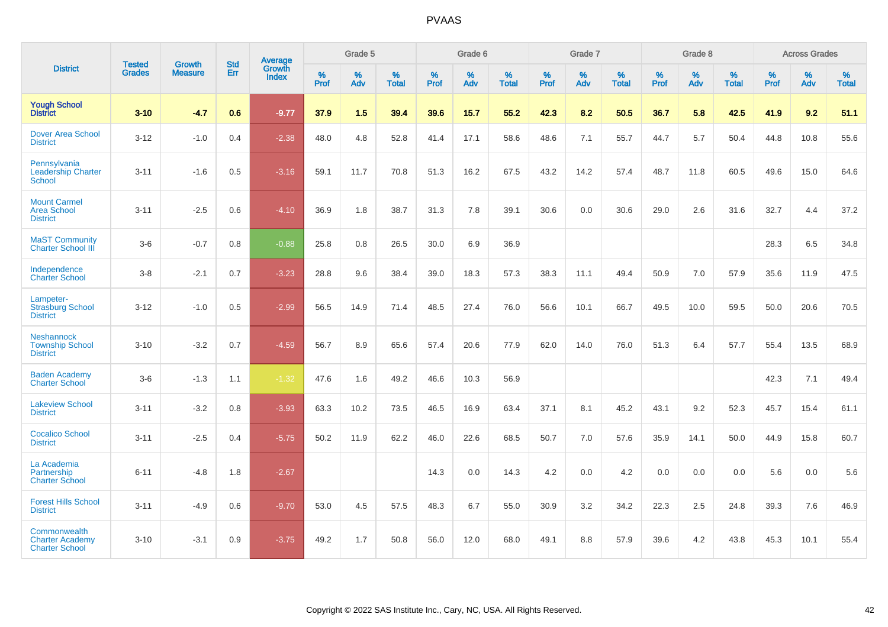|                                                                 |                                |                                 | <b>Std</b> | Average                |              | Grade 5  |                   |              | Grade 6  |                   |              | Grade 7  |                   |              | Grade 8  |                   |                     | <b>Across Grades</b> |                   |
|-----------------------------------------------------------------|--------------------------------|---------------------------------|------------|------------------------|--------------|----------|-------------------|--------------|----------|-------------------|--------------|----------|-------------------|--------------|----------|-------------------|---------------------|----------------------|-------------------|
| <b>District</b>                                                 | <b>Tested</b><br><b>Grades</b> | <b>Growth</b><br><b>Measure</b> | Err        | Growth<br><b>Index</b> | $\%$<br>Prof | %<br>Adv | %<br><b>Total</b> | $\%$<br>Prof | %<br>Adv | %<br><b>Total</b> | $\%$<br>Prof | %<br>Adv | %<br><b>Total</b> | $\%$<br>Prof | %<br>Adv | %<br><b>Total</b> | $\%$<br><b>Prof</b> | %<br>Adv             | %<br><b>Total</b> |
| <b>Yough School</b><br><b>District</b>                          | $3 - 10$                       | $-4.7$                          | 0.6        | $-9.77$                | 37.9         | 1.5      | 39.4              | 39.6         | 15.7     | 55.2              | 42.3         | 8.2      | 50.5              | 36.7         | 5.8      | 42.5              | 41.9                | 9.2                  | 51.1              |
| <b>Dover Area School</b><br><b>District</b>                     | $3 - 12$                       | $-1.0$                          | 0.4        | $-2.38$                | 48.0         | 4.8      | 52.8              | 41.4         | 17.1     | 58.6              | 48.6         | 7.1      | 55.7              | 44.7         | 5.7      | 50.4              | 44.8                | 10.8                 | 55.6              |
| Pennsylvania<br><b>Leadership Charter</b><br>School             | $3 - 11$                       | $-1.6$                          | 0.5        | $-3.16$                | 59.1         | 11.7     | 70.8              | 51.3         | 16.2     | 67.5              | 43.2         | 14.2     | 57.4              | 48.7         | 11.8     | 60.5              | 49.6                | 15.0                 | 64.6              |
| <b>Mount Carmel</b><br><b>Area School</b><br><b>District</b>    | $3 - 11$                       | $-2.5$                          | 0.6        | $-4.10$                | 36.9         | 1.8      | 38.7              | 31.3         | 7.8      | 39.1              | 30.6         | 0.0      | 30.6              | 29.0         | 2.6      | 31.6              | 32.7                | 4.4                  | 37.2              |
| <b>MaST Community</b><br><b>Charter School III</b>              | $3-6$                          | $-0.7$                          | 0.8        | $-0.88$                | 25.8         | 0.8      | 26.5              | 30.0         | 6.9      | 36.9              |              |          |                   |              |          |                   | 28.3                | 6.5                  | 34.8              |
| Independence<br><b>Charter School</b>                           | $3-8$                          | $-2.1$                          | 0.7        | $-3.23$                | 28.8         | 9.6      | 38.4              | 39.0         | 18.3     | 57.3              | 38.3         | 11.1     | 49.4              | 50.9         | 7.0      | 57.9              | 35.6                | 11.9                 | 47.5              |
| Lampeter-<br><b>Strasburg School</b><br><b>District</b>         | $3 - 12$                       | $-1.0$                          | 0.5        | $-2.99$                | 56.5         | 14.9     | 71.4              | 48.5         | 27.4     | 76.0              | 56.6         | 10.1     | 66.7              | 49.5         | 10.0     | 59.5              | 50.0                | 20.6                 | 70.5              |
| <b>Neshannock</b><br><b>Township School</b><br><b>District</b>  | $3 - 10$                       | $-3.2$                          | 0.7        | $-4.59$                | 56.7         | 8.9      | 65.6              | 57.4         | 20.6     | 77.9              | 62.0         | 14.0     | 76.0              | 51.3         | 6.4      | 57.7              | 55.4                | 13.5                 | 68.9              |
| <b>Baden Academy</b><br><b>Charter School</b>                   | $3-6$                          | $-1.3$                          | 1.1        | $-1.32$                | 47.6         | 1.6      | 49.2              | 46.6         | 10.3     | 56.9              |              |          |                   |              |          |                   | 42.3                | 7.1                  | 49.4              |
| <b>Lakeview School</b><br><b>District</b>                       | $3 - 11$                       | $-3.2$                          | 0.8        | $-3.93$                | 63.3         | 10.2     | 73.5              | 46.5         | 16.9     | 63.4              | 37.1         | 8.1      | 45.2              | 43.1         | 9.2      | 52.3              | 45.7                | 15.4                 | 61.1              |
| <b>Cocalico School</b><br><b>District</b>                       | $3 - 11$                       | $-2.5$                          | 0.4        | $-5.75$                | 50.2         | 11.9     | 62.2              | 46.0         | 22.6     | 68.5              | 50.7         | 7.0      | 57.6              | 35.9         | 14.1     | 50.0              | 44.9                | 15.8                 | 60.7              |
| La Academia<br>Partnership<br><b>Charter School</b>             | $6 - 11$                       | $-4.8$                          | 1.8        | $-2.67$                |              |          |                   | 14.3         | 0.0      | 14.3              | 4.2          | 0.0      | 4.2               | 0.0          | 0.0      | 0.0               | 5.6                 | 0.0                  | 5.6               |
| <b>Forest Hills School</b><br><b>District</b>                   | $3 - 11$                       | $-4.9$                          | 0.6        | $-9.70$                | 53.0         | 4.5      | 57.5              | 48.3         | 6.7      | 55.0              | 30.9         | 3.2      | 34.2              | 22.3         | 2.5      | 24.8              | 39.3                | 7.6                  | 46.9              |
| Commonwealth<br><b>Charter Academy</b><br><b>Charter School</b> | $3 - 10$                       | $-3.1$                          | 0.9        | $-3.75$                | 49.2         | 1.7      | 50.8              | 56.0         | 12.0     | 68.0              | 49.1         | 8.8      | 57.9              | 39.6         | 4.2      | 43.8              | 45.3                | 10.1                 | 55.4              |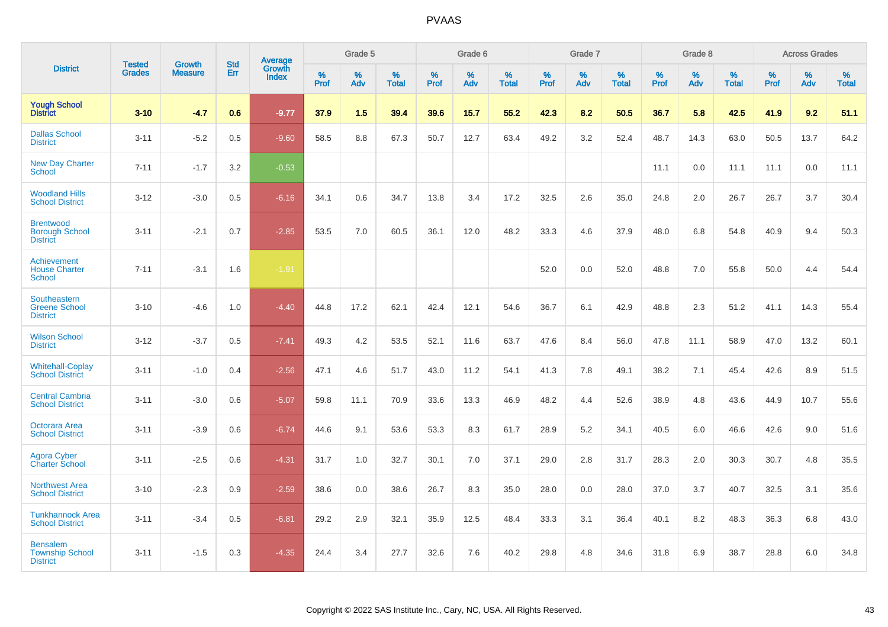|                                                                |                                |                                 | <b>Std</b> | <b>Average</b>         |           | Grade 5  |                   |           | Grade 6  |                   |           | Grade 7  |                   |           | Grade 8  |                   |           | <b>Across Grades</b> |                   |
|----------------------------------------------------------------|--------------------------------|---------------------------------|------------|------------------------|-----------|----------|-------------------|-----------|----------|-------------------|-----------|----------|-------------------|-----------|----------|-------------------|-----------|----------------------|-------------------|
| <b>District</b>                                                | <b>Tested</b><br><b>Grades</b> | <b>Growth</b><br><b>Measure</b> | Err        | Growth<br><b>Index</b> | %<br>Prof | %<br>Adv | %<br><b>Total</b> | %<br>Prof | %<br>Adv | %<br><b>Total</b> | %<br>Prof | %<br>Adv | %<br><b>Total</b> | %<br>Prof | %<br>Adv | %<br><b>Total</b> | %<br>Prof | %<br>Adv             | %<br><b>Total</b> |
| <b>Yough School</b><br><b>District</b>                         | $3 - 10$                       | $-4.7$                          | 0.6        | $-9.77$                | 37.9      | 1.5      | 39.4              | 39.6      | 15.7     | 55.2              | 42.3      | 8.2      | 50.5              | 36.7      | 5.8      | 42.5              | 41.9      | 9.2                  | 51.1              |
| <b>Dallas School</b><br><b>District</b>                        | $3 - 11$                       | $-5.2$                          | 0.5        | $-9.60$                | 58.5      | 8.8      | 67.3              | 50.7      | 12.7     | 63.4              | 49.2      | 3.2      | 52.4              | 48.7      | 14.3     | 63.0              | 50.5      | 13.7                 | 64.2              |
| <b>New Day Charter</b><br>School                               | $7 - 11$                       | $-1.7$                          | 3.2        | $-0.53$                |           |          |                   |           |          |                   |           |          |                   | 11.1      | 0.0      | 11.1              | 11.1      | 0.0                  | 11.1              |
| <b>Woodland Hills</b><br><b>School District</b>                | $3 - 12$                       | $-3.0$                          | 0.5        | $-6.16$                | 34.1      | 0.6      | 34.7              | 13.8      | 3.4      | 17.2              | 32.5      | 2.6      | 35.0              | 24.8      | 2.0      | 26.7              | 26.7      | 3.7                  | 30.4              |
| <b>Brentwood</b><br><b>Borough School</b><br><b>District</b>   | $3 - 11$                       | $-2.1$                          | 0.7        | $-2.85$                | 53.5      | 7.0      | 60.5              | 36.1      | 12.0     | 48.2              | 33.3      | 4.6      | 37.9              | 48.0      | 6.8      | 54.8              | 40.9      | 9.4                  | 50.3              |
| <b>Achievement</b><br><b>House Charter</b><br>School           | $7 - 11$                       | $-3.1$                          | 1.6        | $-1.91$                |           |          |                   |           |          |                   | 52.0      | 0.0      | 52.0              | 48.8      | 7.0      | 55.8              | 50.0      | 4.4                  | 54.4              |
| <b>Southeastern</b><br><b>Greene School</b><br><b>District</b> | $3 - 10$                       | $-4.6$                          | 1.0        | $-4.40$                | 44.8      | 17.2     | 62.1              | 42.4      | 12.1     | 54.6              | 36.7      | 6.1      | 42.9              | 48.8      | 2.3      | 51.2              | 41.1      | 14.3                 | 55.4              |
| <b>Wilson School</b><br><b>District</b>                        | $3 - 12$                       | $-3.7$                          | 0.5        | $-7.41$                | 49.3      | 4.2      | 53.5              | 52.1      | 11.6     | 63.7              | 47.6      | 8.4      | 56.0              | 47.8      | 11.1     | 58.9              | 47.0      | 13.2                 | 60.1              |
| <b>Whitehall-Coplay</b><br><b>School District</b>              | $3 - 11$                       | $-1.0$                          | 0.4        | $-2.56$                | 47.1      | 4.6      | 51.7              | 43.0      | 11.2     | 54.1              | 41.3      | 7.8      | 49.1              | 38.2      | 7.1      | 45.4              | 42.6      | 8.9                  | 51.5              |
| <b>Central Cambria</b><br><b>School District</b>               | $3 - 11$                       | $-3.0$                          | 0.6        | $-5.07$                | 59.8      | 11.1     | 70.9              | 33.6      | 13.3     | 46.9              | 48.2      | 4.4      | 52.6              | 38.9      | 4.8      | 43.6              | 44.9      | 10.7                 | 55.6              |
| Octorara Area<br><b>School District</b>                        | $3 - 11$                       | $-3.9$                          | 0.6        | $-6.74$                | 44.6      | 9.1      | 53.6              | 53.3      | 8.3      | 61.7              | 28.9      | 5.2      | 34.1              | 40.5      | 6.0      | 46.6              | 42.6      | 9.0                  | 51.6              |
| Agora Cyber<br><b>Charter School</b>                           | $3 - 11$                       | $-2.5$                          | 0.6        | $-4.31$                | 31.7      | 1.0      | 32.7              | 30.1      | 7.0      | 37.1              | 29.0      | 2.8      | 31.7              | 28.3      | 2.0      | 30.3              | 30.7      | 4.8                  | 35.5              |
| <b>Northwest Area</b><br><b>School District</b>                | $3 - 10$                       | $-2.3$                          | 0.9        | $-2.59$                | 38.6      | 0.0      | 38.6              | 26.7      | 8.3      | 35.0              | 28.0      | 0.0      | 28.0              | 37.0      | 3.7      | 40.7              | 32.5      | 3.1                  | 35.6              |
| <b>Tunkhannock Area</b><br><b>School District</b>              | $3 - 11$                       | $-3.4$                          | 0.5        | $-6.81$                | 29.2      | 2.9      | 32.1              | 35.9      | 12.5     | 48.4              | 33.3      | 3.1      | 36.4              | 40.1      | 8.2      | 48.3              | 36.3      | 6.8                  | 43.0              |
| <b>Bensalem</b><br><b>Township School</b><br><b>District</b>   | $3 - 11$                       | $-1.5$                          | 0.3        | $-4.35$                | 24.4      | 3.4      | 27.7              | 32.6      | 7.6      | 40.2              | 29.8      | 4.8      | 34.6              | 31.8      | 6.9      | 38.7              | 28.8      | 6.0                  | 34.8              |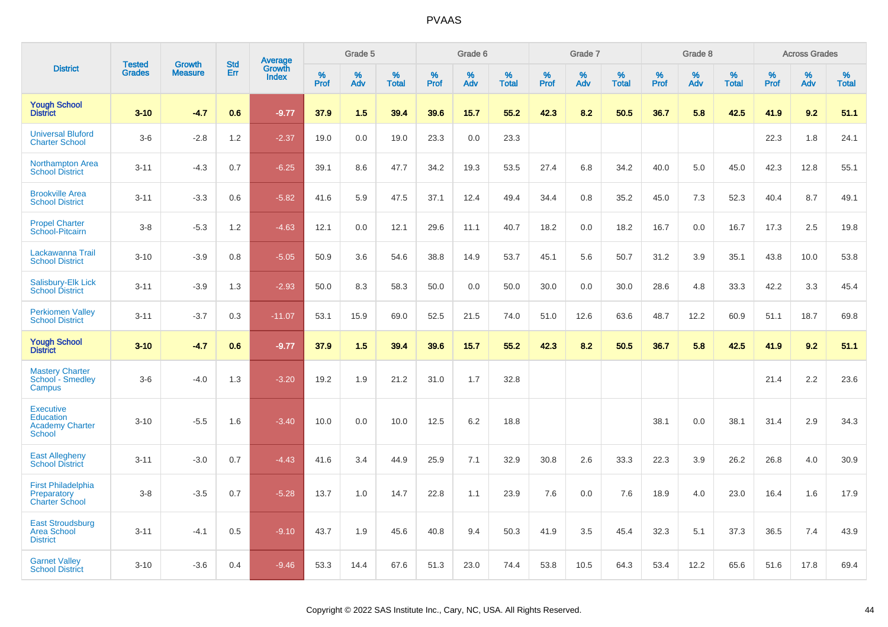|                                                                                 | <b>Tested</b> | <b>Growth</b>  | <b>Std</b> |                                          |           | Grade 5  |                   |           | Grade 6  |                   |           | Grade 7  |                   |           | Grade 8  |                   |           | <b>Across Grades</b> |                   |
|---------------------------------------------------------------------------------|---------------|----------------|------------|------------------------------------------|-----------|----------|-------------------|-----------|----------|-------------------|-----------|----------|-------------------|-----------|----------|-------------------|-----------|----------------------|-------------------|
| <b>District</b>                                                                 | <b>Grades</b> | <b>Measure</b> | Err        | <b>Average</b><br>Growth<br><b>Index</b> | %<br>Prof | %<br>Adv | %<br><b>Total</b> | %<br>Prof | %<br>Adv | %<br><b>Total</b> | %<br>Prof | %<br>Adv | %<br><b>Total</b> | %<br>Prof | %<br>Adv | %<br><b>Total</b> | %<br>Prof | %<br>Adv             | %<br><b>Total</b> |
| <b>Yough School</b><br><b>District</b>                                          | $3 - 10$      | $-4.7$         | 0.6        | $-9.77$                                  | 37.9      | 1.5      | 39.4              | 39.6      | 15.7     | 55.2              | 42.3      | 8.2      | 50.5              | 36.7      | 5.8      | 42.5              | 41.9      | 9.2                  | 51.1              |
| <b>Universal Bluford</b><br><b>Charter School</b>                               | $3-6$         | $-2.8$         | 1.2        | $-2.37$                                  | 19.0      | 0.0      | 19.0              | 23.3      | 0.0      | 23.3              |           |          |                   |           |          |                   | 22.3      | 1.8                  | 24.1              |
| Northampton Area<br><b>School District</b>                                      | $3 - 11$      | $-4.3$         | 0.7        | $-6.25$                                  | 39.1      | 8.6      | 47.7              | 34.2      | 19.3     | 53.5              | 27.4      | 6.8      | 34.2              | 40.0      | 5.0      | 45.0              | 42.3      | 12.8                 | 55.1              |
| <b>Brookville Area</b><br><b>School District</b>                                | $3 - 11$      | $-3.3$         | 0.6        | $-5.82$                                  | 41.6      | 5.9      | 47.5              | 37.1      | 12.4     | 49.4              | 34.4      | 0.8      | 35.2              | 45.0      | 7.3      | 52.3              | 40.4      | 8.7                  | 49.1              |
| <b>Propel Charter</b><br>School-Pitcairn                                        | $3-8$         | $-5.3$         | 1.2        | $-4.63$                                  | 12.1      | 0.0      | 12.1              | 29.6      | 11.1     | 40.7              | 18.2      | 0.0      | 18.2              | 16.7      | 0.0      | 16.7              | 17.3      | 2.5                  | 19.8              |
| Lackawanna Trail<br><b>School District</b>                                      | $3 - 10$      | $-3.9$         | 0.8        | $-5.05$                                  | 50.9      | 3.6      | 54.6              | 38.8      | 14.9     | 53.7              | 45.1      | 5.6      | 50.7              | 31.2      | 3.9      | 35.1              | 43.8      | 10.0                 | 53.8              |
| Salisbury-Elk Lick<br><b>School District</b>                                    | $3 - 11$      | $-3.9$         | 1.3        | $-2.93$                                  | 50.0      | 8.3      | 58.3              | 50.0      | 0.0      | 50.0              | 30.0      | 0.0      | 30.0              | 28.6      | 4.8      | 33.3              | 42.2      | 3.3                  | 45.4              |
| <b>Perkiomen Valley</b><br><b>School District</b>                               | $3 - 11$      | $-3.7$         | 0.3        | $-11.07$                                 | 53.1      | 15.9     | 69.0              | 52.5      | 21.5     | 74.0              | 51.0      | 12.6     | 63.6              | 48.7      | 12.2     | 60.9              | 51.1      | 18.7                 | 69.8              |
| <b>Yough School</b><br><b>District</b>                                          | $3 - 10$      | $-4.7$         | 0.6        | $-9.77$                                  | 37.9      | 1.5      | 39.4              | 39.6      | 15.7     | 55.2              | 42.3      | 8.2      | 50.5              | 36.7      | 5.8      | 42.5              | 41.9      | 9.2                  | 51.1              |
| <b>Mastery Charter</b><br>School - Smedley<br>Campus                            | $3-6$         | $-4.0$         | 1.3        | $-3.20$                                  | 19.2      | 1.9      | 21.2              | 31.0      | 1.7      | 32.8              |           |          |                   |           |          |                   | 21.4      | 2.2                  | 23.6              |
| <b>Executive</b><br><b>Education</b><br><b>Academy Charter</b><br><b>School</b> | $3 - 10$      | $-5.5$         | 1.6        | $-3.40$                                  | 10.0      | 0.0      | 10.0              | 12.5      | 6.2      | 18.8              |           |          |                   | 38.1      | 0.0      | 38.1              | 31.4      | 2.9                  | 34.3              |
| <b>East Allegheny</b><br><b>School District</b>                                 | $3 - 11$      | $-3.0$         | 0.7        | $-4.43$                                  | 41.6      | 3.4      | 44.9              | 25.9      | 7.1      | 32.9              | 30.8      | 2.6      | 33.3              | 22.3      | 3.9      | 26.2              | 26.8      | 4.0                  | 30.9              |
| <b>First Philadelphia</b><br>Preparatory<br><b>Charter School</b>               | $3-8$         | $-3.5$         | 0.7        | $-5.28$                                  | 13.7      | 1.0      | 14.7              | 22.8      | 1.1      | 23.9              | 7.6       | 0.0      | 7.6               | 18.9      | 4.0      | 23.0              | 16.4      | 1.6                  | 17.9              |
| <b>East Stroudsburg</b><br><b>Area School</b><br><b>District</b>                | $3 - 11$      | $-4.1$         | 0.5        | $-9.10$                                  | 43.7      | 1.9      | 45.6              | 40.8      | 9.4      | 50.3              | 41.9      | 3.5      | 45.4              | 32.3      | 5.1      | 37.3              | 36.5      | 7.4                  | 43.9              |
| <b>Garnet Valley</b><br><b>School District</b>                                  | $3 - 10$      | $-3.6$         | 0.4        | $-9.46$                                  | 53.3      | 14.4     | 67.6              | 51.3      | 23.0     | 74.4              | 53.8      | 10.5     | 64.3              | 53.4      | 12.2     | 65.6              | 51.6      | 17.8                 | 69.4              |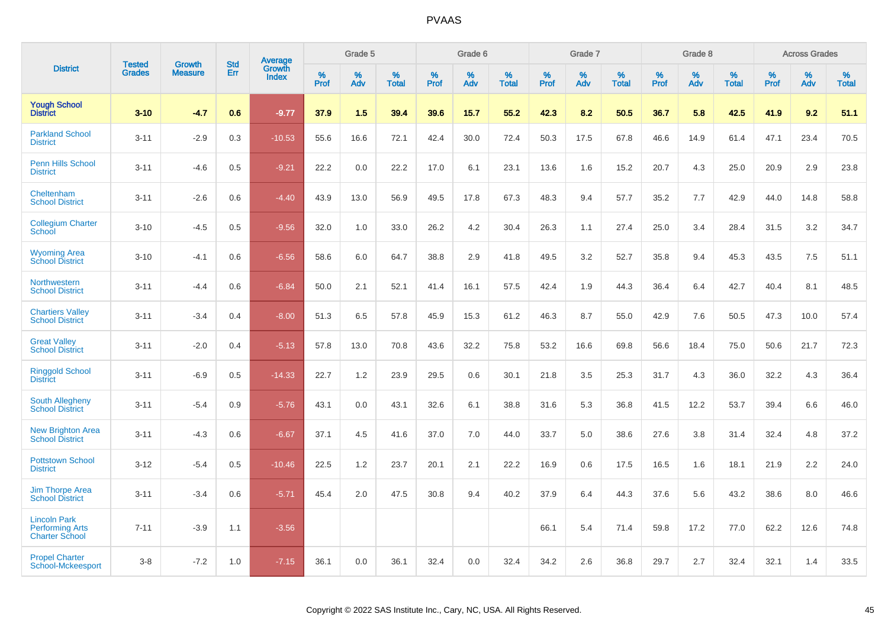|                                                                        | <b>Tested</b> | <b>Growth</b>  | <b>Std</b> | Average                |              | Grade 5     |                      |                     | Grade 6     |                      |              | Grade 7     |                      |              | Grade 8     |                   |                     | <b>Across Grades</b> |                      |
|------------------------------------------------------------------------|---------------|----------------|------------|------------------------|--------------|-------------|----------------------|---------------------|-------------|----------------------|--------------|-------------|----------------------|--------------|-------------|-------------------|---------------------|----------------------|----------------------|
| <b>District</b>                                                        | <b>Grades</b> | <b>Measure</b> | Err        | Growth<br><b>Index</b> | $\%$<br>Prof | $\%$<br>Adv | $\%$<br><b>Total</b> | $\%$<br><b>Prof</b> | $\%$<br>Adv | $\%$<br><b>Total</b> | $\%$<br>Prof | $\%$<br>Adv | $\%$<br><b>Total</b> | $\%$<br>Prof | $\%$<br>Adv | %<br><b>Total</b> | $\%$<br><b>Prof</b> | $\%$<br>Adv          | $\%$<br><b>Total</b> |
| <b>Yough School</b><br><b>District</b>                                 | $3 - 10$      | $-4.7$         | 0.6        | $-9.77$                | 37.9         | 1.5         | 39.4                 | 39.6                | 15.7        | 55.2                 | 42.3         | 8.2         | 50.5                 | 36.7         | 5.8         | 42.5              | 41.9                | 9.2                  | 51.1                 |
| <b>Parkland School</b><br><b>District</b>                              | $3 - 11$      | $-2.9$         | 0.3        | $-10.53$               | 55.6         | 16.6        | 72.1                 | 42.4                | 30.0        | 72.4                 | 50.3         | 17.5        | 67.8                 | 46.6         | 14.9        | 61.4              | 47.1                | 23.4                 | 70.5                 |
| <b>Penn Hills School</b><br><b>District</b>                            | $3 - 11$      | $-4.6$         | 0.5        | $-9.21$                | 22.2         | 0.0         | 22.2                 | 17.0                | 6.1         | 23.1                 | 13.6         | 1.6         | 15.2                 | 20.7         | 4.3         | 25.0              | 20.9                | 2.9                  | 23.8                 |
| Cheltenham<br><b>School District</b>                                   | $3 - 11$      | $-2.6$         | 0.6        | $-4.40$                | 43.9         | 13.0        | 56.9                 | 49.5                | 17.8        | 67.3                 | 48.3         | 9.4         | 57.7                 | 35.2         | 7.7         | 42.9              | 44.0                | 14.8                 | 58.8                 |
| <b>Collegium Charter</b><br>School                                     | $3 - 10$      | $-4.5$         | 0.5        | $-9.56$                | 32.0         | 1.0         | 33.0                 | 26.2                | 4.2         | 30.4                 | 26.3         | 1.1         | 27.4                 | 25.0         | 3.4         | 28.4              | 31.5                | 3.2                  | 34.7                 |
| <b>Wyoming Area</b><br><b>School District</b>                          | $3 - 10$      | $-4.1$         | 0.6        | $-6.56$                | 58.6         | 6.0         | 64.7                 | 38.8                | 2.9         | 41.8                 | 49.5         | 3.2         | 52.7                 | 35.8         | 9.4         | 45.3              | 43.5                | 7.5                  | 51.1                 |
| Northwestern<br><b>School District</b>                                 | $3 - 11$      | $-4.4$         | 0.6        | $-6.84$                | 50.0         | 2.1         | 52.1                 | 41.4                | 16.1        | 57.5                 | 42.4         | 1.9         | 44.3                 | 36.4         | 6.4         | 42.7              | 40.4                | 8.1                  | 48.5                 |
| <b>Chartiers Valley</b><br><b>School District</b>                      | $3 - 11$      | $-3.4$         | 0.4        | $-8.00$                | 51.3         | 6.5         | 57.8                 | 45.9                | 15.3        | 61.2                 | 46.3         | 8.7         | 55.0                 | 42.9         | 7.6         | 50.5              | 47.3                | 10.0                 | 57.4                 |
| <b>Great Valley</b><br><b>School District</b>                          | $3 - 11$      | $-2.0$         | 0.4        | $-5.13$                | 57.8         | 13.0        | 70.8                 | 43.6                | 32.2        | 75.8                 | 53.2         | 16.6        | 69.8                 | 56.6         | 18.4        | 75.0              | 50.6                | 21.7                 | 72.3                 |
| <b>Ringgold School</b><br><b>District</b>                              | $3 - 11$      | $-6.9$         | 0.5        | $-14.33$               | 22.7         | 1.2         | 23.9                 | 29.5                | 0.6         | 30.1                 | 21.8         | 3.5         | 25.3                 | 31.7         | 4.3         | 36.0              | 32.2                | 4.3                  | 36.4                 |
| South Allegheny<br><b>School District</b>                              | $3 - 11$      | $-5.4$         | 0.9        | $-5.76$                | 43.1         | 0.0         | 43.1                 | 32.6                | 6.1         | 38.8                 | 31.6         | 5.3         | 36.8                 | 41.5         | 12.2        | 53.7              | 39.4                | 6.6                  | 46.0                 |
| <b>New Brighton Area</b><br><b>School District</b>                     | $3 - 11$      | $-4.3$         | 0.6        | $-6.67$                | 37.1         | 4.5         | 41.6                 | 37.0                | 7.0         | 44.0                 | 33.7         | 5.0         | 38.6                 | 27.6         | 3.8         | 31.4              | 32.4                | 4.8                  | 37.2                 |
| <b>Pottstown School</b><br><b>District</b>                             | $3 - 12$      | $-5.4$         | 0.5        | $-10.46$               | 22.5         | 1.2         | 23.7                 | 20.1                | 2.1         | 22.2                 | 16.9         | 0.6         | 17.5                 | 16.5         | 1.6         | 18.1              | 21.9                | 2.2                  | 24.0                 |
| <b>Jim Thorpe Area</b><br><b>School District</b>                       | $3 - 11$      | $-3.4$         | 0.6        | $-5.71$                | 45.4         | 2.0         | 47.5                 | 30.8                | 9.4         | 40.2                 | 37.9         | 6.4         | 44.3                 | 37.6         | 5.6         | 43.2              | 38.6                | 8.0                  | 46.6                 |
| <b>Lincoln Park</b><br><b>Performing Arts</b><br><b>Charter School</b> | $7 - 11$      | $-3.9$         | 1.1        | $-3.56$                |              |             |                      |                     |             |                      | 66.1         | 5.4         | 71.4                 | 59.8         | 17.2        | 77.0              | 62.2                | 12.6                 | 74.8                 |
| <b>Propel Charter</b><br>School-Mckeesport                             | $3 - 8$       | $-7.2$         | 1.0        | $-7.15$                | 36.1         | 0.0         | 36.1                 | 32.4                | 0.0         | 32.4                 | 34.2         | 2.6         | 36.8                 | 29.7         | 2.7         | 32.4              | 32.1                | 1.4                  | 33.5                 |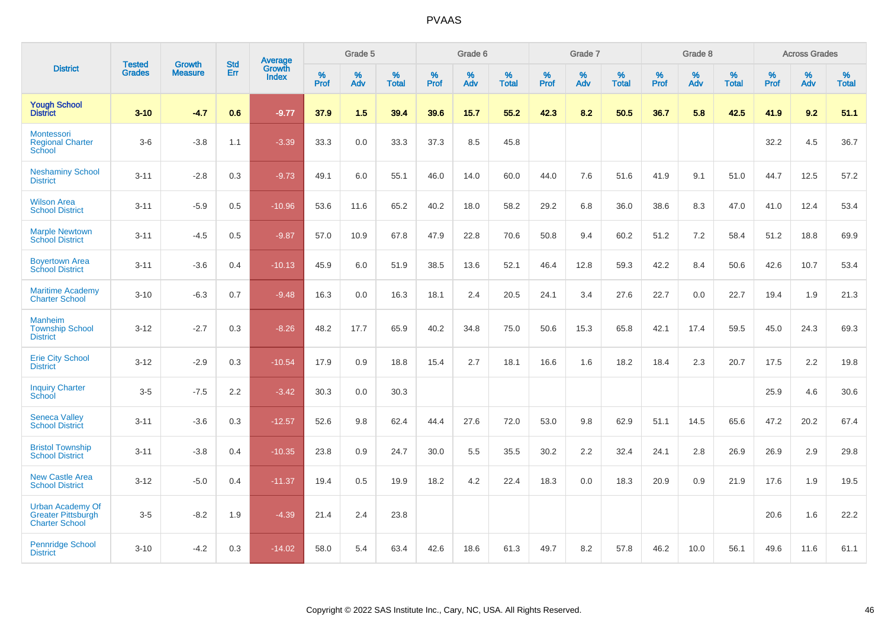|                                                                               | <b>Tested</b> | <b>Growth</b>  | <b>Std</b> | Average                |              | Grade 5  |                   |           | Grade 6  |                   |           | Grade 7  |                   |           | Grade 8  |                   |           | <b>Across Grades</b> |                   |
|-------------------------------------------------------------------------------|---------------|----------------|------------|------------------------|--------------|----------|-------------------|-----------|----------|-------------------|-----------|----------|-------------------|-----------|----------|-------------------|-----------|----------------------|-------------------|
| <b>District</b>                                                               | <b>Grades</b> | <b>Measure</b> | Err        | Growth<br><b>Index</b> | $\%$<br>Prof | %<br>Adv | %<br><b>Total</b> | %<br>Prof | %<br>Adv | %<br><b>Total</b> | %<br>Prof | %<br>Adv | %<br><b>Total</b> | %<br>Prof | %<br>Adv | %<br><b>Total</b> | %<br>Prof | %<br>Adv             | %<br><b>Total</b> |
| <b>Yough School</b><br><b>District</b>                                        | $3 - 10$      | $-4.7$         | 0.6        | $-9.77$                | 37.9         | 1.5      | 39.4              | 39.6      | 15.7     | 55.2              | 42.3      | 8.2      | 50.5              | 36.7      | 5.8      | 42.5              | 41.9      | 9.2                  | 51.1              |
| Montessori<br><b>Regional Charter</b><br>School                               | $3-6$         | $-3.8$         | 1.1        | $-3.39$                | 33.3         | $0.0\,$  | 33.3              | 37.3      | 8.5      | 45.8              |           |          |                   |           |          |                   | 32.2      | 4.5                  | 36.7              |
| <b>Neshaminy School</b><br><b>District</b>                                    | $3 - 11$      | $-2.8$         | 0.3        | $-9.73$                | 49.1         | 6.0      | 55.1              | 46.0      | 14.0     | 60.0              | 44.0      | 7.6      | 51.6              | 41.9      | 9.1      | 51.0              | 44.7      | 12.5                 | 57.2              |
| <b>Wilson Area</b><br><b>School District</b>                                  | $3 - 11$      | $-5.9$         | 0.5        | $-10.96$               | 53.6         | 11.6     | 65.2              | 40.2      | 18.0     | 58.2              | 29.2      | 6.8      | 36.0              | 38.6      | 8.3      | 47.0              | 41.0      | 12.4                 | 53.4              |
| <b>Marple Newtown</b><br><b>School District</b>                               | $3 - 11$      | $-4.5$         | 0.5        | $-9.87$                | 57.0         | 10.9     | 67.8              | 47.9      | 22.8     | 70.6              | 50.8      | 9.4      | 60.2              | 51.2      | 7.2      | 58.4              | 51.2      | 18.8                 | 69.9              |
| <b>Boyertown Area</b><br><b>School District</b>                               | $3 - 11$      | $-3.6$         | 0.4        | $-10.13$               | 45.9         | 6.0      | 51.9              | 38.5      | 13.6     | 52.1              | 46.4      | 12.8     | 59.3              | 42.2      | 8.4      | 50.6              | 42.6      | 10.7                 | 53.4              |
| <b>Maritime Academy</b><br><b>Charter School</b>                              | $3 - 10$      | $-6.3$         | 0.7        | $-9.48$                | 16.3         | 0.0      | 16.3              | 18.1      | 2.4      | 20.5              | 24.1      | 3.4      | 27.6              | 22.7      | 0.0      | 22.7              | 19.4      | 1.9                  | 21.3              |
| <b>Manheim</b><br><b>Township School</b><br><b>District</b>                   | $3 - 12$      | $-2.7$         | 0.3        | $-8.26$                | 48.2         | 17.7     | 65.9              | 40.2      | 34.8     | 75.0              | 50.6      | 15.3     | 65.8              | 42.1      | 17.4     | 59.5              | 45.0      | 24.3                 | 69.3              |
| <b>Erie City School</b><br><b>District</b>                                    | $3 - 12$      | $-2.9$         | 0.3        | $-10.54$               | 17.9         | 0.9      | 18.8              | 15.4      | 2.7      | 18.1              | 16.6      | 1.6      | 18.2              | 18.4      | 2.3      | 20.7              | 17.5      | 2.2                  | 19.8              |
| <b>Inquiry Charter</b><br>School                                              | $3-5$         | $-7.5$         | 2.2        | $-3.42$                | 30.3         | 0.0      | 30.3              |           |          |                   |           |          |                   |           |          |                   | 25.9      | 4.6                  | 30.6              |
| <b>Seneca Valley</b><br><b>School District</b>                                | $3 - 11$      | $-3.6$         | 0.3        | $-12.57$               | 52.6         | 9.8      | 62.4              | 44.4      | 27.6     | 72.0              | 53.0      | 9.8      | 62.9              | 51.1      | 14.5     | 65.6              | 47.2      | 20.2                 | 67.4              |
| <b>Bristol Township</b><br><b>School District</b>                             | $3 - 11$      | $-3.8$         | 0.4        | $-10.35$               | 23.8         | 0.9      | 24.7              | 30.0      | 5.5      | 35.5              | 30.2      | 2.2      | 32.4              | 24.1      | 2.8      | 26.9              | 26.9      | 2.9                  | 29.8              |
| <b>New Castle Area</b><br><b>School District</b>                              | $3 - 12$      | $-5.0$         | 0.4        | $-11.37$               | 19.4         | 0.5      | 19.9              | 18.2      | 4.2      | 22.4              | 18.3      | 0.0      | 18.3              | 20.9      | 0.9      | 21.9              | 17.6      | 1.9                  | 19.5              |
| <b>Urban Academy Of</b><br><b>Greater Pittsburgh</b><br><b>Charter School</b> | $3-5$         | $-8.2$         | 1.9        | $-4.39$                | 21.4         | 2.4      | 23.8              |           |          |                   |           |          |                   |           |          |                   | 20.6      | 1.6                  | 22.2              |
| <b>Pennridge School</b><br><b>District</b>                                    | $3 - 10$      | $-4.2$         | 0.3        | $-14.02$               | 58.0         | 5.4      | 63.4              | 42.6      | 18.6     | 61.3              | 49.7      | 8.2      | 57.8              | 46.2      | 10.0     | 56.1              | 49.6      | 11.6                 | 61.1              |